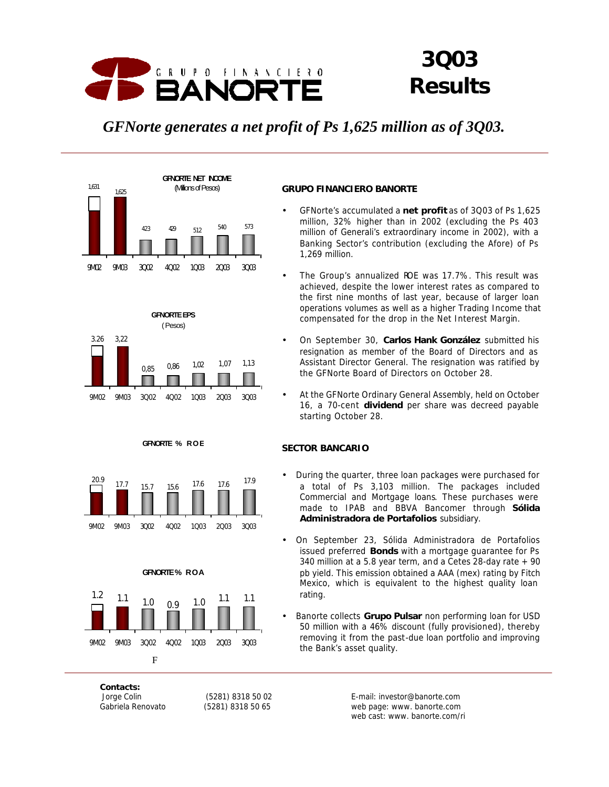

# *3Q03 Results*

# *GFNorte generates a net profit of Ps 1,625 million as of 3Q03.*



# **GRUPO FINANCIERO BANORTE**

- GFNorte's accumulated a **net profit** as of 3Q03 of Ps 1,625 million, 32% higher than in 2002 (excluding the Ps 403 million of Generali's extraordinary income in 2002), with a Banking Sector's contribution (excluding the Afore) of Ps 1,269 million.
- The Group's annualized ROE was 17.7%. This result was achieved, despite the lower interest rates as compared to the first nine months of last year, because of larger loan operations volumes as well as a higher Trading Income that compensated for the drop in the Net Interest Margin.
- On September 30, **Carlos Hank González** submitted his resignation as member of the Board of Directors and as Assistant Director General. The resignation was ratified by the GFNorte Board of Directors on October 28.
- At the GFNorte Ordinary General Assembly, held on October 16, a 70-cent **dividend** per share was decreed payable starting October 28.

# **SECTOR BANCARIO**

- During the quarter, three loan packages were purchased for a total of Ps 3,103 million. The packages included Commercial and Mortgage loans. These purchases were made to IPAB and BBVA Bancomer through **Sólida Administradora de Portafolios** subsidiary.
- On September 23, Sólida Administradora de Portafolios issued preferred **Bonds** with a mortgage guarantee for Ps 340 million at a 5.8 year term, and a Cetes 28-day rate + 90 pb yield. This emission obtained a AAA (mex) rating by Fitch Mexico, which is equivalent to the highest quality loan rating.
- Banorte collects **Grupo Pulsar** non performing loan for USD 50 million with a 46% discount (fully provisioned), thereby removing it from the past-due loan portfolio and improving the Bank's asset quality.

*Contacts:*

Jorge Colin (5281) 8318 50 02 E-mail: investor@banorte.com Gabriela Renovato (5281) 8318 50 65 web page: www. banorte.com web cast: www. banorte.com/ri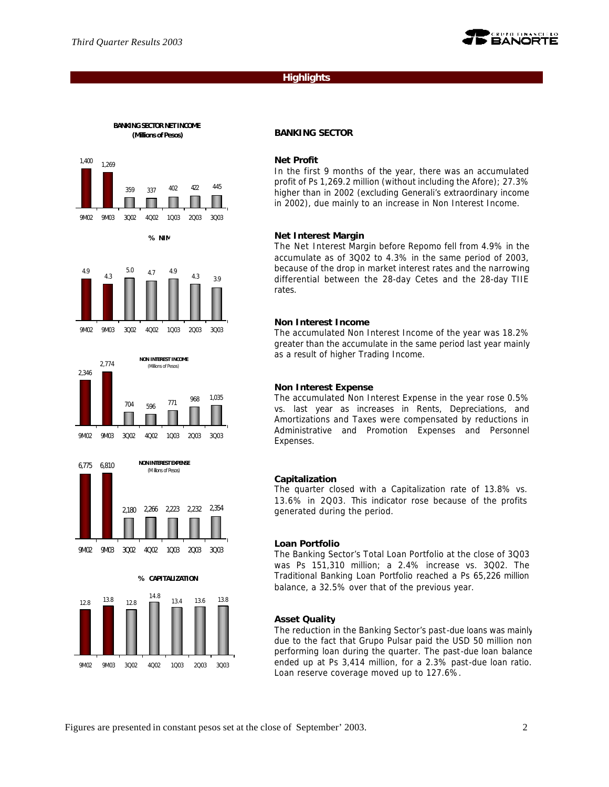

### **Highlights**

#### **BANKING SECTOR NET INCOME (Millions of Pesos)**



**% NIM**









#### **BANKING SECTOR**

#### **Net Profit**

In the first 9 months of the year, there was an accumulated profit of Ps 1,269.2 million (without including the Afore); 27.3% higher than in 2002 (excluding Generali's extraordinary income in 2002), due mainly to an increase in Non Interest Income.

#### **Net Interest Margin**

The Net Interest Margin before Repomo fell from 4.9% in the accumulate as of 3Q02 to 4.3% in the same period of 2003, because of the drop in market interest rates and the narrowing differential between the 28-day Cetes and the 28-day TIIE rates.

#### **Non Interest Income**

The accumulated Non Interest Income of the year was 18.2% greater than the accumulate in the same period last year mainly as a result of higher Trading Income.

#### **Non Interest Expense**

The accumulated Non Interest Expense in the year rose 0.5% vs. last year as increases in Rents, Depreciations, and Amortizations and Taxes were compensated by reductions in Administrative and Promotion Expenses and Personnel Expenses.

#### **Capitalization**

The quarter closed with a Capitalization rate of 13.8% vs. 13.6% in 2Q03. This indicator rose because of the profits generated during the period.

#### **Loan Portfolio**

The Banking Sector's Total Loan Portfolio at the close of 3Q03 was Ps 151,310 million; a 2.4% increase vs. 3Q02. The Traditional Banking Loan Portfolio reached a Ps 65,226 million balance, a 32.5% over that of the previous year.

#### **Asset Quality**

The reduction in the Banking Sector's past-due loans was mainly due to the fact that Grupo Pulsar paid the USD 50 million non performing loan during the quarter. The past-due loan balance ended up at Ps 3,414 million, for a 2.3% past-due loan ratio. Loan reserve coverage moved up to 127.6%.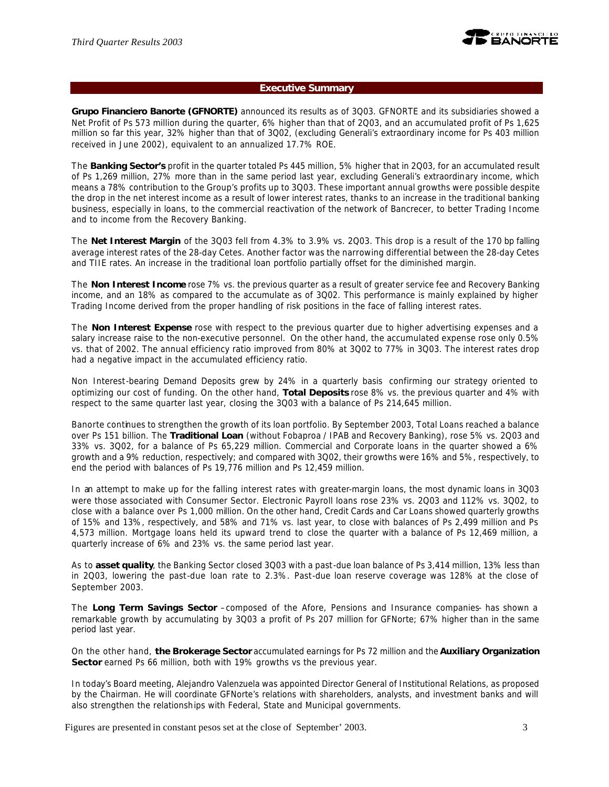

# **Executive Summary**

**Grupo Financiero Banorte (GFNORTE)** announced its results as of 3Q03. GFNORTE and its subsidiaries showed a Net Profit of Ps 573 million during the quarter, 6% higher than that of 2Q03, and an accumulated profit of Ps 1,625 million so far this year, 32% higher than that of 3Q02, (excluding Generali's extraordinary income for Ps 403 million received in June 2002), equivalent to an annualized 17.7% ROE.

The **Banking Sector's** profit in the quarter totaled Ps 445 million, 5% higher that in 2Q03, for an accumulated result of Ps 1,269 million, 27% more than in the same period last year, excluding Generali's extraordinary income, which means a 78% contribution to the Group's profits up to 3Q03. These important annual growths were possible despite the drop in the net interest income as a result of lower interest rates, thanks to an increase in the traditional banking business, especially in loans, to the commercial reactivation of the network of Bancrecer, to better Trading Income and to income from the Recovery Banking.

The **Net Interest Margin** of the 3Q03 fell from 4.3% to 3.9% vs. 2Q03. This drop is a result of the 170 bp falling average interest rates of the 28-day Cetes. Another factor was the narrowing differential between the 28-day Cetes and TIIE rates. An increase in the traditional loan portfolio partially offset for the diminished margin.

The **Non Interest Income** rose 7% vs. the previous quarter as a result of greater service fee and Recovery Banking income, and an 18% as compared to the accumulate as of 3Q02. This performance is mainly explained by higher Trading Income derived from the proper handling of risk positions in the face of falling interest rates.

The **Non Interest Expense** rose with respect to the previous quarter due to higher advertising expenses and a salary increase raise to the non-executive personnel. On the other hand, the accumulated expense rose only 0.5% vs. that of 2002. The annual efficiency ratio improved from 80% at 3Q02 to 77% in 3Q03. The interest rates drop had a negative impact in the accumulated efficiency ratio.

Non Interest-bearing Demand Deposits grew by 24% in a quarterly basis confirming our strategy oriented to optimizing our cost of funding. On the other hand, **Total Deposits** rose 8% vs. the previous quarter and 4% with respect to the same quarter last year, closing the 3Q03 with a balance of Ps 214,645 million.

Banorte continues to strengthen the growth of its loan portfolio. By September 2003, Total Loans reached a balance over Ps 151 billion. The **Traditional Loan** (without Fobaproa / IPAB and Recovery Banking), rose 5% vs. 2Q03 and 33% vs. 3Q02, for a balance of Ps 65,229 million. Commercial and Corporate loans in the quarter showed a 6% growth and a 9% reduction, respectively; and compared with 3Q02, their growths were 16% and 5%, respectively, to end the period with balances of Ps 19,776 million and Ps 12,459 million.

In an attempt to make up for the falling interest rates with greater-margin loans, the most dynamic loans in 3Q03 were those associated with Consumer Sector. Electronic Payroll loans rose 23% vs. 2Q03 and 112% vs. 3Q02, to close with a balance over Ps 1,000 million. On the other hand, Credit Cards and Car Loans showed quarterly growths of 15% and 13%, respectively, and 58% and 71% vs. last year, to close with balances of Ps 2,499 million and Ps 4,573 million. Mortgage loans held its upward trend to close the quarter with a balance of Ps 12,469 million, a quarterly increase of 6% and 23% vs. the same period last year.

As to **asset quality**, the Banking Sector closed 3Q03 with a past-due loan balance of Ps 3,414 million, 13% less than in 2Q03, lowering the past-due loan rate to 2.3%. Past-due loan reserve coverage was 128% at the close of September 2003.

The **Long Term Savings Sector** –composed of the Afore, Pensions and Insurance companies- has shown a remarkable growth by accumulating by 3Q03 a profit of Ps 207 million for GFNorte; 67% higher than in the same period last year.

On the other hand, **the Brokerage Sector** accumulated earnings for Ps 72 million and the **Auxiliary Organization Sector** earned Ps 66 million, both with 19% growths vs the previous year.

In today's Board meeting, Alejandro Valenzuela was appointed Director General of Institutional Relations, as proposed by the Chairman. He will coordinate GFNorte's relations with shareholders, analysts, and investment banks and will also strengthen the relationships with Federal, State and Municipal governments.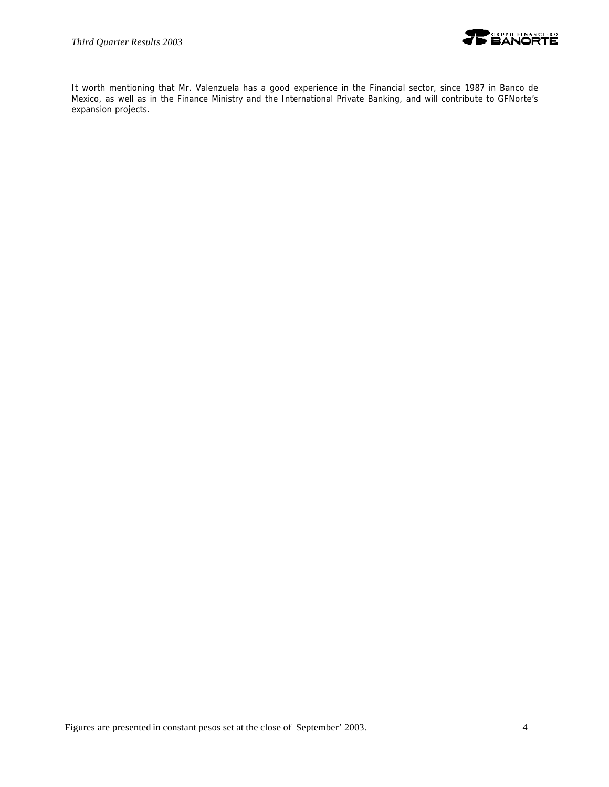

It worth mentioning that Mr. Valenzuela has a good experience in the Financial sector, since 1987 in Banco de Mexico, as well as in the Finance Ministry and the International Private Banking, and will contribute to GFNorte's expansion projects.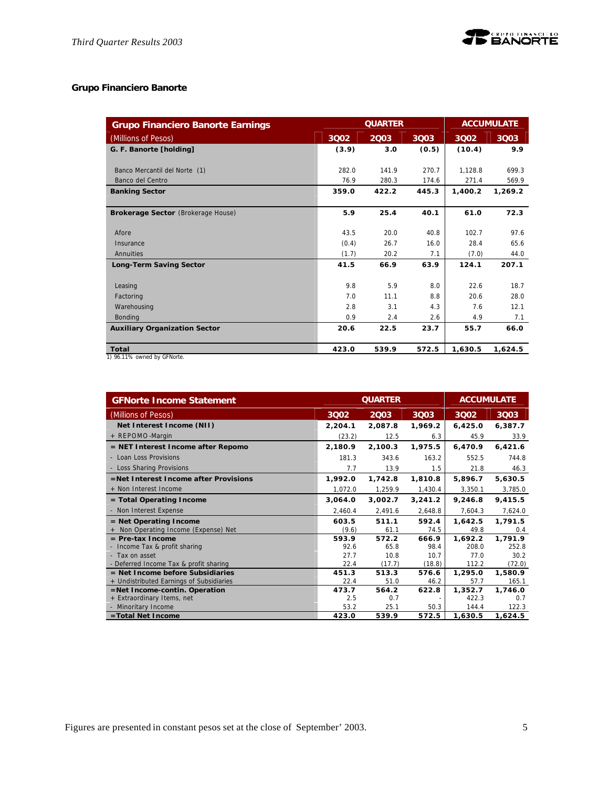

# **Grupo Financiero Banorte**

| <b>Grupo Financiero Banorte Earnings</b> | <b>ACCUMULATE</b><br><b>QUARTER</b> |       |       |         |         |
|------------------------------------------|-------------------------------------|-------|-------|---------|---------|
| (Millions of Pesos)                      | 3002                                | 2003  | 3003  | 3002    | 3Q03    |
| G. F. Banorte [holding]                  | (3.9)                               | 3.0   | (0.5) | (10.4)  | 9.9     |
|                                          |                                     |       |       |         |         |
| Banco Mercantil del Norte (1)            | 282.0                               | 141.9 | 270.7 | 1.128.8 | 699.3   |
| Banco del Centro                         | 76.9                                | 280.3 | 174.6 | 271.4   | 569.9   |
| <b>Banking Sector</b>                    | 359.0                               | 422.2 | 445.3 | 1,400.2 | 1,269.2 |
|                                          |                                     |       |       |         |         |
| Brokerage Sector (Brokerage House)       | 5.9                                 | 25.4  | 40.1  | 61.0    | 72.3    |
|                                          |                                     |       |       |         |         |
| Afore                                    | 43.5                                | 20.0  | 40.8  | 102.7   | 97.6    |
| Insurance                                | (0.4)                               | 26.7  | 16.0  | 28.4    | 65.6    |
| Annuities                                | (1.7)                               | 20.2  | 7.1   | (7.0)   | 44.0    |
| <b>Long-Term Saving Sector</b>           | 41.5                                | 66.9  | 63.9  | 124.1   | 207.1   |
|                                          |                                     |       |       |         |         |
| Leasing                                  | 9.8                                 | 5.9   | 8.0   | 22.6    | 18.7    |
| Factoring                                | 7.0                                 | 11.1  | 8.8   | 20.6    | 28.0    |
| Warehousing                              | 2.8                                 | 3.1   | 4.3   | 7.6     | 12.1    |
| Bonding                                  | 0.9                                 | 2.4   | 2.6   | 4.9     | 7.1     |
| <b>Auxiliary Organization Sector</b>     | 20.6                                | 22.5  | 23.7  | 55.7    | 66.0    |
|                                          |                                     |       |       |         |         |
| Total                                    | 423.0                               | 539.9 | 572.5 | 1,630.5 | 1,624.5 |
| 1) 96.11% owned by GFNorte.              |                                     |       |       |         |         |

| <b>GFNorte Income Statement</b>          |         | <b>QUARTER</b> | <b>ACCUMULATE</b> |         |         |
|------------------------------------------|---------|----------------|-------------------|---------|---------|
| (Millions of Pesos)                      | 3002    | 2003           | 3003              | 3002    | 3Q03    |
| Net Interest Income (NII)                | 2,204.1 | 2,087.8        | 1,969.2           | 6,425.0 | 6,387.7 |
| + REPOMO-Margin                          | (23.2)  | 12.5           | 6.3               | 45.9    | 33.9    |
| = NET Interest Income after Repomo       | 2,180.9 | 2,100.3        | 1,975.5           | 6,470.9 | 6,421.6 |
| - Loan Loss Provisions                   | 181.3   | 343.6          | 163.2             | 552.5   | 744.8   |
| - Loss Sharing Provisions                | 7.7     | 13.9           | 1.5               | 21.8    | 46.3    |
| =Net Interest Income after Provisions    | 1,992.0 | 1,742.8        | 1,810.8           | 5,896.7 | 5,630.5 |
| + Non Interest Income                    | 1,072.0 | 1,259.9        | 1,430.4           | 3,350.1 | 3,785.0 |
| $=$ Total Operating Income               | 3,064.0 | 3,002.7        | 3,241.2           | 9,246.8 | 9,415.5 |
| - Non Interest Expense                   | 2,460.4 | 2,491.6        | 2,648.8           | 7,604.3 | 7,624.0 |
| $=$ Net Operating Income                 | 603.5   | 511.1          | 592.4             | 1,642.5 | 1,791.5 |
| + Non Operating Income (Expense) Net     | (9.6)   | 61.1           | 74.5              | 49.8    | 0.4     |
| $=$ Pre-tax Income                       | 593.9   | 572.2          | 666.9             | 1,692.2 | 1,791.9 |
| - Income Tax & profit sharing            | 92.6    | 65.8           | 98.4              | 208.0   | 252.8   |
| - Tax on asset                           | 27.7    | 10.8           | 10.7              | 77.0    | 30.2    |
| - Deferred Income Tax & profit sharing   | 22.4    | (17.7)         | (18.8)            | 112.2   | (72.0)  |
| $=$ Net Income before Subsidiaries       | 451.3   | 513.3          | 576.6             | 1,295.0 | 1,580.9 |
| + Undistributed Earnings of Subsidiaries | 22.4    | 51.0           | 46.2              | 57.7    | 165.1   |
| =Net Income-contin. Operation            | 473.7   | 564.2          | 622.8             | 1,352.7 | 1,746.0 |
| + Extraordinary Items, net               | 2.5     | 0.7            |                   | 422.3   | 0.7     |
| - Minoritary Income                      | 53.2    | 25.1           | 50.3              | 144.4   | 122.3   |
| =Total Net Income                        | 423.0   | 539.9          | 572.5             | 1,630.5 | 1,624.5 |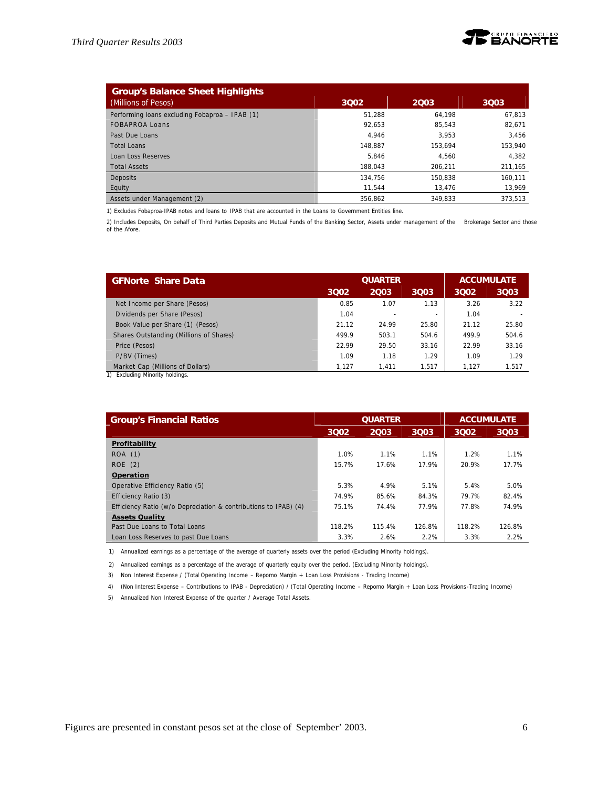

| <b>Group's Balance Sheet Highlights</b>        |         |         |         |
|------------------------------------------------|---------|---------|---------|
| (Millions of Pesos)                            | 3002    | 2003    | 3003    |
| Performing loans excluding Fobaproa - IPAB (1) | 51.288  | 64.198  | 67.813  |
| FOBAPROA Loans                                 | 92.653  | 85.543  | 82,671  |
| Past Due Loans                                 | 4.946   | 3.953   | 3.456   |
| Total Loans                                    | 148.887 | 153.694 | 153,940 |
| Loan Loss Reserves                             | 5.846   | 4.560   | 4,382   |
| <b>Total Assets</b>                            | 188.043 | 206.211 | 211,165 |
| <b>Deposits</b>                                | 134.756 | 150.838 | 160,111 |
| Equity                                         | 11.544  | 13.476  | 13,969  |
| Assets under Management (2)                    | 356.862 | 349.833 | 373.513 |

1) Excludes Fobaproa-IPAB notes and loans to IPAB that are accounted in the Loans to Government Entities line.

2) Includes Deposits, On behalf of Third Parties Deposits and Mutual Funds of the Banking Sector, Assets under management of the Brokerage Sector and those of the Afore.

| <b>GFNorte Share Data</b>               | <b>QUARTER</b> |       |          |       | <b>ACCUMULATE</b> |
|-----------------------------------------|----------------|-------|----------|-------|-------------------|
|                                         | 3002           | 2003  | 3003     | 3002  | 3003              |
| Net Income per Share (Pesos)            | 0.85           | 1.07  | 1.13     | 3.26  | 3.22              |
| Dividends per Share (Pesos)             | 1.04           |       | <b>.</b> | 1.04  |                   |
| Book Value per Share (1) (Pesos)        | 21.12          | 24.99 | 25.80    | 21.12 | 25.80             |
| Shares Outstanding (Millions of Shares) | 499.9          | 503.1 | 504.6    | 499.9 | 504.6             |
| Price (Pesos)                           | 22.99          | 29.50 | 33.16    | 22.99 | 33.16             |
| P/BV (Times)                            | 1.09           | 1.18  | 1.29     | 1.09  | 1.29              |
| Market Cap (Millions of Dollars)        | 1.127          | 1.411 | 1.517    | 1.127 | 1.517             |

1) Excluding Minority holdings.

| <b>Group's Financial Ratios</b>                                 |        | <b>QUARTER</b> | <b>ACCUMULATE</b> |        |        |
|-----------------------------------------------------------------|--------|----------------|-------------------|--------|--------|
|                                                                 | 3Q02   | 2003           | 3003              | 3002   | 3Q03   |
| Profitability                                                   |        |                |                   |        |        |
| ROA (1)                                                         | 1.0%   | 1.1%           | 1.1%              | 1.2%   | 1.1%   |
| ROE(2)                                                          | 15.7%  | 17.6%          | 17.9%             | 20.9%  | 17.7%  |
| Operation                                                       |        |                |                   |        |        |
| Operative Efficiency Ratio (5)                                  | 5.3%   | 4.9%           | 5.1%              | 5.4%   | 5.0%   |
| Efficiency Ratio (3)                                            | 74.9%  | 85.6%          | 84.3%             | 79.7%  | 82.4%  |
| Efficiency Ratio (w/o Depreciation & contributions to IPAB) (4) | 75.1%  | 74.4%          | 77.9%             | 77.8%  | 74.9%  |
| <b>Assets Quality</b>                                           |        |                |                   |        |        |
| Past Due Loans to Total Loans                                   | 118.2% | 115.4%         | 126.8%            | 118.2% | 126.8% |
| Loan Loss Reserves to past Due Loans                            | 3.3%   | 2.6%           | 2.2%              | 3.3%   | 2.2%   |

1) Annualized earnings as a percentage of the average of quarterly assets over the period (Excluding Minority holdings).

2) Annualized earnings as a percentage of the average of quarterly equity over the period. (Excluding Minority holdings).

3) Non Interest Expense / (Total Operating Income – Repomo Margin + Loan Loss Provisions - Trading Income)

4) (Non Interest Expense – Contributions to IPAB - Depreciation) / (Total Operating Income – Repomo Margin + Loan Loss Provisions-Trading Income)

5) Annualized Non Interest Expense of the quarter / Average Total Assets.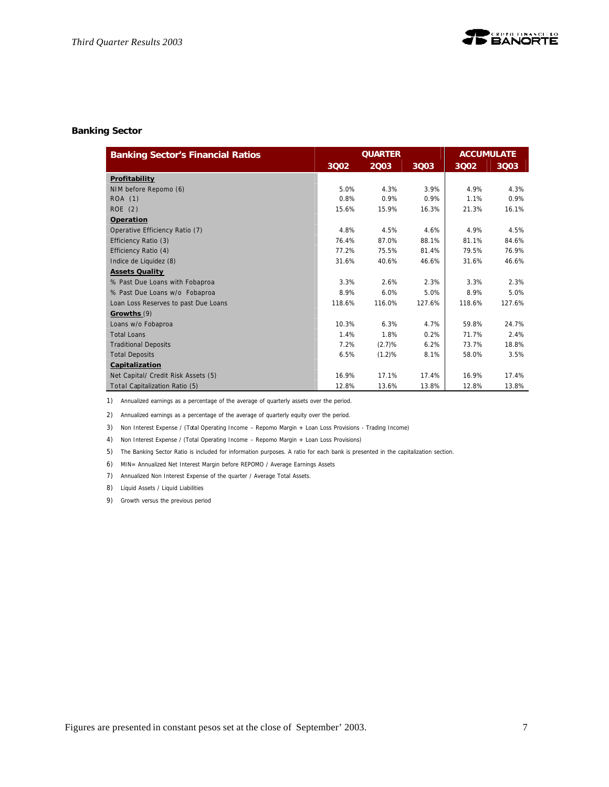# **Banking Sector**

| <b>Banking Sector's Financial Ratios</b> |        | <b>QUARTER</b> |        | <b>ACCUMULATE</b> |        |  |
|------------------------------------------|--------|----------------|--------|-------------------|--------|--|
|                                          | 3Q02   | 2003           | 3003   | 3002              | 3Q03   |  |
| Profitability                            |        |                |        |                   |        |  |
| NIM before Repomo (6)                    | 5.0%   | 4.3%           | 3.9%   | 4.9%              | 4.3%   |  |
| ROA (1)                                  | 0.8%   | 0.9%           | 0.9%   | 1.1%              | 0.9%   |  |
| ROE(2)                                   | 15.6%  | 15.9%          | 16.3%  | 21.3%             | 16.1%  |  |
| Operation                                |        |                |        |                   |        |  |
| Operative Efficiency Ratio (7)           | 4.8%   | 4.5%           | 4.6%   | 4.9%              | 4.5%   |  |
| Efficiency Ratio (3)                     | 76.4%  | 87.0%          | 88.1%  | 81.1%             | 84.6%  |  |
| Efficiency Ratio (4)                     | 77.2%  | 75.5%          | 81.4%  | 79.5%             | 76.9%  |  |
| Indice de Liquidez (8)                   | 31.6%  | 40.6%          | 46.6%  | 31.6%             | 46.6%  |  |
| <b>Assets Quality</b>                    |        |                |        |                   |        |  |
| % Past Due Loans with Fobaproa           | 3.3%   | 2.6%           | 2.3%   | 3.3%              | 2.3%   |  |
| % Past Due Loans w/o Fobaproa            | 8.9%   | 6.0%           | 5.0%   | 8.9%              | 5.0%   |  |
| Loan Loss Reserves to past Due Loans     | 118.6% | 116.0%         | 127.6% | 118.6%            | 127.6% |  |
| Growths (9)                              |        |                |        |                   |        |  |
| Loans w/o Fobaproa                       | 10.3%  | 6.3%           | 4.7%   | 59.8%             | 24.7%  |  |
| Total Loans                              | 1.4%   | 1.8%           | 0.2%   | 71.7%             | 2.4%   |  |
| <b>Traditional Deposits</b>              | 7.2%   | (2.7)%         | 6.2%   | 73.7%             | 18.8%  |  |
| <b>Total Deposits</b>                    | 6.5%   | (1.2)%         | 8.1%   | 58.0%             | 3.5%   |  |
| Capitalization                           |        |                |        |                   |        |  |
| Net Capital/ Credit Risk Assets (5)      | 16.9%  | 17.1%          | 17.4%  | 16.9%             | 17.4%  |  |
| Total Capitalization Ratio (5)           | 12.8%  | 13.6%          | 13.8%  | 12.8%             | 13.8%  |  |

1) Annualized earnings as a percentage of the average of quarterly assets over the period.

2) Annualized earnings as a percentage of the average of quarterly equity over the period.

3) Non Interest Expense / (Total Operating Income – Repomo Margin + Loan Loss Provisions - Trading Income)

4) Non Interest Expense / (Total Operating Income – Repomo Margin + Loan Loss Provisions)

5) The Banking Sector Ratio is included for information purposes. A ratio for each bank is presented in the capitalization section.

6) MIN= Annualized Net Interest Margin before REPOMO / Average Earnings Assets

7) Annualized Non Interest Expense of the quarter / Average Total Assets.

8) Líquid Assets / Liquid Liabilities

9) Growth versus the previous period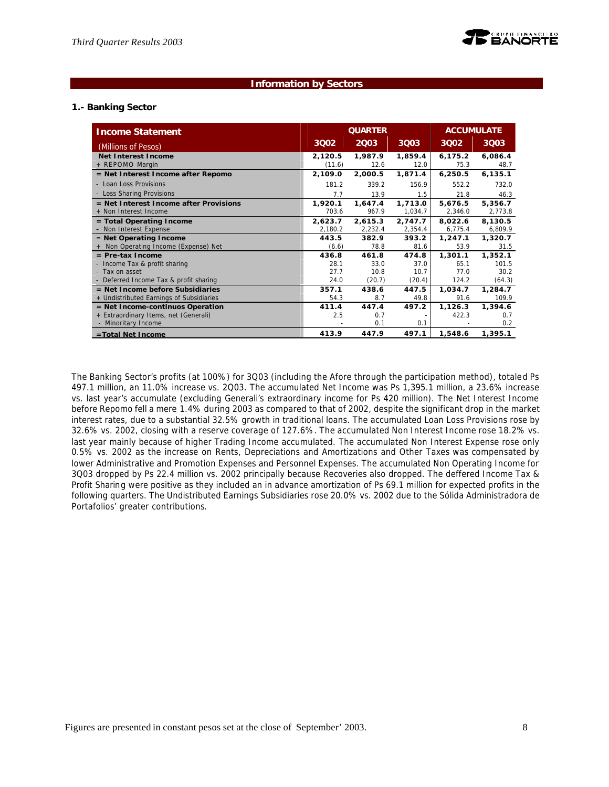#### **Information by Sectors**

#### **1.- Banking Sector**

| <b>Income Statement</b>                                           |                   | <b>ACCUMULATE</b><br><b>QUARTER</b> |                    |                    |                    |
|-------------------------------------------------------------------|-------------------|-------------------------------------|--------------------|--------------------|--------------------|
| (Millions of Pesos)                                               | 3002              | 2003                                | <b>3Q03</b>        | 3002               | <b>3Q03</b>        |
| <b>Net Interest Income</b><br>+ REPOMO-Margin                     | 2,120.5<br>(11.6) | 1,987.9<br>12.6                     | 1,859.4<br>12.0    | 6,175.2<br>75.3    | 6,086.4<br>48.7    |
| = Net Interest Income after Repomo                                | 2,109.0           | 2,000.5                             | 1,871.4            | 6,250.5            | 6, 135.1           |
| - Loan Loss Provisions                                            | 181.2             | 339.2                               | 156.9              | 552.2              | 732.0              |
| - Loss Sharing Provisions                                         | 7.7               | 13.9                                | 1.5                | 21.8               | 46.3               |
| $=$ Net Interest Income after Provisions<br>+ Non Interest Income | 1.920.1<br>703.6  | 1,647.4<br>967.9                    | 1,713.0<br>1,034.7 | 5,676.5<br>2,346.0 | 5,356.7<br>2,773.8 |
| = Total Operating Income                                          | 2,623.7           | 2,615.3                             | 2,747.7            | 8,022.6            | 8,130.5            |
| - Non Interest Expense                                            | 2,180.2           | 2,232.4                             | 2,354.4            | 6,775.4            | 6,809.9            |
| $=$ Net Operating Income                                          | 443.5             | 382.9                               | 393.2              | 1,247.1            | 1,320.7            |
| + Non Operating Income (Expense) Net                              | (6.6)             | 78.8                                | 81.6               | 53.9               | 31.5               |
| $=$ Pre-tax Income                                                | 436.8             | 461.8                               | 474.8              | 1,301.1            | 1,352.1            |
| - Income Tax & profit sharing                                     | 28.1              | 33.0                                | 37.0               | 65.1               | 101.5              |
| - Tax on asset                                                    | 27.7              | 10.8                                | 10.7               | 77.0               | 30.2               |
| - Deferred Income Tax & profit sharing                            | 24.0              | (20.7)                              | (20.4)             | 124.2              | (64.3)             |
| $=$ Net Income before Subsidiaries                                | 357.1             | 438.6                               | 447.5              | 1,034.7            | 1,284.7            |
| + Undistributed Earnings of Subsidiaries                          | 54.3              | 8.7                                 | 49.8               | 91.6               | 109.9              |
| = Net Income-continuos Operation                                  | 411.4             | 447.4                               | 497.2              | 1,126.3            | 1,394.6            |
| + Extraordinary Items, net (Generali)                             | 2.5               | 0.7                                 |                    | 422.3              | 0.7                |
| - Minoritary Income                                               |                   | 0.1                                 | 0.1                |                    | 0.2                |
| =Total Net Income                                                 | 413.9             | 447.9                               | 497.1              | 1,548.6            | 1,395.1            |

The Banking Sector's profits (at 100%) for 3Q03 (including the Afore through the participation method), totaled Ps 497.1 million, an 11.0% increase vs. 2Q03. The accumulated Net Income was Ps 1,395.1 million, a 23.6% increase vs. last year's accumulate (excluding Generali's extraordinary income for Ps 420 million). The Net Interest Income before Repomo fell a mere 1.4% during 2003 as compared to that of 2002, despite the significant drop in the market interest rates, due to a substantial 32.5% growth in traditional loans. The accumulated Loan Loss Provisions rose by 32.6% vs. 2002, closing with a reserve coverage of 127.6%. The accumulated Non Interest Income rose 18.2% vs. last year mainly because of higher Trading Income accumulated. The accumulated Non Interest Expense rose only 0.5% vs. 2002 as the increase on Rents, Depreciations and Amortizations and Other Taxes was compensated by lower Administrative and Promotion Expenses and Personnel Expenses. The accumulated Non Operating Income for 3Q03 dropped by Ps 22.4 million vs. 2002 principally because Recoveries also dropped. The deffered Income Tax & Profit Sharing were positive as they included an in advance amortization of Ps 69.1 million for expected profits in the following quarters. The Undistributed Earnings Subsidiaries rose 20.0% vs. 2002 due to the Sólida Administradora de Portafolios' greater contributions.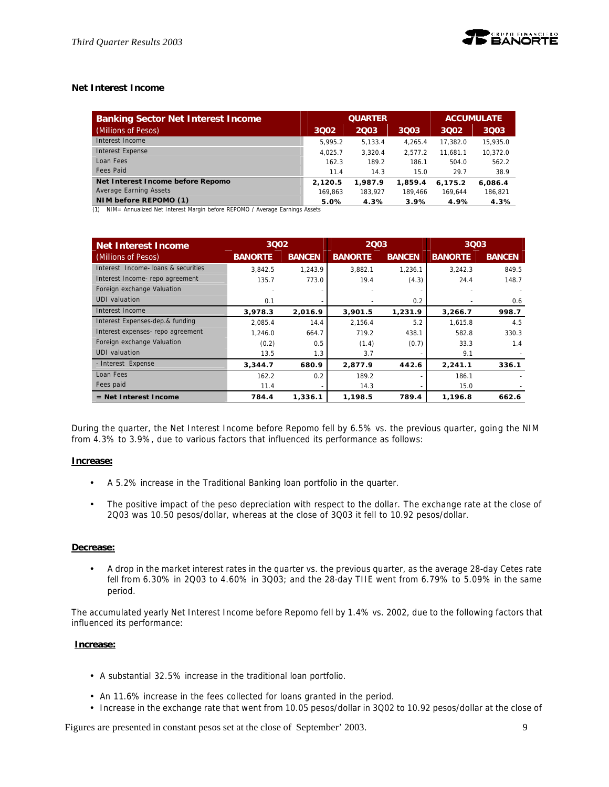# **Net Interest Income**

| <b>Banking Sector Net Interest Income</b> |         | <b>QUARTER</b> | <b>ACCUMULATE</b> |          |          |
|-------------------------------------------|---------|----------------|-------------------|----------|----------|
| (Millions of Pesos)                       | 3002    | 2003           | 3003              | 3002     | 3003     |
| Interest Income                           | 5.995.2 | 5.133.4        | 4.265.4           | 17.382.0 | 15,935.0 |
| Interest Expense                          | 4.025.7 | 3.320.4        | 2.577.2           | 11.681.1 | 10.372.0 |
| Loan Fees                                 | 162.3   | 189.2          | 186.1             | 504.0    | 562.2    |
| Fees Paid                                 | 11.4    | 14.3           | 15.0              | 29.7     | 38.9     |
| Net Interest Income before Repomo         | 2,120.5 | 1.987.9        | 1,859.4           | 6.175.2  | 6.086.4  |
| Average Earning Assets                    | 169.863 | 183.927        | 189.466           | 169.644  | 186,821  |
| NIM before REPOMO (1)                     | 5.0%    | 4.3%           | 3.9%              | 4.9%     | 4.3%     |

(1) NIM= Annualized Net Interest Margin before REPOMO / Average Earnings Assets

| Net Interest Income                | 3002           |               | 2003           |               | 3Q03           |               |
|------------------------------------|----------------|---------------|----------------|---------------|----------------|---------------|
| (Millions of Pesos)                | <b>BANORTE</b> | <b>BANCEN</b> | <b>BANORTE</b> | <b>BANCEN</b> | <b>BANORTE</b> | <b>BANCEN</b> |
| Interest Income-Joans & securities | 3.842.5        | 1.243.9       | 3,882.1        | 1.236.1       | 3.242.3        | 849.5         |
| Interest Income-repo agreement     | 135.7          | 773.0         | 19.4           | (4.3)         | 24.4           | 148.7         |
| Foreign exchange Valuation         |                |               |                |               |                |               |
| UDI valuation                      | 0.1            |               |                | 0.2           |                | 0.6           |
| Interest Income                    | 3,978.3        | 2,016.9       | 3,901.5        | 1,231.9       | 3.266.7        | 998.7         |
| Interest Expenses-dep.& funding    | 2.085.4        | 14.4          | 2.156.4        | 5.2           | 1.615.8        | 4.5           |
| Interest expenses- repo agreement  | 1.246.0        | 664.7         | 719.2          | 438.1         | 582.8          | 330.3         |
| Foreign exchange Valuation         | (0.2)          | 0.5           | (1.4)          | (0.7)         | 33.3           | 1.4           |
| UDI valuation                      | 13.5           | 1.3           | 3.7            |               | 9.1            |               |
| - Interest Expense                 | 3,344.7        | 680.9         | 2,877.9        | 442.6         | 2,241.1        | 336.1         |
| Loan Fees                          | 162.2          | 0.2           | 189.2          |               | 186.1          |               |
| Fees paid                          | 11.4           |               | 14.3           |               | 15.0           |               |
| $=$ Net Interest Income            | 784.4          | 1,336.1       | 1.198.5        | 789.4         | 1.196.8        | 662.6         |

During the quarter, the Net Interest Income before Repomo fell by 6.5% vs. the previous quarter, going the NIM from 4.3% to 3.9%, due to various factors that influenced its performance as follows:

#### **Increase:**

- A 5.2% increase in the Traditional Banking loan portfolio in the quarter.
- The positive impact of the peso depreciation with respect to the dollar. The exchange rate at the close of 2Q03 was 10.50 pesos/dollar, whereas at the close of 3Q03 it fell to 10.92 pesos/dollar.

#### **Decrease:**

• A drop in the market interest rates in the quarter vs. the previous quarter, as the average 28-day Cetes rate fell from 6.30% in 2Q03 to 4.60% in 3Q03; and the 28-day TIIE went from 6.79% to 5.09% in the same period.

The accumulated yearly Net Interest Income before Repomo fell by 1.4% vs. 2002, due to the following factors that influenced its performance:

#### **Increase:**

- A substantial 32.5% increase in the traditional loan portfolio.
- An 11.6% increase in the fees collected for loans granted in the period.
- Increase in the exchange rate that went from 10.05 pesos/dollar in 3Q02 to 10.92 pesos/dollar at the close of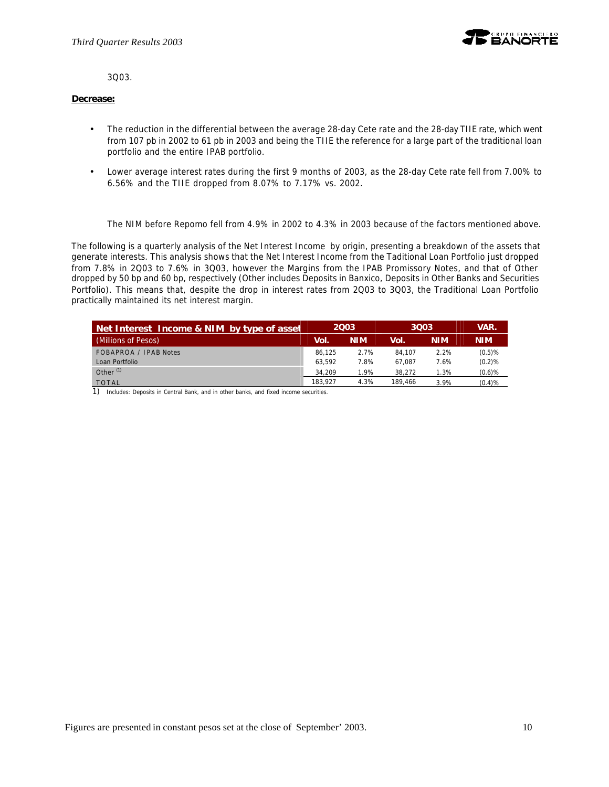

3Q03.

#### **Decrease:**

- The reduction in the differential between the average 28-day Cete rate and the 28-day TIIE rate, which went from 107 pb in 2002 to 61 pb in 2003 and being the TIIE the reference for a large part of the traditional loan portfolio and the entire IPAB portfolio.
- Lower average interest rates during the first 9 months of 2003, as the 28-day Cete rate fell from 7.00% to 6.56% and the TIIE dropped from 8.07% to 7.17% vs. 2002.

The NIM before Repomo fell from 4.9% in 2002 to 4.3% in 2003 because of the factors mentioned above.

The following is a quarterly analysis of the Net Interest Income by origin, presenting a breakdown of the assets that generate interests. This analysis shows that the Net Interest Income from the Taditional Loan Portfolio just dropped from 7.8% in 2Q03 to 7.6% in 3Q03, however the Margins from the IPAB Promissory Notes, and that of Other dropped by 50 bp and 60 bp, respectively (Other includes Deposits in Banxico, Deposits in Other Banks and Securities Portfolio). This means that, despite the drop in interest rates from 2Q03 to 3Q03, the Traditional Loan Portfolio practically maintained its net interest margin.

| Net Interest Income & NIM by type of asset | 2003    |            | 3003    |            | VAR.       |
|--------------------------------------------|---------|------------|---------|------------|------------|
| (Millions of Pesos)                        | Vol.    | <b>NIM</b> | Vol.    | <b>NIM</b> | <b>NIM</b> |
| FOBAPROA / IPAB Notes                      | 86.125  | 2.7%       | 84.107  | 2.2%       | (0.5)%     |
| Loan Portfolio                             | 63.592  | 7.8%       | 67.087  | 7.6%       | (0.2)%     |
| Other <sup>(1)</sup>                       | 34.209  | 1.9%       | 38.272  | 1.3%       | $(0.6)$ %  |
| <b>TOTAL</b><br>$\sim$ $\sim$              | 183.927 | 4.3%       | 189.466 | 3.9%       | (0.4)%     |

1) Includes: Deposits in Central Bank, and in other banks, and fixed income securities.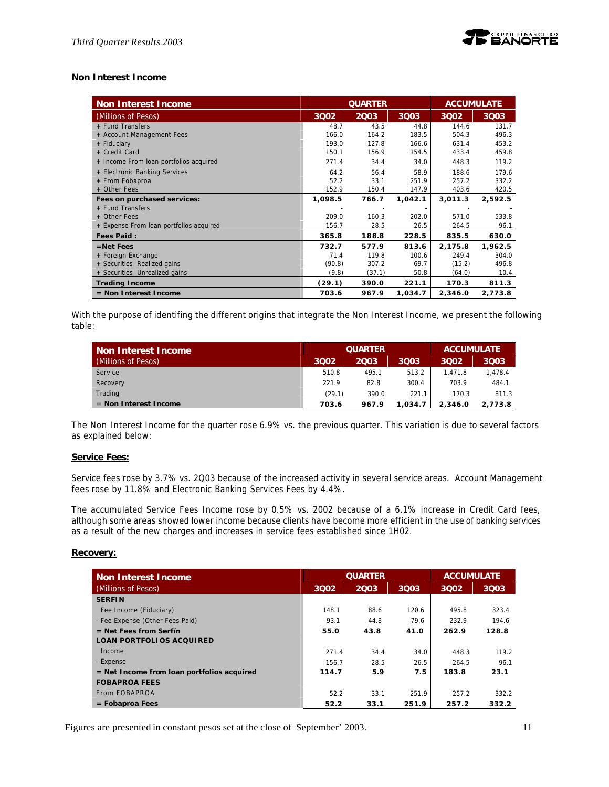

#### **Non Interest Income**

| <b>Non Interest Income</b>              | <b>QUARTER</b><br><b>ACCUMULATE</b> |        |         |         |         |
|-----------------------------------------|-------------------------------------|--------|---------|---------|---------|
| (Millions of Pesos)                     | 3002                                | 2003   | 3Q03    | 3002    | 3003    |
| + Fund Transfers                        | 48.7                                | 43.5   | 44.8    | 144.6   | 131.7   |
| + Account Management Fees               | 166.0                               | 164.2  | 183.5   | 504.3   | 496.3   |
| + Fiduciary                             | 193.0                               | 127.8  | 166.6   | 631.4   | 453.2   |
| + Credit Card                           | 150.1                               | 156.9  | 154.5   | 433.4   | 459.8   |
| + Income From loan portfolios acquired  | 271.4                               | 34.4   | 34.0    | 448.3   | 119.2   |
| + Electronic Banking Services           | 64.2                                | 56.4   | 58.9    | 188.6   | 179.6   |
| + From Fobaproa                         | 52.2                                | 33.1   | 251.9   | 257.2   | 332.2   |
| + Other Fees                            | 152.9                               | 150.4  | 147.9   | 403.6   | 420.5   |
| Fees on purchased services:             | 1,098.5                             | 766.7  | 1,042.1 | 3,011.3 | 2,592.5 |
| + Fund Transfers                        |                                     |        |         |         |         |
| + Other Fees                            | 209.0                               | 160.3  | 202.0   | 571.0   | 533.8   |
| + Expense From loan portfolios acquired | 156.7                               | 28.5   | 26.5    | 264.5   | 96.1    |
| <b>Fees Paid:</b>                       | 365.8                               | 188.8  | 228.5   | 835.5   | 630.0   |
| $=$ Net Fees                            | 732.7                               | 577.9  | 813.6   | 2,175.8 | 1,962.5 |
| + Foreign Exchange                      | 71.4                                | 119.8  | 100.6   | 249.4   | 304.0   |
| + Securities- Realized gains            | (90.8)                              | 307.2  | 69.7    | (15.2)  | 496.8   |
| + Securities- Unrealized gains          | (9.8)                               | (37.1) | 50.8    | (64.0)  | 10.4    |
| <b>Trading Income</b>                   | (29.1)                              | 390.0  | 221.1   | 170.3   | 811.3   |
| $=$ Non Interest Income                 | 703.6                               | 967.9  | 1,034.7 | 2,346.0 | 2,773.8 |

With the purpose of identifing the different origins that integrate the Non Interest Income, we present the following table:

| Non Interest Income     |        | <b>QUARTER</b> | <b>ACCUMULATE</b> |         |         |
|-------------------------|--------|----------------|-------------------|---------|---------|
| (Millions of Pesos)     | 3002   | 2003           | 3003              | 3002    | 3003    |
| Service                 | 510.8  | 495.1          | 513.2             | 1.471.8 | 1.478.4 |
| Recovery                | 221.9  | 82.8           | 300.4             | 703.9   | 484.1   |
| Trading                 | (29.1) | 390.0          | 221.1             | 170.3   | 811.3   |
| $=$ Non Interest Income | 703.6  | 967.9          | 1.034.7           | 2.346.0 | 2.773.8 |

The Non Interest Income for the quarter rose 6.9% vs. the previous quarter. This variation is due to several factors as explained below:

#### **Service Fees:**

Service fees rose by 3.7% vs. 2Q03 because of the increased activity in several service areas. Account Management fees rose by 11.8% and Electronic Banking Services Fees by 4.4%.

The accumulated Service Fees Income rose by 0.5% vs. 2002 because of a 6.1% increase in Credit Card fees, although some areas showed lower income because clients have become more efficient in the use of banking services as a result of the new charges and increases in service fees established since 1H02.

#### **Recovery:**

| Non Interest Income                          |       | <b>QUARTER</b> |       | <b>ACCUMULATE</b> |       |
|----------------------------------------------|-------|----------------|-------|-------------------|-------|
| (Millions of Pesos)                          | 3002  | 2003           | 3003  | 3002              | 3Q03  |
| <b>SERFIN</b>                                |       |                |       |                   |       |
| Fee Income (Fiduciary)                       | 148.1 | 88.6           | 120.6 | 495.8             | 323.4 |
| - Fee Expense (Other Fees Paid)              | 93.1  | 44.8           | 79.6  | 232.9             | 194.6 |
| $=$ Net Fees from Serfín                     | 55.0  | 43.8           | 41.0  | 262.9             | 128.8 |
| <b>LOAN PORTFOLIOS ACQUIRED</b>              |       |                |       |                   |       |
| Income                                       | 271.4 | 34.4           | 34.0  | 448.3             | 119.2 |
| - Expense                                    | 156.7 | 28.5           | 26.5  | 264.5             | 96.1  |
| $=$ Net Income from loan portfolios acquired | 114.7 | 5.9            | 7.5   | 183.8             | 23.1  |
| <b>FOBAPROA FEES</b>                         |       |                |       |                   |       |
| From FOBAPROA                                | 52.2  | 33.1           | 251.9 | 257.2             | 332.2 |
| $=$ Fobaproa Fees                            | 52.2  | 33.1           | 251.9 | 257.2             | 332.2 |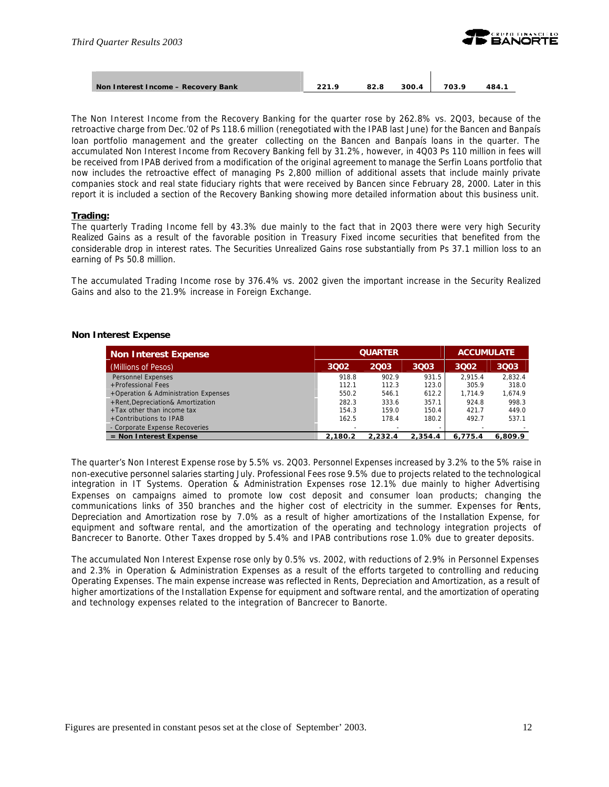

| Non Interest Income - Recovery Bank | <b>221 Q</b> | 82.8 | 300.4 | 703.9 | 484. |
|-------------------------------------|--------------|------|-------|-------|------|
|                                     |              |      |       |       |      |

The Non Interest Income from the Recovery Banking for the quarter rose by 262.8% vs. 2Q03, because of the retroactive charge from Dec.'02 of Ps 118.6 million (renegotiated with the IPAB last June) for the Bancen and Banpaís loan portfolio management and the greater collecting on the Bancen and Banpaís loans in the quarter. The accumulated Non Interest Income from Recovery Banking fell by 31.2%, however, in 4Q03 Ps 110 million in fees will be received from IPAB derived from a modification of the original agreement to manage the Serfin Loans portfolio that now includes the retroactive effect of managing Ps 2,800 million of additional assets that include mainly private companies stock and real state fiduciary rights that were received by Bancen since February 28, 2000. Later in this report it is included a section of the Recovery Banking showing more detailed information about this business unit.

#### **Trading:**

The quarterly Trading Income fell by 43.3% due mainly to the fact that in 2Q03 there were very high Security Realized Gains as a result of the favorable position in Treasury Fixed income securities that benefited from the considerable drop in interest rates. The Securities Unrealized Gains rose substantially from Ps 37.1 million loss to an earning of Ps 50.8 million.

The accumulated Trading Income rose by 376.4% vs. 2002 given the important increase in the Security Realized Gains and also to the 21.9% increase in Foreign Exchange.

#### **Non Interest Expense**

| <b>Non Interest Expense</b>          |         | <b>QUARTER</b> | <b>ACCUMULATE</b> |         |         |
|--------------------------------------|---------|----------------|-------------------|---------|---------|
| (Millions of Pesos)                  | 3Q02    | 2003           | 3003              | 3002    | 3Q03    |
| Personnel Expenses                   | 918.8   | 902.9          | 931.5             | 2.915.4 | 2.832.4 |
| +Professional Fees                   | 112.1   | 112.3          | 123.0             | 305.9   | 318.0   |
| +Operation & Administration Expenses | 550.2   | 546.1          | 612.2             | 1.714.9 | 1.674.9 |
| +Rent, Depreciation& Amortization    | 282.3   | 333.6          | 357.1             | 924.8   | 998.3   |
| $+$ Tax other than income tax        | 154.3   | 159.0          | 150.4             | 421.7   | 449.0   |
| +Contributions to IPAB               | 162.5   | 178.4          | 180.2             | 492.7   | 537.1   |
| - Corporate Expense Recoveries       |         |                |                   |         |         |
| $=$ Non Interest Expense             | 2.180.2 | 2.232.4        | 2.354.4           | 6.775.4 | 6.809.9 |

The quarter's Non Interest Expense rose by 5.5% vs. 2Q03. Personnel Expenses increased by 3.2% to the 5% raise in non-executive personnel salaries starting July. Professional Fees rose 9.5% due to projects related to the technological integration in IT Systems. Operation & Administration Expenses rose 12.1% due mainly to higher Advertising Expenses on campaigns aimed to promote low cost deposit and consumer loan products; changing the communications links of 350 branches and the higher cost of electricity in the summer. Expenses for Rents, Depreciation and Amortization rose by 7.0% as a result of higher amortizations of the Installation Expense, for equipment and software rental, and the amortization of the operating and technology integration projects of Bancrecer to Banorte. Other Taxes dropped by 5.4% and IPAB contributions rose 1.0% due to greater deposits.

The accumulated Non Interest Expense rose only by 0.5% vs. 2002, with reductions of 2.9% in Personnel Expenses and 2.3% in Operation & Administration Expenses as a result of the efforts targeted to controlling and reducing Operating Expenses. The main expense increase was reflected in Rents, Depreciation and Amortization, as a result of higher amortizations of the Installation Expense for equipment and software rental, and the amortization of operating and technology expenses related to the integration of Bancrecer to Banorte.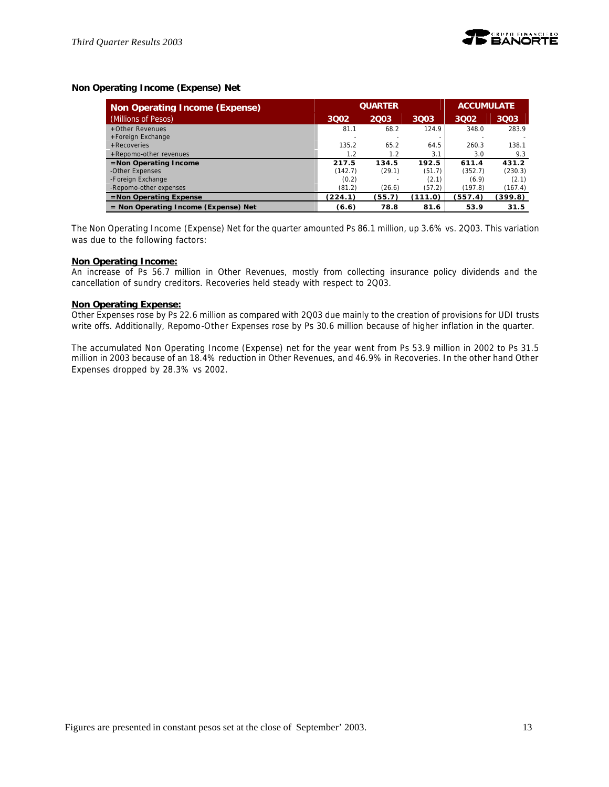# **Non Operating Income (Expense) Net**

| Non Operating Income (Expense)         |         | <b>QUARTER</b> | <b>ACCUMULATE</b> |         |         |
|----------------------------------------|---------|----------------|-------------------|---------|---------|
| (Millions of Pesos)                    | 3002    | 2003           | 3Q03              | 3002    | 3Q03    |
| +Other Revenues                        | 81.1    | 68.2           | 124.9             | 348.0   | 283.9   |
| +Foreign Exchange                      |         |                |                   |         |         |
| +Recoveries                            | 135.2   | 65.2           | 64.5              | 260.3   | 138.1   |
| +Repomo-other revenues                 | 1.2     | 1.2            | 3.1               | 3.0     | 9.3     |
| $=$ Non Operating Income               | 217.5   | 134.5          | 192.5             | 611.4   | 431.2   |
| -Other Expenses                        | (142.7) | (29.1)         | (51.7)            | (352.7) | (230.3) |
| -Foreign Exchange                      | (0.2)   |                | (2.1)             | (6.9)   | (2.1)   |
| -Repomo-other expenses                 | (81.2)  | (26.6)         | (57.2)            | (197.8) | (167.4) |
| $=$ Non Operating Expense              | (224.1) | (55.7)         | (111.0)           | (557.4) | (399.8) |
| $=$ Non Operating Income (Expense) Net | (6.6)   | 78.8           | 81.6              | 53.9    | 31.5    |

The Non Operating Income (Expense) Net for the quarter amounted Ps 86.1 million, up 3.6% vs. 2Q03. This variation was due to the following factors:

#### **Non Operating Income:**

An increase of Ps 56.7 million in Other Revenues, mostly from collecting insurance policy dividends and the cancellation of sundry creditors. Recoveries held steady with respect to 2Q03.

#### **Non Operating Expense:**

Other Expenses rose by Ps 22.6 million as compared with 2Q03 due mainly to the creation of provisions for UDI trusts write offs. Additionally, Repomo-Other Expenses rose by Ps 30.6 million because of higher inflation in the quarter.

The accumulated Non Operating Income (Expense) net for the year went from Ps 53.9 million in 2002 to Ps 31.5 million in 2003 because of an 18.4% reduction in Other Revenues, and 46.9% in Recoveries. In the other hand Other Expenses dropped by 28.3% vs 2002.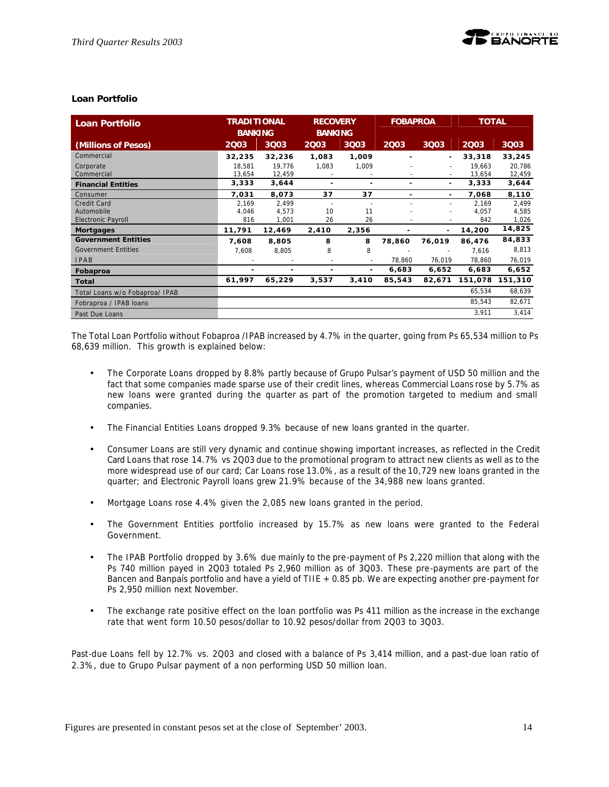# **Loan Portfolio**

| <b>Loan Portfolio</b>          | <b>TRADITIONAL</b><br><b>BANKING</b> |        | <b>RECOVERY</b><br><b>BANKING</b> |                          |        |                          | <b>FOBAPROA</b> |         |  |  | <b>TOTAL</b> |  |
|--------------------------------|--------------------------------------|--------|-----------------------------------|--------------------------|--------|--------------------------|-----------------|---------|--|--|--------------|--|
| (Millions of Pesos)            | 2003                                 | 3Q03   | 2003                              | 3003                     | 2003   | 3Q03                     | 2003            | 3Q03    |  |  |              |  |
| Commercial                     | 32,235                               | 32,236 | 1,083                             | 1,009                    |        | ٠                        | 33,318          | 33,245  |  |  |              |  |
| Corporate                      | 18,581                               | 19.776 | 1,083                             | 1,009                    |        | $\sim$                   | 19.663          | 20,786  |  |  |              |  |
| Commercial                     | 13,654                               | 12,459 | $\overline{\phantom{a}}$          |                          |        | $\overline{\phantom{a}}$ | 13,654          | 12,459  |  |  |              |  |
| <b>Financial Entities</b>      | 3,333                                | 3,644  | ٠                                 | ٠                        |        | ٠                        | 3,333           | 3,644   |  |  |              |  |
| Consumer                       | 7,031                                | 8,073  | 37                                | 37                       | ۰      | ٠                        | 7,068           | 8,110   |  |  |              |  |
| Credit Card                    | 2,169                                | 2,499  |                                   |                          |        |                          | 2,169           | 2,499   |  |  |              |  |
| Automobile                     | 4,046                                | 4,573  | 10                                | 11                       |        |                          | 4.057           | 4,585   |  |  |              |  |
| <b>Electronic Payroll</b>      | 816                                  | 1,001  | 26                                | 26                       |        |                          | 842             | 1,026   |  |  |              |  |
| <b>Mortgages</b>               | 11,791                               | 12,469 | 2,410                             | 2,356                    |        | $\overline{\phantom{0}}$ | 14,200          | 14,825  |  |  |              |  |
| <b>Government Entities</b>     | 7,608                                | 8,805  | 8                                 | 8                        | 78,860 | 76,019                   | 86,476          | 84,833  |  |  |              |  |
| <b>Government Entities</b>     | 7,608                                | 8,805  | 8                                 | 8                        |        |                          | 7,616           | 8,813   |  |  |              |  |
| <b>IPAB</b>                    |                                      |        | $\sim$                            | $\overline{\phantom{a}}$ | 78,860 | 76,019                   | 78,860          | 76,019  |  |  |              |  |
| Fobaproa                       | ٠                                    |        | ٠                                 | ۰                        | 6,683  | 6,652                    | 6,683           | 6,652   |  |  |              |  |
| Total                          | 61,997                               | 65,229 | 3,537                             | 3,410                    | 85,543 | 82,671                   | 151,078         | 151,310 |  |  |              |  |
| Total Loans w/o Fobaproa/ IPAB |                                      |        |                                   |                          |        |                          | 65,534          | 68,639  |  |  |              |  |
| Fobraproa / IPAB loans         |                                      |        |                                   |                          |        |                          | 85,543          | 82,671  |  |  |              |  |
| Past Due Loans                 |                                      |        |                                   |                          |        |                          | 3,911           | 3,414   |  |  |              |  |

The Total Loan Portfolio without Fobaproa /IPAB increased by 4.7% in the quarter, going from Ps 65,534 million to Ps 68,639 million. This growth is explained below:

- The Corporate Loans dropped by 8.8% partly because of Grupo Pulsar's payment of USD 50 million and the fact that some companies made sparse use of their credit lines, whereas Commercial Loans rose by 5.7% as new loans were granted during the quarter as part of the promotion targeted to medium and small companies.
- The Financial Entities Loans dropped 9.3% because of new loans granted in the quarter.
- Consumer Loans are still very dynamic and continue showing important increases, as reflected in the Credit Card Loans that rose 14.7% vs 2Q03 due to the promotional program to attract new clients as well as to the more widespread use of our card; Car Loans rose 13.0%, as a result of the 10,729 new loans granted in the quarter; and Electronic Payroll loans grew 21.9% because of the 34,988 new loans granted.
- Mortgage Loans rose 4.4% given the 2,085 new loans granted in the period.
- The Government Entities portfolio increased by 15.7% as new loans were granted to the Federal Government.
- The IPAB Portfolio dropped by 3.6% due mainly to the pre-payment of Ps 2,220 million that along with the Ps 740 million payed in 2Q03 totaled Ps 2,960 million as of 3Q03. These pre-payments are part of the Bancen and Banpaís portfolio and have a yield of TIIE + 0.85 pb. We are expecting another pre-payment for Ps 2,950 million next November.
- The exchange rate positive effect on the loan portfolio was Ps 411 million as the increase in the exchange rate that went form 10.50 pesos/dollar to 10.92 pesos/dollar from 2Q03 to 3Q03.

Past-due Loans fell by 12.7% vs. 2Q03 and closed with a balance of Ps 3,414 million, and a past-due loan ratio of 2.3%, due to Grupo Pulsar payment of a non performing USD 50 million loan.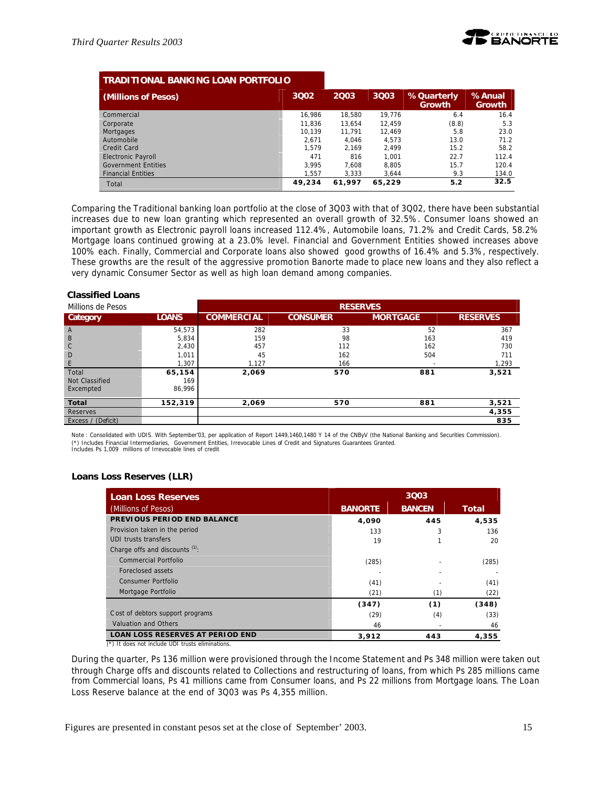

| <b>TRADITIONAL BANKING LOAN PORTFOLIO</b> |        |        |        |                                    |                  |
|-------------------------------------------|--------|--------|--------|------------------------------------|------------------|
| (Millions of Pesos)                       | 3002   | 2003   | 3Q03   | <b>%Quarterly</b><br><b>Growth</b> | %Anual<br>Growth |
| Commercial                                | 16.986 | 18.580 | 19.776 | 6.4                                | 16.4             |
| Corporate                                 | 11.836 | 13.654 | 12.459 | (8.8)                              | 5.3              |
| Mortgages                                 | 10.139 | 11.791 | 12.469 | 5.8                                | 23.0             |
| Automobile                                | 2.671  | 4.046  | 4.573  | 13.0                               | 71.2             |
| Credit Card                               | 1.579  | 2.169  | 2.499  | 15.2                               | 58.2             |
| <b>Electronic Payroll</b>                 | 471    | 816    | 1.001  | 22.7                               | 112.4            |
| <b>Government Entities</b>                | 3.995  | 7.608  | 8,805  | 15.7                               | 120.4            |
| <b>Financial Entities</b>                 | 1.557  | 3.333  | 3,644  | 9.3                                | 134.0            |
| Total                                     | 49.234 | 61.997 | 65.229 | 5.2                                | 32.5             |

Comparing the Traditional banking loan portfolio at the close of 3Q03 with that of 3Q02, there have been substantial increases due to new loan granting which represented an overall growth of 32.5%. Consumer loans showed an important growth as Electronic payroll loans increased 112.4%, Automobile loans, 71.2% and Credit Cards, 58.2% Mortgage loans continued growing at a 23.0% level. Financial and Government Entities showed increases above 100% each. Finally, Commercial and Corporate loans also showed good growths of 16.4% and 5.3%, respectively. These growths are the result of the aggressive promotion Banorte made to place new loans and they also reflect a very dynamic Consumer Sector as well as high loan demand among companies.

#### **Classified Loans**

| Millions de Pesos  |              | <b>RESERVES</b>   |                 |                 |                 |  |
|--------------------|--------------|-------------------|-----------------|-----------------|-----------------|--|
| Category           | <b>LOANS</b> | <b>COMMERCIAL</b> | <b>CONSUMER</b> | <b>MORTGAGE</b> | <b>RESERVES</b> |  |
| $\overline{A}$     | 54,573       | 282               | 33              | 52              | 367             |  |
| B                  | 5,834        | 159               | 98              | 163             | 419             |  |
| C                  | 2,430        | 457               | 112             | 162             | 730             |  |
| D                  | 1,011        | 45                | 162             | 504             | 711             |  |
| E                  | 1.307        | 1,127             | 166             |                 | 1,293           |  |
| Total              | 65,154       | 2,069             | 570             | 881             | 3,521           |  |
| Not Classified     | 169          |                   |                 |                 |                 |  |
| Excempted          | 86.996       |                   |                 |                 |                 |  |
| Total              | 152,319      | 2,069             | 570             | 881             | 3,521           |  |
| Reserves           |              |                   |                 |                 | 4,355           |  |
| Excess / (Deficit) |              |                   |                 |                 | 835             |  |

Note : Consolidated with UDIS. With September'03, per application of Report 1449,1460,1480 Y 14 of the CNByV (the National Banking and Securities Commission). (\*) Includes Financial Intermediaries, Government Entities, Irrevocable Lines of Credit and Signatures Guarantees Granted. Includes Ps 1,009 millions of Irrevocable lines of credit

#### **Loans Loss Reserves (LLR)**

| <b>Loan Loss Reserves</b>               | 3Q03           |               |       |  |
|-----------------------------------------|----------------|---------------|-------|--|
| (Millions of Pesos)                     | <b>BANORTE</b> | <b>BANCEN</b> | Total |  |
| PREVIOUS PERIOD END BALANCE             | 4,090          | 445           | 4,535 |  |
| Provision taken in the period           | 133            | 3             | 136   |  |
| UDI trusts transfers                    | 19             |               | 20    |  |
| Charge offs and discounts (1):          |                |               |       |  |
| Commercial Portfolio                    | (285)          |               | (285) |  |
| Foreclosed assets                       |                |               |       |  |
| <b>Consumer Portfolio</b>               | (41)           |               | (41)  |  |
| Mortgage Portfolio                      | (21)           | (1)           | (22)  |  |
|                                         | (347)          | (1)           | (348) |  |
| C ost of debtors support programs       | (29)           | (4)           | (33)  |  |
| Valuation and Others                    | 46             |               | 46    |  |
| <b>LOAN LOSS RESERVES AT PERIOD END</b> | 3,912          | 443           | 4,355 |  |

(\*) It does not include UDI trusts eliminations.

During the quarter, Ps 136 million were provisioned through the Income Statement and Ps 348 million were taken out through Charge offs and discounts related to Collections and restructuring of loans, from which Ps 285 millions came from Commercial loans, Ps 41 millions came from Consumer loans, and Ps 22 millions from Mortgage loans. The Loan Loss Reserve balance at the end of 3Q03 was Ps 4,355 million.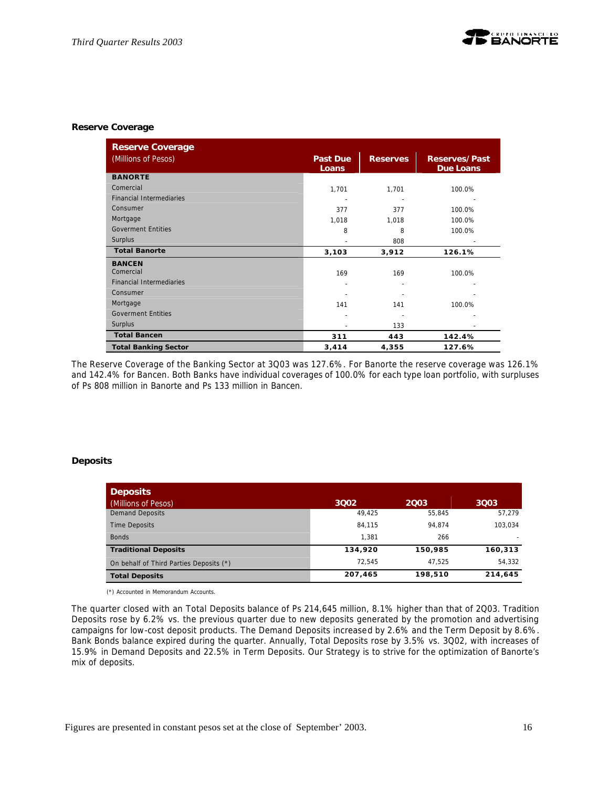#### **Reserve Coverage**

| <b>Reserve Coverage</b>         |                          |                 |                                          |
|---------------------------------|--------------------------|-----------------|------------------------------------------|
| (Millions of Pesos)             | <b>Past Due</b><br>Loans | <b>Reserves</b> | <b>Reserves/Past</b><br><b>Due Loans</b> |
| <b>BANORTE</b>                  |                          |                 |                                          |
| Comercial                       | 1,701                    | 1,701           | 100.0%                                   |
| <b>Financial Intermediaries</b> |                          |                 |                                          |
| Consumer                        | 377                      | 377             | 100.0%                                   |
| Mortgage                        | 1,018                    | 1,018           | 100.0%                                   |
| <b>Goverment Entities</b>       | 8                        | 8               | 100.0%                                   |
| Surplus                         |                          | 808             |                                          |
| <b>Total Banorte</b>            | 3,103                    | 3,912           | 126.1%                                   |
| <b>BANCEN</b>                   |                          |                 |                                          |
| Comercial                       | 169                      | 169             | 100.0%                                   |
| <b>Financial Intermediaries</b> | ٠                        |                 |                                          |
| Consumer                        |                          |                 |                                          |
| Mortgage                        | 141                      | 141             | 100.0%                                   |
| <b>Goverment Entities</b>       |                          |                 |                                          |
| Surplus                         |                          | 133             |                                          |
| <b>Total Bancen</b>             | 311                      | 443             | 142.4%                                   |
| <b>Total Banking Sector</b>     | 3,414                    | 4,355           | 127.6%                                   |

The Reserve Coverage of the Banking Sector at 3Q03 was 127.6%. For Banorte the reserve coverage was 126.1% and 142.4% for Bancen. Both Banks have individual coverages of 100.0% for each type loan portfolio, with surpluses of Ps 808 million in Banorte and Ps 133 million in Bancen.

#### **Deposits**

| <b>Deposits</b>                         |         |         |         |
|-----------------------------------------|---------|---------|---------|
| (Millions of Pesos)                     | 3002    | 2003    | 3003    |
| <b>Demand Deposits</b>                  | 49,425  | 55,845  | 57,279  |
| <b>Time Deposits</b>                    | 84.115  | 94.874  | 103.034 |
| <b>Bonds</b>                            | 1.381   | 266     |         |
| <b>Traditional Deposits</b>             | 134,920 | 150,985 | 160,313 |
| On behalf of Third Parties Deposits (*) | 72.545  | 47.525  | 54,332  |
| <b>Total Deposits</b>                   | 207,465 | 198,510 | 214,645 |

(\*) Accounted in Memorandum Accounts.

The quarter closed with an Total Deposits balance of Ps 214,645 million, 8.1% higher than that of 2Q03. Tradition Deposits rose by 6.2% vs. the previous quarter due to new deposits generated by the promotion and advertising campaigns for low-cost deposit products. The Demand Deposits increased by 2.6% and the Term Deposit by 8.6%. Bank Bonds balance expired during the quarter. Annually, Total Deposits rose by 3.5% vs. 3Q02, with increases of 15.9% in Demand Deposits and 22.5% in Term Deposits. Our Strategy is to strive for the optimization of Banorte's mix of deposits.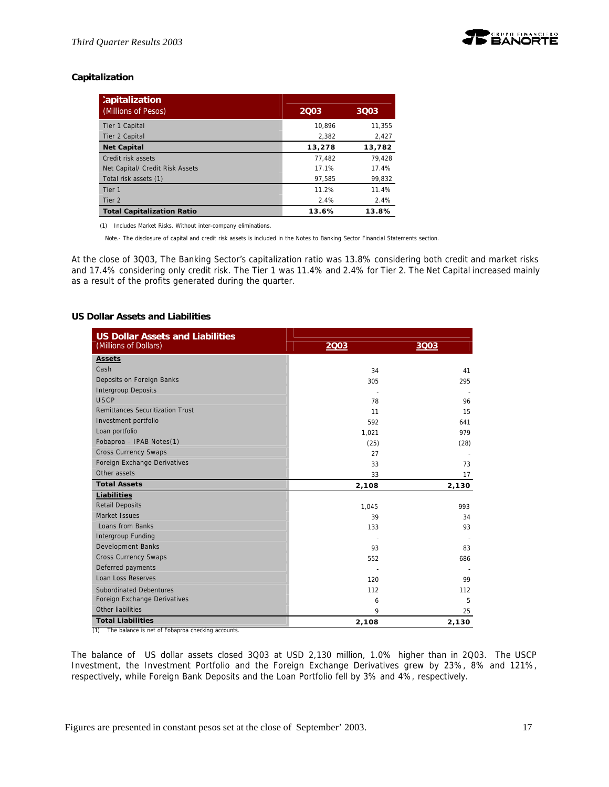# **Capitalization**

| :apitalization                    |        |        |
|-----------------------------------|--------|--------|
| (Millions of Pesos)               | 2003   | 3003   |
| Tier 1 Capital                    | 10.896 | 11.355 |
| Tier 2 Capital                    | 2.382  | 2,427  |
| <b>Net Capital</b>                | 13,278 | 13,782 |
| Credit risk assets                | 77.482 | 79.428 |
| Net Capital/ Credit Risk Assets   | 17.1%  | 17.4%  |
| Total risk assets (1)             | 97.585 | 99.832 |
| Tier <sub>1</sub>                 | 11.2%  | 11.4%  |
| Tier 2                            | 2.4%   | 2.4%   |
| <b>Total Capitalization Ratio</b> | 13.6%  | 13.8%  |

(1) Includes Market Risks. Without inter-company eliminations.

Note.- The disclosure of capital and credit risk assets is included in the Notes to Banking Sector Financial Statements section.

At the close of 3Q03, The Banking Sector's capitalization ratio was 13.8% considering both credit and market risks and 17.4% considering only credit risk. The Tier 1 was 11.4% and 2.4% for Tier 2. The Net Capital increased mainly as a result of the profits generated during the quarter.

### **US Dollar Assets and Liabilities**

| <b>US Dollar Assets and Liabilities</b><br>(Millions of Dollars) | 2003  | 3003  |
|------------------------------------------------------------------|-------|-------|
| Assets                                                           |       |       |
| Cash                                                             | 34    | 41    |
| Deposits on Foreign Banks                                        | 305   | 295   |
| <b>Intergroup Deposits</b>                                       |       |       |
| <b>USCP</b>                                                      | 78    | 96    |
| <b>Remittances Securitization Trust</b>                          | 11    | 15    |
| Investment portfolio                                             | 592   | 641   |
| Loan portfolio                                                   | 1,021 | 979   |
| Fobaproa - IPAB Notes(1)                                         | (25)  | (28)  |
| <b>Cross Currency Swaps</b>                                      | 27    |       |
| Foreign Exchange Derivatives                                     | 33    | 73    |
| Other assets                                                     | 33    | 17    |
| <b>Total Assets</b>                                              | 2,108 | 2,130 |
| Liabilities                                                      |       |       |
| <b>Retail Deposits</b>                                           | 1,045 | 993   |
| Market Issues                                                    | 39    | 34    |
| Loans from Banks                                                 | 133   | 93    |
| Intergroup Funding                                               |       |       |
| <b>Development Banks</b>                                         | 93    | 83    |
| <b>Cross Currency Swaps</b>                                      | 552   | 686   |
| Deferred payments                                                |       |       |
| Loan Loss Reserves                                               | 120   | 99    |
| <b>Subordinated Debentures</b>                                   | 112   | 112   |
| Foreign Exchange Derivatives                                     | 6     | 5     |
| Other liabilities                                                | 9     | 25    |
| <b>Total Liabilities</b>                                         | 2,108 | 2,130 |

(1) The balance is net of Fobaproa checking accounts.

The balance of US dollar assets closed 3Q03 at USD 2,130 million, 1.0% higher than in 2Q03. The USCP Investment, the Investment Portfolio and the Foreign Exchange Derivatives grew by 23%, 8% and 121%, respectively, while Foreign Bank Deposits and the Loan Portfolio fell by 3% and 4%, respectively.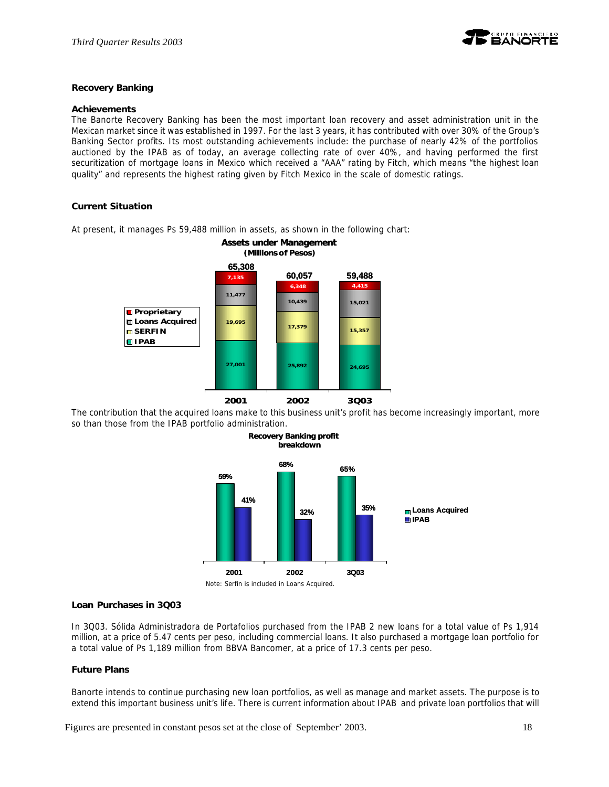

# **Recovery Banking**

#### **Achievements**

The Banorte Recovery Banking has been the most important loan recovery and asset administration unit in the Mexican market since it was established in 1997. For the last 3 years, it has contributed with over 30% of the Group's Banking Sector profits. Its most outstanding achievements include: the purchase of nearly 42% of the portfolios auctioned by the IPAB as of today, an average collecting rate of over 40%, and having performed the first securitization of mortgage loans in Mexico which received a "AAA" rating by Fitch, which means "the highest loan quality" and represents the highest rating given by Fitch Mexico in the scale of domestic ratings.

### **Current Situation**



At present, it manages Ps 59,488 million in assets, as shown in the following chart:

The contribution that the acquired loans make to this business unit's profit has become increasingly important, more so than those from the IPAB portfolio administration.



#### **Loan Purchases in 3Q03**

In 3Q03. Sólida Administradora de Portafolios purchased from the IPAB 2 new loans for a total value of Ps 1,914 million, at a price of 5.47 cents per peso, including commercial loans. It also purchased a mortgage loan portfolio for a total value of Ps 1,189 million from BBVA Bancomer, at a price of 17.3 cents per peso.

#### **Future Plans**

Banorte intends to continue purchasing new loan portfolios, as well as manage and market assets. The purpose is to extend this important business unit's life. There is current information about IPAB and private loan portfolios that will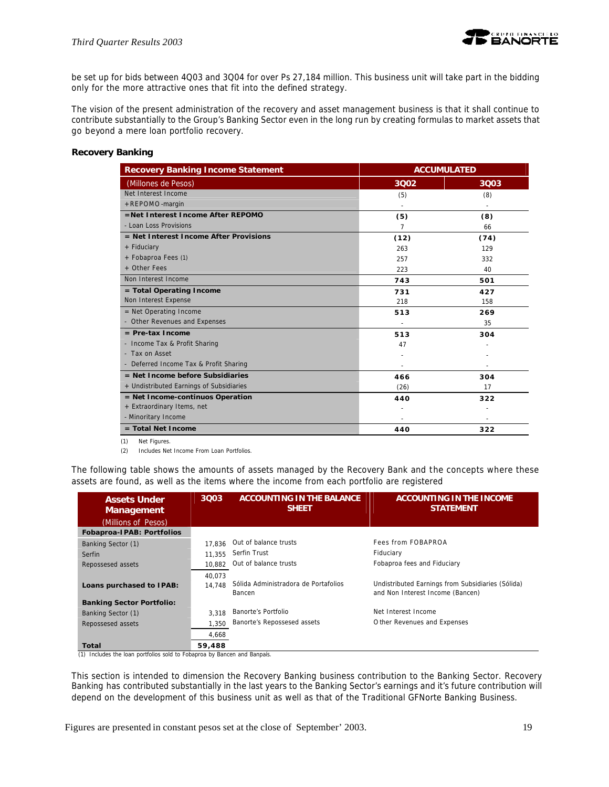

be set up for bids between 4Q03 and 3Q04 for over Ps 27,184 million. This business unit will take part in the bidding only for the more attractive ones that fit into the defined strategy.

The vision of the present administration of the recovery and asset management business is that it shall continue to contribute substantially to the Group's Banking Sector even in the long run by creating formulas to market assets that go beyond a mere loan portfolio recovery.

# **Recovery Banking**

| <b>Recovery Banking Income Statement</b> | <b>ACCUMULATED</b> |      |
|------------------------------------------|--------------------|------|
| (Millones de Pesos)                      | 3002               | 3Q03 |
| Net Interest Income                      | (5)                | (8)  |
| +REPOMO-margin                           |                    |      |
| =Net Interest Income After REPOMO        | (5)                | (8)  |
| - Loan Loss Provisions                   | $\overline{7}$     | 66   |
| = Net Interest Income After Provisions   | (12)               | (74) |
| + Fiduciary                              | 263                | 129  |
| + Fobaproa Fees (1)                      | 257                | 332  |
| + Other Fees                             | 223                | 40   |
| Non Interest Income                      | 743                | 501  |
| = Total Operating Income                 | 731                | 427  |
| Non Interest Expense                     | 218                | 158  |
| $=$ Net Operating Income                 | 513                | 269  |
| - Other Revenues and Expenses            |                    | 35   |
| $=$ Pre-tax Income                       | 513                | 304  |
| - Income Tax & Profit Sharing            | 47                 |      |
| - Tax on Asset                           |                    |      |
| - Deferred Income Tax & Profit Sharing   |                    |      |
| $=$ Net Income before Subsidiaries       | 466                | 304  |
| + Undistributed Earnings of Subsidiaries | (26)               | 17   |
| = Net Income-continuos Operation         | 440                | 322  |
| + Extraordinary Items, net               |                    |      |
| - Minoritary Income                      |                    |      |
| $=$ Total Net Income                     | 440                | 322  |

(1) Net Figures.

(2) Includes Net Income From Loan Portfolios.

The following table shows the amounts of assets managed by the Recovery Bank and the concepts where these assets are found, as well as the items where the income from each portfolio are registered

| <b>Assets Under</b><br><b>Management</b><br>(Millions of Pesos) | 3003             | <b>ACCOUNTING IN THE BALANCE</b><br><b>SHEET</b> | ACCOUNTING IN THE INCOME<br><b>STATEMENT</b>                                          |
|-----------------------------------------------------------------|------------------|--------------------------------------------------|---------------------------------------------------------------------------------------|
| Fobaproa-IPAB: Portfolios                                       |                  |                                                  |                                                                                       |
| Banking Sector (1)                                              | 17.836           | Out of balance trusts                            | Fees from FOBAPROA                                                                    |
| Serfin                                                          | 11.355           | Serfin Trust                                     | Fiduciary                                                                             |
| Repossesed assets                                               | 10.882           | Out of balance trusts                            | Fobaproa fees and Fiduciary                                                           |
| Loans purchased to IPAB:                                        | 40,073<br>14.748 | Sólida Administradora de Portafolios<br>Bancen   | Undistributed Earnings from Subsidiaries (Sólida)<br>and Non Interest Income (Bancen) |
| <b>Banking Sector Portfolio:</b>                                |                  |                                                  |                                                                                       |
| Banking Sector (1)                                              | 3.318            | Banorte's Portfolio                              | Net Interest Income                                                                   |
| Repossesed assets                                               | 1.350            | Banorte's Repossesed assets                      | O ther Revenues and Expenses                                                          |
|                                                                 | 4.668            |                                                  |                                                                                       |
| Total<br>.<br>.                                                 | 59,488           | . .                                              |                                                                                       |

(1) Includes the loan portfolios sold to Fobaproa by Bancen and Banpaís.

This section is intended to dimension the Recovery Banking business contribution to the Banking Sector. Recovery Banking has contributed substantially in the last years to the Banking Sector's earnings and it's future contribution will depend on the development of this business unit as well as that of the Traditional GFNorte Banking Business.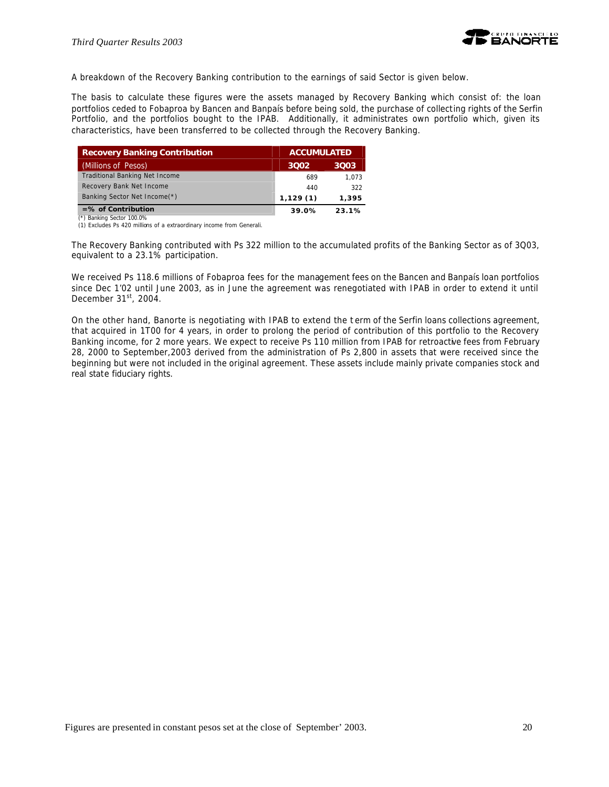

A breakdown of the Recovery Banking contribution to the earnings of said Sector is given below.

The basis to calculate these figures were the assets managed by Recovery Banking which consist of: the loan portfolios ceded to Fobaproa by Bancen and Banpaís before being sold, the purchase of collecting rights of the Serfin Portfolio, and the portfolios bought to the IPAB. Additionally, it administrates own portfolio which, given its characteristics, have been transferred to be collected through the Recovery Banking.

| <b>Recovery Banking Contribution</b>  | <b>ACCUMULATED</b> |       |  |
|---------------------------------------|--------------------|-------|--|
| (Millions of Pesos)                   | 3002               | 3003. |  |
| <b>Traditional Banking Net Income</b> | 689                | 1.073 |  |
| Recovery Bank Net Income              | 440                | 322   |  |
| Banking Sector Net Income(*)          | 1,129(1)           | 1.395 |  |
| $=$ % of Contribution                 | 39.0%              | 23.1% |  |

 (\*) Banking Sector 100.0% (1) Excludes Ps 420 millions of a extraordinary income from Generali.

The Recovery Banking contributed with Ps 322 million to the accumulated profits of the Banking Sector as of 3Q03, equivalent to a 23.1% participation.

We received Ps 118.6 millions of Fobaproa fees for the management fees on the Bancen and Banpaís loan portfolios since Dec 1'02 until June 2003, as in June the agreement was renegotiated with IPAB in order to extend it until December 31st, 2004.

On the other hand, Banorte is negotiating with IPAB to extend the t erm of the Serfin loans collections agreement, that acquired in 1T00 for 4 years, in order to prolong the period of contribution of this portfolio to the Recovery Banking income, for 2 more years. We expect to receive Ps 110 million from IPAB for retroactive fees from February 28, 2000 to September,2003 derived from the administration of Ps 2,800 in assets that were received since the beginning but were not included in the original agreement. These assets include mainly private companies stock and real state fiduciary rights.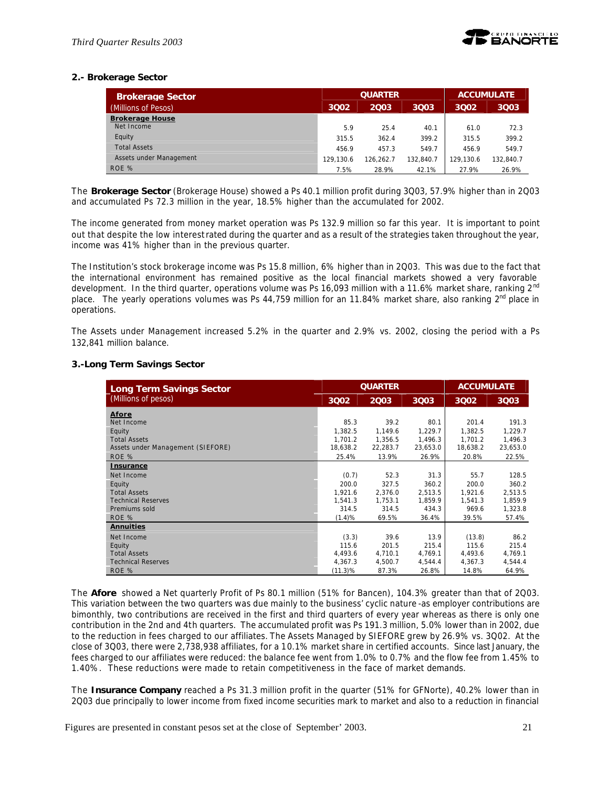

# **2.- Brokerage Sector**

| <b>Brokerage Sector</b> |           | <b>QUARTER</b> |           |           | <b>ACCUMULATE</b> |
|-------------------------|-----------|----------------|-----------|-----------|-------------------|
| (Millions of Pesos)     | 3002      | 2003           | 3003      | 3002      | 3Q03              |
| <b>Brokerage House</b>  |           |                |           |           |                   |
| Net Income              | 5.9       | 25.4           | 40.1      | 61.0      | 72.3              |
| Equity                  | 315.5     | 362.4          | 399.2     | 315.5     | 399.2             |
| <b>Total Assets</b>     | 456.9     | 457.3          | 549.7     | 456.9     | 549.7             |
| Assets under Management | 129.130.6 | 126.262.7      | 132.840.7 | 129.130.6 | 132.840.7         |
| ROE %                   | 7.5%      | 28.9%          | 42.1%     | 27.9%     | 26.9%             |

The *Brokerage Sector* (Brokerage House) showed a Ps 40.1 million profit during 3Q03, 57.9% higher than in 2Q03 and accumulated Ps 72.3 million in the year, 18.5% higher than the accumulated for 2002.

The income generated from money market operation was Ps 132.9 million so far this year. It is important to point out that despite the low interest rated during the quarter and as a result of the strategies taken throughout the year, income was 41% higher than in the previous quarter.

The Institution's stock brokerage income was Ps 15.8 million, 6% higher than in 2Q03. This was due to the fact that the international environment has remained positive as the local financial markets showed a very favorable development. In the third quarter, operations volume was Ps 16,093 million with a 11.6% market share, ranking 2<sup>nd</sup> place. The yearly operations volumes was Ps 44,759 million for an 11.84% market share, also ranking  $2^{nd}$  place in operations.

The Assets under Management increased 5.2% in the quarter and 2.9% vs. 2002, closing the period with a Ps 132,841 million balance.

### **3.-Long Term Savings Sector**

| <b>Long Term Savings Sector</b>   | <b>QUARTER</b> |             |          | <b>ACCUMULATE</b> |          |
|-----------------------------------|----------------|-------------|----------|-------------------|----------|
| (Millions of pesos)               | 3002           | <b>2Q03</b> | 3Q03     | 3002              | 3Q03     |
| Afore                             |                |             |          |                   |          |
| Net Income                        | 85.3           | 39.2        | 80.1     | 201.4             | 191.3    |
| Equity                            | 1,382.5        | 1.149.6     | 1,229.7  | 1,382.5           | 1,229.7  |
| <b>Total Assets</b>               | 1.701.2        | 1,356.5     | 1,496.3  | 1.701.2           | 1,496.3  |
| Assets under Management (SIEFORE) | 18,638.2       | 22,283.7    | 23,653.0 | 18,638.2          | 23,653.0 |
| ROE %                             | 25.4%          | 13.9%       | 26.9%    | 20.8%             | 22.5%    |
| <b>Insurance</b>                  |                |             |          |                   |          |
| Net Income                        | (0.7)          | 52.3        | 31.3     | 55.7              | 128.5    |
| Equity                            | 200.0          | 327.5       | 360.2    | 200.0             | 360.2    |
| <b>Total Assets</b>               | 1,921.6        | 2,376.0     | 2,513.5  | 1,921.6           | 2,513.5  |
| <b>Technical Reserves</b>         | 1,541.3        | 1,753.1     | 1,859.9  | 1,541.3           | 1,859.9  |
| Premiums sold                     | 314.5          | 314.5       | 434.3    | 969.6             | 1,323.8  |
| ROE %                             | (1.4)%         | 69.5%       | 36.4%    | 39.5%             | 57.4%    |
| <b>Annuities</b>                  |                |             |          |                   |          |
| Net Income                        | (3.3)          | 39.6        | 13.9     | (13.8)            | 86.2     |
| Equity                            | 115.6          | 201.5       | 215.4    | 115.6             | 215.4    |
| <b>Total Assets</b>               | 4,493.6        | 4,710.1     | 4,769.1  | 4,493.6           | 4,769.1  |
| <b>Technical Reserves</b>         | 4,367.3        | 4,500.7     | 4,544.4  | 4,367.3           | 4,544.4  |
| ROE %                             | (11.3)%        | 87.3%       | 26.8%    | 14.8%             | 64.9%    |

The *Afore* showed a Net quarterly Profit of Ps 80.1 million (51% for Bancen), 104.3% greater than that of 2Q03. This variation between the two quarters was due mainly to the business' cyclic nature -as employer contributions are bimonthly, two contributions are received in the first and third quarters of every year whereas as there is only one contribution in the 2nd and 4th quarters. The accumulated profit was Ps 191.3 million, 5.0% lower than in 2002, due to the reduction in fees charged to our affiliates. The Assets Managed by SIEFORE grew by 26.9% vs. 3Q02. At the close of 3Q03, there were 2,738,938 affiliates, for a 10.1% market share in certified accounts. Since last January, the fees charged to our affiliates were reduced: the balance fee went from 1.0% to 0.7% and the flow fee from 1.45% to 1.40%. These reductions were made to retain competitiveness in the face of market demands.

The *Insurance Company* reached a Ps 31.3 million profit in the quarter (51% for GFNorte), 40.2% lower than in 2Q03 due principally to lower income from fixed income securities mark to market and also to a reduction in financial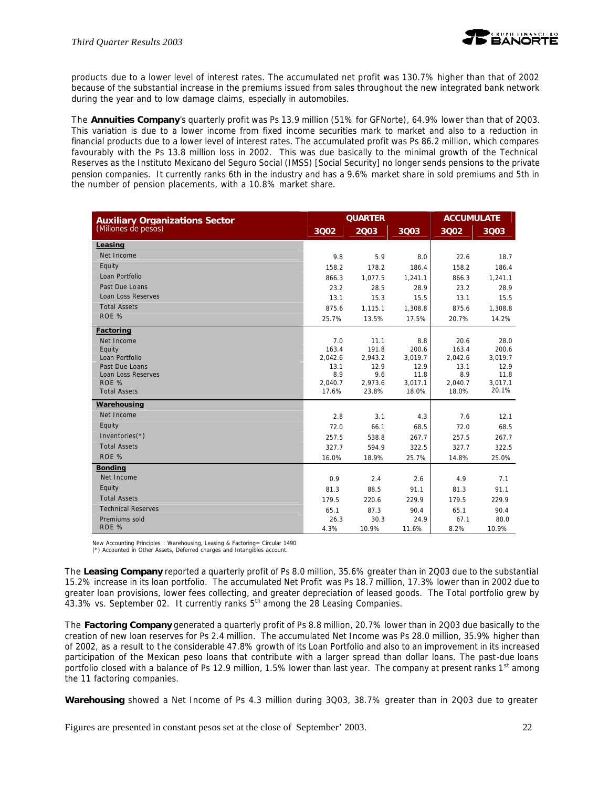

products due to a lower level of interest rates. The accumulated net profit was 130.7% higher than that of 2002 because of the substantial increase in the premiums issued from sales throughout the new integrated bank network during the year and to low damage claims, especially in automobiles.

The *Annuities Company*'s quarterly profit was Ps 13.9 million (51% for GFNorte), 64.9% lower than that of 2Q03. This variation is due to a lower income from fixed income securities mark to market and also to a reduction in financial products due to a lower level of interest rates. The accumulated profit was Ps 86.2 million, which compares favourably with the Ps 13.8 million loss in 2002. This was due basically to the minimal growth of the Technical Reserves as the Instituto Mexicano del Seguro Social (IMSS) [Social Security] no longer sends pensions to the private pension companies. It currently ranks 6th in the industry and has a 9.6% market share in sold premiums and 5th in the number of pension placements, with a 10.8% market share.

| <b>Auxiliary Organizations Sector</b> |             | <b>QUARTER</b> |              |             | <b>ACCUMULATE</b> |  |
|---------------------------------------|-------------|----------------|--------------|-------------|-------------------|--|
| (Millones de pesos)                   | 3002        | 2003           | 3Q03         | 3002        | 3Q03              |  |
| Leasing                               |             |                |              |             |                   |  |
| Net Income                            | 9.8         | 5.9            | 8.0          | 22.6        | 18.7              |  |
| Equity                                | 158.2       | 178.2          | 186.4        | 158.2       | 186.4             |  |
| Loan Portfolio                        | 866.3       | 1,077.5        | 1,241.1      | 866.3       | 1,241.1           |  |
| Past Due Loans                        | 23.2        | 28.5           | 28.9         | 23.2        | 28.9              |  |
| Loan Loss Reserves                    | 13.1        | 15.3           | 15.5         | 13.1        | 15.5              |  |
| <b>Total Assets</b>                   | 875.6       | 1,115.1        | 1,308.8      | 875.6       | 1,308.8           |  |
| ROE %                                 | 25.7%       | 13.5%          | 17.5%        | 20.7%       | 14.2%             |  |
| Factoring                             |             |                |              |             |                   |  |
| Net Income                            | 7.0         | 11.1           | 8.8          | 20.6        | 28.0              |  |
| Equity                                | 163.4       | 191.8          | 200.6        | 163.4       | 200.6             |  |
| Loan Portfolio                        | 2,042.6     | 2,943.2        | 3,019.7      | 2,042.6     | 3,019.7           |  |
| Past Due Loans<br>Loan Loss Reserves  | 13.1<br>8.9 | 12.9<br>9.6    | 12.9<br>11.8 | 13.1<br>8.9 | 12.9<br>11.8      |  |
| ROE %                                 | 2.040.7     | 2,973.6        | 3,017.1      | 2,040.7     | 3,017.1           |  |
| <b>Total Assets</b>                   | 17.6%       | 23.8%          | 18.0%        | 18.0%       | 20.1%             |  |
| Warehousing                           |             |                |              |             |                   |  |
| Net Income                            | 2.8         | 3.1            | 4.3          | 7.6         | 12.1              |  |
| Equity                                | 72.0        | 66.1           | 68.5         | 72.0        | 68.5              |  |
| Inventories(*)                        | 257.5       | 538.8          | 267.7        | 257.5       | 267.7             |  |
| <b>Total Assets</b>                   | 327.7       | 594.9          | 322.5        | 327.7       | 322.5             |  |
| ROF <sub>%</sub>                      | 16.0%       | 18.9%          | 25.7%        | 14.8%       | 25.0%             |  |
| <b>Bonding</b>                        |             |                |              |             |                   |  |
| Net Income                            | 0.9         | 2.4            | 2.6          | 4.9         | 7.1               |  |
| Equity                                | 81.3        | 88.5           | 91.1         | 81.3        | 91.1              |  |
| <b>Total Assets</b>                   | 179.5       | 220.6          | 229.9        | 179.5       | 229.9             |  |
| <b>Technical Reserves</b>             | 65.1        | 87.3           | 90.4         | 65.1        | 90.4              |  |
| Premiums sold                         | 26.3        | 30.3           | 24.9         | 67.1        | 80.0              |  |
| ROE %                                 | 4.3%        | 10.9%          | 11.6%        | 8.2%        | 10.9%             |  |

New Accounting Principles : Warehousing, Leasing & Factoring= Circular 1490 (\*) Accounted in Other Assets, Deferred charges and Intangibles account.

The *Leasing Company* reported a quarterly profit of Ps 8.0 million, 35.6% greater than in 2Q03 due to the substantial 15.2% increase in its loan portfolio. The accumulated Net Profit was Ps 18.7 million, 17.3% lower than in 2002 due to greater loan provisions, lower fees collecting, and greater depreciation of leased goods. The Total portfolio grew by  $43.3\%$  vs. September 02. It currently ranks  $5<sup>th</sup>$  among the 28 Leasing Companies.

The *Factoring Company* generated a quarterly profit of Ps 8.8 million, 20.7% lower than in 2Q03 due basically to the creation of new loan reserves for Ps 2.4 million. The accumulated Net Income was Ps 28.0 million, 35.9% higher than of 2002, as a result to t he considerable 47.8% growth of its Loan Portfolio and also to an improvement in its increased participation of the Mexican peso loans that contribute with a larger spread than dollar loans. The past-due loans portfolio closed with a balance of Ps 12.9 million, 1.5% lower than last year. The company at present ranks  $1<sup>st</sup>$  among the 11 factoring companies.

*Warehousing* showed a Net Income of Ps 4.3 million during 3Q03, 38.7% greater than in 2Q03 due to greater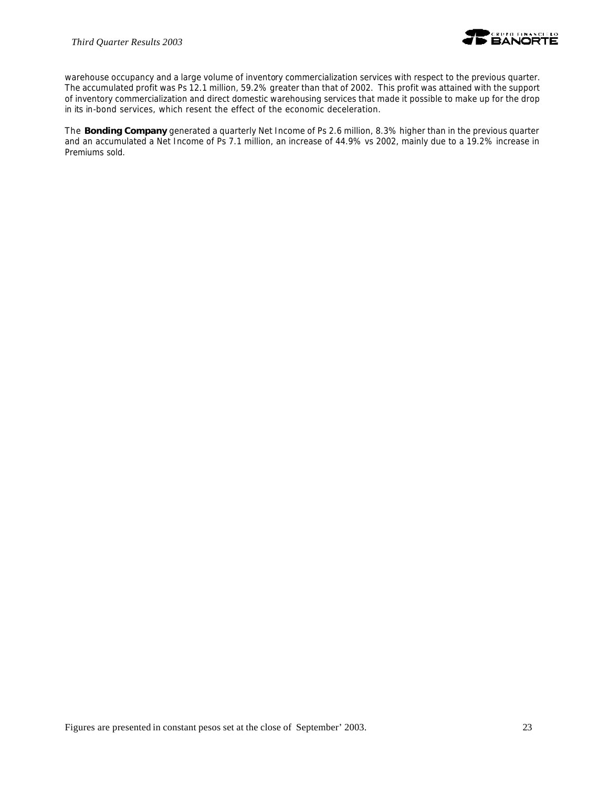

warehouse occupancy and a large volume of inventory commercialization services with respect to the previous quarter. The accumulated profit was Ps 12.1 million, 59.2% greater than that of 2002. This profit was attained with the support of inventory commercialization and direct domestic warehousing services that made it possible to make up for the drop in its in-bond services, which resent the effect of the economic deceleration.

The *Bonding Company* generated a quarterly Net Income of Ps 2.6 million, 8.3% higher than in the previous quarter and an accumulated a Net Income of Ps 7.1 million, an increase of 44.9% vs 2002, mainly due to a 19.2% increase in Premiums sold.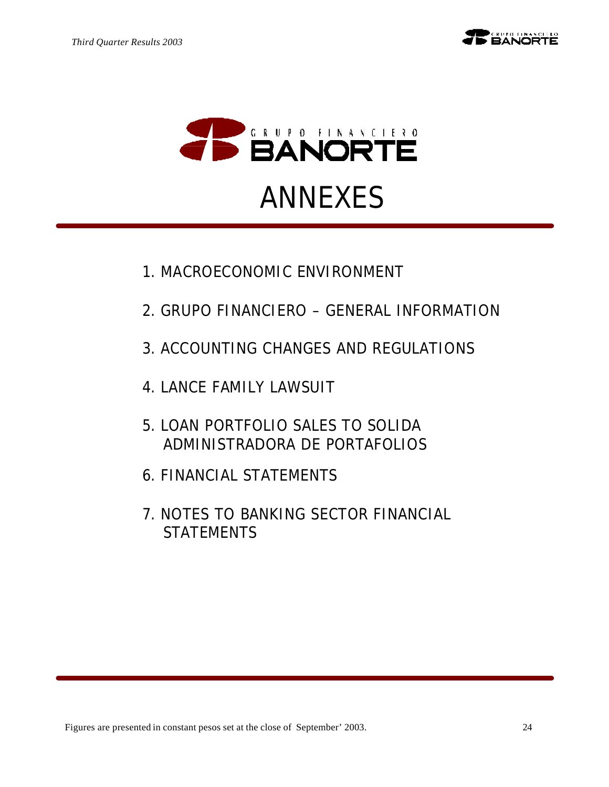



- 1. MACROECONOMIC ENVIRONMENT
- 2. GRUPO FINANCIERO GENERAL INFORMATION
- 3. ACCOUNTING CHANGES AND REGULATIONS
- 4. LANCE FAMILY LAWSUIT
- 5. LOAN PORTFOLIO SALES TO SOLIDA ADMINISTRADORA DE PORTAFOLIOS
- 6. FINANCIAL STATEMENTS
- 7. NOTES TO BANKING SECTOR FINANCIAL **STATEMENTS**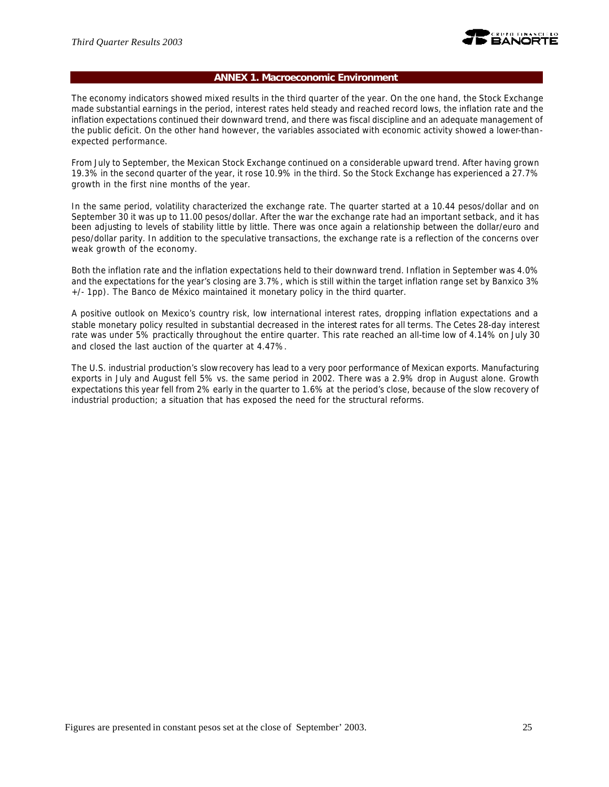

#### **ANNEX 1. Macroeconomic Environment**

The economy indicators showed mixed results in the third quarter of the year. On the one hand, the Stock Exchange made substantial earnings in the period, interest rates held steady and reached record lows, the inflation rate and the inflation expectations continued their downward trend, and there was fiscal discipline and an adequate management of the public deficit. On the other hand however, the variables associated with economic activity showed a lower-thanexpected performance.

From July to September, the Mexican Stock Exchange continued on a considerable upward trend. After having grown 19.3% in the second quarter of the year, it rose 10.9% in the third. So the Stock Exchange has experienced a 27.7% growth in the first nine months of the year.

In the same period, volatility characterized the exchange rate. The quarter started at a 10.44 pesos/dollar and on September 30 it was up to 11.00 pesos/dollar. After the war the exchange rate had an important setback, and it has been adjusting to levels of stability little by little. There was once again a relationship between the dollar/euro and peso/dollar parity. In addition to the speculative transactions, the exchange rate is a reflection of the concerns over weak growth of the economy.

Both the inflation rate and the inflation expectations held to their downward trend. Inflation in September was 4.0% and the expectations for the year's closing are 3.7%, which is still within the target inflation range set by Banxico 3% +/- 1pp). The Banco de México maintained it monetary policy in the third quarter.

A positive outlook on Mexico's country risk, low international interest rates, dropping inflation expectations and a stable monetary policy resulted in substantial decreased in the interest rates for all terms. The Cetes 28-day interest rate was under 5% practically throughout the entire quarter. This rate reached an all-time low of 4.14% on July 30 and closed the last auction of the quarter at 4.47%.

The U.S. industrial production's slow recovery has lead to a very poor performance of Mexican exports. Manufacturing exports in July and August fell 5% vs. the same period in 2002. There was a 2.9% drop in August alone. Growth expectations this year fell from 2% early in the quarter to 1.6% at the period's close, because of the slow recovery of industrial production; a situation that has exposed the need for the structural reforms.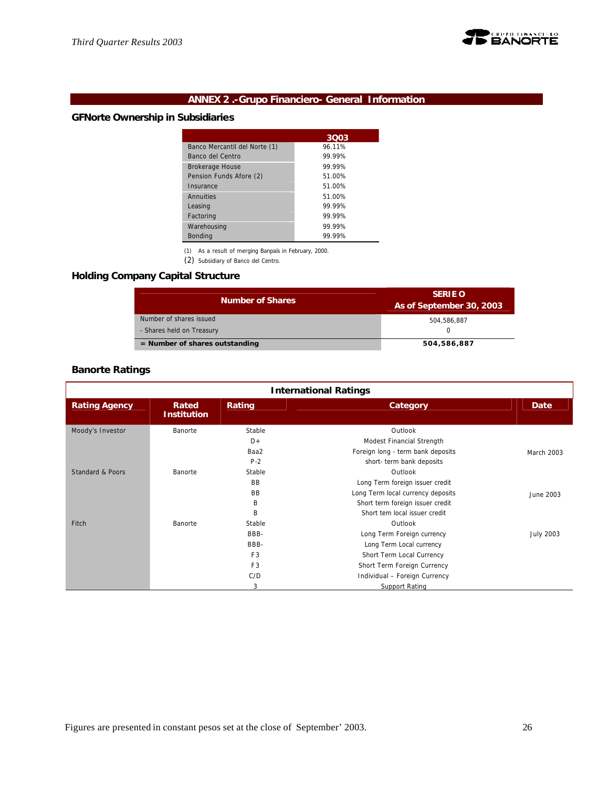

# **ANNEX 2 .-Grupo Financiero- General Information**

# **GFNorte Ownership in Subsidiaries**

|                               | 3Q03   |
|-------------------------------|--------|
| Banco Mercantil del Norte (1) | 96.11% |
| Banco del Centro              | 99.99% |
| <b>Brokerage House</b>        | 99.99% |
| Pension Funds Afore (2)       | 51.00% |
| Insurance                     | 51.00% |
| Annuities                     | 51.00% |
| Leasing                       | 99.99% |
| Factoring                     | 99.99% |
| Warehousing                   | 99.99% |
| <b>Bonding</b>                | 99.99% |

(1) As a result of merging Banpaís in February, 2000.

(2) Subsidiary of Banco del Centro.

# **Holding Company Capital Structure**

| <b>Number of Shares</b>          | <b>SERIE O</b><br>As of September 30, 2003 |
|----------------------------------|--------------------------------------------|
| Number of shares issued          | 504.586.887                                |
| - Shares held on Treasury        |                                            |
| $=$ Number of shares outstanding | 504,586,887                                |

# **Banorte Ratings**

| <b>International Ratings</b> |                             |                |                                   |                  |
|------------------------------|-----------------------------|----------------|-----------------------------------|------------------|
| <b>Rating Agency</b>         | Rated<br><b>Institution</b> | Rating         | Category                          | Date             |
| Moody's Investor             | Banorte                     | Stable         | Outlook                           |                  |
|                              |                             | $D +$          | Modest Financial Strength         |                  |
|                              |                             | Baa2           | Foreign long - term bank deposits | March 2003       |
|                              |                             | $P-2$          | short- term bank deposits         |                  |
| Standard & Poors             | Banorte                     | Stable         | Outlook                           |                  |
|                              |                             | <b>BB</b>      | Long Term foreign issuer credit   |                  |
|                              |                             | <b>BB</b>      | Long Term local currency deposits | June 2003        |
|                              |                             | B              | Short term foreign issuer credit  |                  |
|                              |                             | B              | Short tem local issuer credit     |                  |
| Fitch                        | Banorte                     | Stable         | Outlook                           |                  |
|                              |                             | BBB-           | Long Term Foreign currency        | <b>July 2003</b> |
|                              |                             | BBB-           | Long Term Local currency          |                  |
|                              |                             | F <sub>3</sub> | Short Term Local Currency         |                  |
|                              |                             | F <sub>3</sub> | Short Term Foreign Currency       |                  |
|                              |                             | C/D            | Individual - Foreign Currency     |                  |
|                              |                             | 3              | Support Rating                    |                  |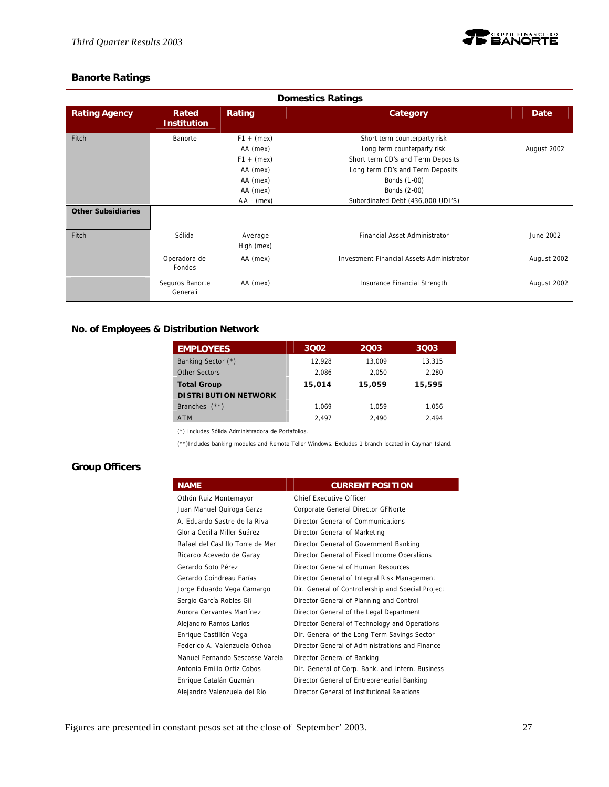

# **Banorte Ratings**

| <b>Domestics Ratings</b>  |                             |                       |                                           |             |
|---------------------------|-----------------------------|-----------------------|-------------------------------------------|-------------|
| <b>Rating Agency</b>      | Rated<br><b>Institution</b> | Rating                | Category                                  | <b>Date</b> |
| Fitch                     | Banorte                     | $F1 + (mex)$          | Short term counterparty risk              |             |
|                           |                             | AA (mex)              | Long term counterparty risk               | August 2002 |
|                           |                             | $F1 + (mex)$          | Short term CD's and Term Deposits         |             |
|                           |                             | AA (mex)              | Long term CD's and Term Deposits          |             |
|                           |                             | AA (mex)              | Bonds (1-00)                              |             |
|                           |                             | AA (mex)              | Bonds (2-00)                              |             |
|                           |                             | $AA - (mex)$          | Subordinated Debt (436,000 UDI'S)         |             |
| <b>Other Subsidiaries</b> |                             |                       |                                           |             |
| Fitch                     | Sólida                      | Average<br>High (mex) | Financial Asset Administrator             | June 2002   |
|                           | Operadora de<br>Fondos      | AA (mex)              | Investment Financial Assets Administrator | August 2002 |
|                           | Seguros Banorte<br>Generali | AA (mex)              | Insurance Financial Strength              | August 2002 |

# **No. of Employees & Distribution Network**

| <b>EMPLOYEES</b>            | 3002   | 2003   | 3003   |
|-----------------------------|--------|--------|--------|
| Banking Sector (*)          | 12.928 | 13,009 | 13.315 |
| Other Sectors               | 2,086  | 2,050  | 2,280  |
| <b>Total Group</b>          | 15,014 | 15,059 | 15,595 |
| <b>DISTRIBUTION NETWORK</b> |        |        |        |
| Branches $(**)$             | 1.069  | 1.059  | 1.056  |
| <b>ATM</b>                  | 2.497  | 2.490  | 2.494  |

(\*) Includes Sólida Administradora de Portafolios.

(\*\*)Includes banking modules and Remote Teller Windows. Excludes 1 branch located in Cayman Island.

# **Group Officers**

| <b>NAME</b>                      | <b>CURRENT POSITION</b>                            |
|----------------------------------|----------------------------------------------------|
| Othón Ruiz Montemayor            | Chief Executive Officer                            |
| Juan Manuel Quiroga Garza        | Corporate General Director GFNorte                 |
| A. Eduardo Sastre de la Riva     | Director General of Communications                 |
| Gloria Cecilia Miller Suárez     | Director General of Marketing                      |
| Rafael del Castillo Torre de Mer | Director General of Government Banking             |
| Ricardo Acevedo de Garay         | Director General of Fixed Income Operations        |
| Gerardo Soto Pérez               | Director General of Human Resources                |
| Gerardo Coindreau Farías         | Director General of Integral Risk Management       |
| Jorge Eduardo Vega Camargo       | Dir. General of Controllership and Special Project |
| Sergio García Robles Gil         | Director General of Planning and Control           |
| Aurora Cervantes Martínez        | Director General of the Legal Department           |
| Alejandro Ramos Larios           | Director General of Technology and Operations      |
| Enrique Castillón Vega           | Dir. General of the Long Term Savings Sector       |
| Federico A. Valenzuela Ochoa     | Director General of Administrations and Finance    |
| Manuel Fernando Sescosse Varela  | Director General of Banking                        |
| Antonio Emilio Ortiz Cobos       | Dir. General of Corp. Bank. and Intern. Business   |
| Enrique Catalán Guzmán           | Director General of Entrepreneurial Banking        |
| Alejandro Valenzuela del Río     | Director General of Institutional Relations        |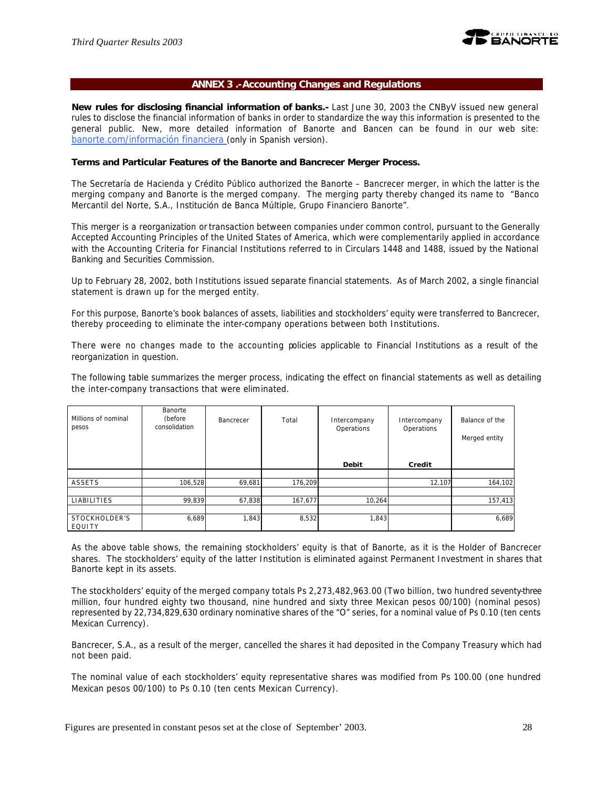

# **ANNEX 3 .-Accounting Changes and Regulations**

**New rules for disclosing financial information of banks.-** Last June 30, 2003 the CNByV issued new general rules to disclose the financial information of banks in order to standardize the way this information is presented to the general public. New, more detailed information of Banorte and Bancen can be found in our web site: banorte.com/información financiera (only in Spanish version).

#### **Terms and Particular Features of the Banorte and Bancrecer Merger Process.**

The Secretaría de Hacienda y Crédito Público authorized the Banorte – Bancrecer merger, in which the latter is the merging company and Banorte is the merged company. The merging party thereby changed its name to "Banco Mercantil del Norte, S.A., Institución de Banca Múltiple, Grupo Financiero Banorte".

This merger is a reorganization or transaction between companies under common control, pursuant to the Generally Accepted Accounting Principles of the United States of America, which were complementarily applied in accordance with the Accounting Criteria for Financial Institutions referred to in Circulars 1448 and 1488, issued by the National Banking and Securities Commission.

Up to February 28, 2002, both Institutions issued separate financial statements. As of March 2002, a single financial statement is drawn up for the merged entity.

For this purpose, Banorte's book balances of assets, liabilities and stockholders' equity were transferred to Bancrecer, thereby proceeding to eliminate the inter-company operations between both Institutions.

There were no changes made to the accounting policies applicable to Financial Institutions as a result of the reorganization in question.

The following table summarizes the merger process, indicating the effect on financial statements as well as detailing the inter-company transactions that were eliminated.

| Millions of nominal<br>pesos | Banorte<br>(before<br>consolidation | Bancrecer | Total   | Intercompany<br>Operations | Intercompany<br>Operations | Balance of the<br>Merged entity |
|------------------------------|-------------------------------------|-----------|---------|----------------------------|----------------------------|---------------------------------|
|                              |                                     |           |         | <b>Debit</b>               | Credit                     |                                 |
|                              |                                     |           |         |                            |                            |                                 |
| ASSETS                       | 106,528                             | 69,681    | 176,209 |                            | 12,107                     | 164,102                         |
|                              |                                     |           |         |                            |                            |                                 |
| <b>LIABILITIES</b>           | 99,839                              | 67,838    | 167,677 | 10,264                     |                            | 157,413                         |
|                              |                                     |           |         |                            |                            |                                 |
| STOCKHOLDER'S<br>EQUITY      | 6,689                               | 1,843     | 8,532   | 1,843                      |                            | 6,689                           |

As the above table shows, the remaining stockholders' equity is that of Banorte, as it is the Holder of Bancrecer shares. The stockholders' equity of the latter Institution is eliminated against Permanent Investment in shares that Banorte kept in its assets.

The stockholders' equity of the merged company totals Ps 2,273,482,963.00 (Two billion, two hundred seventy-three million, four hundred eighty two thousand, nine hundred and sixty three Mexican pesos 00/100) (nominal pesos) represented by 22,734,829,630 ordinary nominative shares of the "O" series, for a nominal value of Ps 0.10 (ten cents Mexican Currency).

Bancrecer, S.A., as a result of the merger, cancelled the shares it had deposited in the Company Treasury which had not been paid.

The nominal value of each stockholders' equity representative shares was modified from Ps 100.00 (one hundred Mexican pesos 00/100) to Ps 0.10 (ten cents Mexican Currency).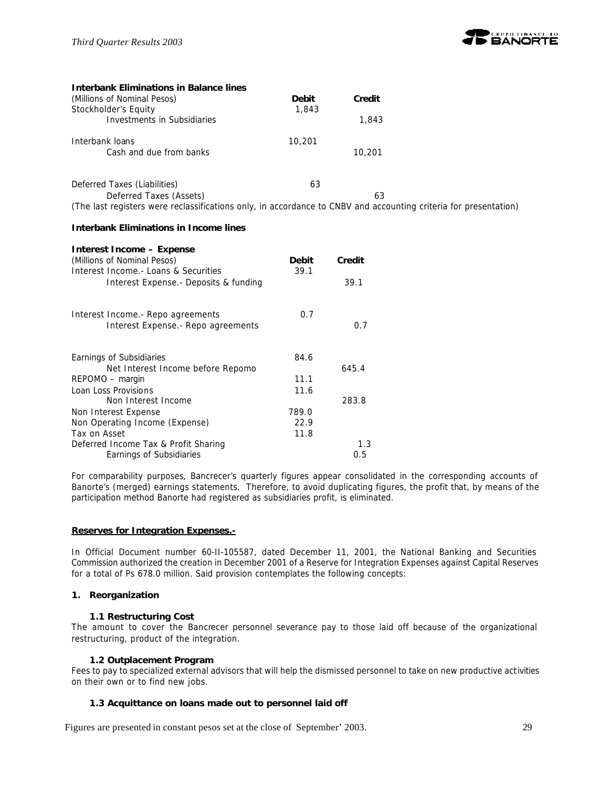

| <b>Interbank Eliminations in Balance lines</b>                                                                   |              |        |
|------------------------------------------------------------------------------------------------------------------|--------------|--------|
| (Millions of Nominal Pesos)                                                                                      | <b>Debit</b> | Credit |
| Stockholder's Equity                                                                                             | 1,843        |        |
| Investments in Subsidiaries                                                                                      |              | 1,843  |
| Interbank loans                                                                                                  | 10,201       |        |
| Cash and due from banks                                                                                          |              | 10,201 |
| Deferred Taxes (Liabilities)                                                                                     | 63           |        |
| Deferred Taxes (Assets)                                                                                          |              | 63     |
| (The last registers were reclassifications only, in accordance to CNBV and accounting criteria for presentation) |              |        |

#### **Interbank Eliminations in Income lines**

| Interest Income – Expense             |              |        |
|---------------------------------------|--------------|--------|
| (Millions of Nominal Pesos)           | <b>Debit</b> | Credit |
| Interest Income. - Loans & Securities | 39.1         |        |
| Interest Expense.- Deposits & funding |              | 39.1   |
| Interest Income. - Repo agreements    | 0.7          |        |
| Interest Expense. - Repo agreements   |              | 0.7    |
| Earnings of Subsidiaries              | 84.6         |        |
| Net Interest Income before Repomo     |              | 645.4  |
| REPOMO – margin                       | 11.1         |        |
| Loan Loss Provisions                  | 11.6         |        |
| Non Interest Income                   |              | 283.8  |
| Non Interest Expense                  | 789.0        |        |
| Non Operating Income (Expense)        | 22.9         |        |
| Tax on Asset                          | 11.8         |        |
| Deferred Income Tax & Profit Sharing  |              | 1.3    |
| Earnings of Subsidiaries              |              | 0.5    |

For comparability purposes, Bancrecer's quarterly figures appear consolidated in the corresponding accounts of Banorte's (merged) earnings statements. Therefore, to avoid duplicating figures, the profit that, by means of the participation method Banorte had registered as subsidiaries profit, is eliminated.

#### **Reserves for Integration Expenses.-**

In Official Document number 60-II-105587, dated December 11, 2001, the National Banking and Securities Commission authorized the creation in December 2001 of a Reserve for Integration Expenses against Capital Reserves for a total of Ps 678.0 million. Said provision contemplates the following concepts:

#### **1. Reorganization**

#### **1.1 Restructuring Cost**

The amount to cover the Bancrecer personnel severance pay to those laid off because of the organizational restructuring, product of the integration.

#### **1.2 Outplacement Program**

Fees to pay to specialized external advisors that will help the dismissed personnel to take on new productive activities on their own or to find new jobs.

#### **1.3 Acquittance on loans made out to personnel laid off**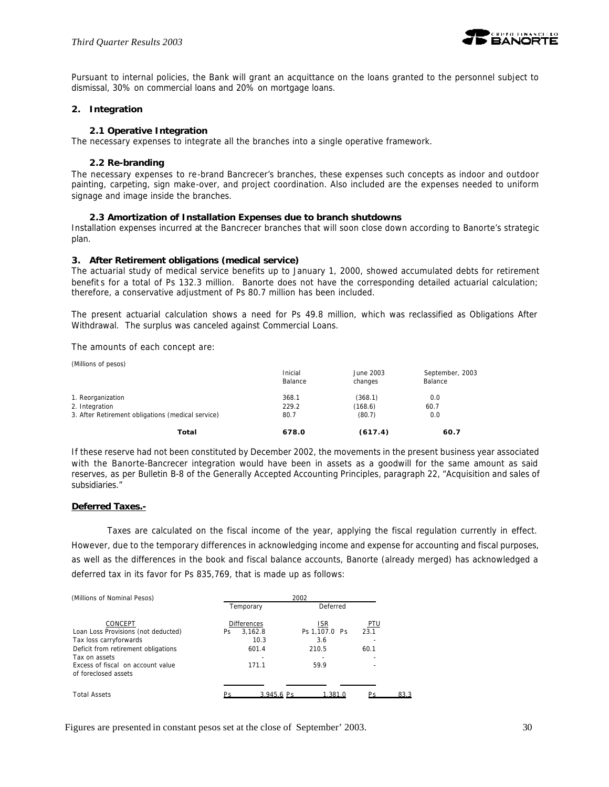

Pursuant to internal policies, the Bank will grant an acquittance on the loans granted to the personnel subject to dismissal, 30% on commercial loans and 20% on mortgage loans.

#### **2. Integration**

#### **2.1 Operative Integration**

The necessary expenses to integrate all the branches into a single operative framework.

#### **2.2 Re-branding**

The necessary expenses to re-brand Bancrecer's branches, these expenses such concepts as indoor and outdoor painting, carpeting, sign make-over, and project coordination. Also included are the expenses needed to uniform signage and image inside the branches.

#### **2.3 Amortization of Installation Expenses due to branch shutdowns**

Installation expenses incurred at the Bancrecer branches that will soon close down according to Banorte's strategic plan.

#### **3. After Retirement obligations (medical service)**

The actuarial study of medical service benefits up to January 1, 2000, showed accumulated debts for retirement benefit s for a total of Ps 132.3 million. Banorte does not have the corresponding detailed actuarial calculation; therefore, a conservative adjustment of Ps 80.7 million has been included.

The present actuarial calculation shows a need for Ps 49.8 million, which was reclassified as Obligations After Withdrawal. The surplus was canceled against Commercial Loans.

The amounts of each concept are:

| (Millions of pesos)                               |                    |                      |                            |
|---------------------------------------------------|--------------------|----------------------|----------------------------|
|                                                   | Inicial<br>Balance | June 2003<br>changes | September, 2003<br>Balance |
| 1. Reorganization                                 | 368.1              | (368.1)              | 0.0                        |
| 2. Integration                                    | 229.2              | (168.6)              | 60.7                       |
| 3. After Retirement obligations (medical service) | 80.7               | (80.7)               | 0.0                        |
| Total                                             | 678.0              | (617.4)              | 60.7                       |

If these reserve had not been constituted by December 2002, the movements in the present business year associated with the Banorte-Bancrecer integration would have been in assets as a goodwill for the same amount as said reserves, as per Bulletin B-8 of the Generally Accepted Accounting Principles, paragraph 22, "Acquisition and sales of subsidiaries."

#### **Deferred Taxes.-**

Taxes are calculated on the fiscal income of the year, applying the fiscal regulation currently in effect. However, due to the temporary differences in acknowledging income and expense for accounting and fiscal purposes, as well as the differences in the book and fiscal balance accounts, Banorte (already merged) has acknowledged a deferred tax in its favor for Ps 835,769, that is made up as follows:

| (Millions of Nominal Pesos)                               | 2002                          |                             |                    |  |  |  |  |  |
|-----------------------------------------------------------|-------------------------------|-----------------------------|--------------------|--|--|--|--|--|
|                                                           | Temporary                     | Deferred                    |                    |  |  |  |  |  |
| CONCEPT<br>Loan Loss Provisions (not deducted)            | <b>Differences</b><br>3.162.8 | <u>ISR</u><br>Ps 1.107.0 Ps | <b>PTU</b><br>23.1 |  |  |  |  |  |
| Tax loss carryforwards                                    | Ps.<br>10.3                   | 3.6                         |                    |  |  |  |  |  |
| Deficit from retirement obligations<br>Tax on assets      | 601.4                         | 210.5                       | 60.1               |  |  |  |  |  |
| Excess of fiscal on account value<br>of foreclosed assets | 171.1                         | 59.9                        |                    |  |  |  |  |  |
| <b>Total Assets</b>                                       | 3.945.6 Ps                    | 1.381.0                     | 833                |  |  |  |  |  |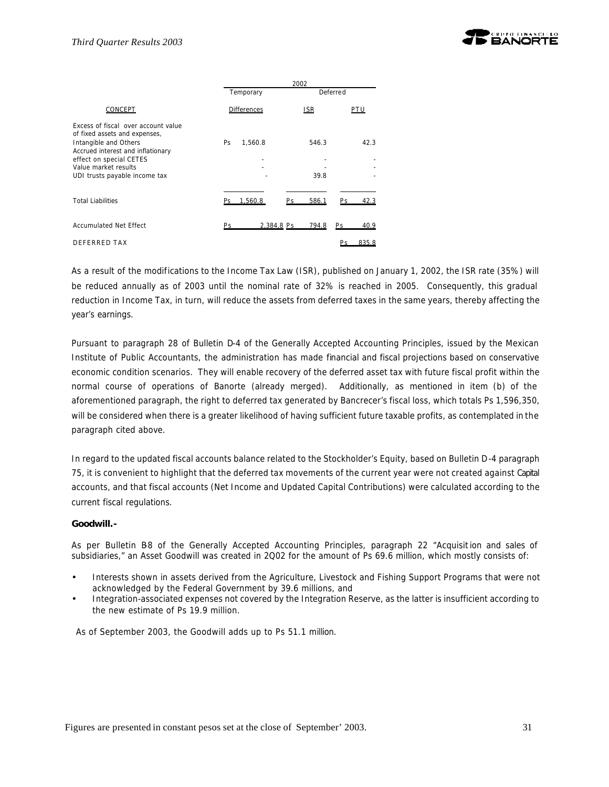

|                                                                                                                                                                                                                        | 2002      |                    |                  |               |     |       |  |  |
|------------------------------------------------------------------------------------------------------------------------------------------------------------------------------------------------------------------------|-----------|--------------------|------------------|---------------|-----|-------|--|--|
|                                                                                                                                                                                                                        |           | Temporary          |                  | Deferred      |     |       |  |  |
| CONCEPT                                                                                                                                                                                                                |           | <b>Differences</b> |                  | <b>ISR</b>    | PTU |       |  |  |
| Excess of fiscal over account value<br>of fixed assets and expenses,<br>Intangible and Others<br>Accrued interest and inflationary<br>effect on special CETES<br>Value market results<br>UDI trusts payable income tax | <b>Ps</b> | 1,560.8            |                  | 546.3<br>39.8 |     | 42.3  |  |  |
| <b>Total Liabilities</b>                                                                                                                                                                                               |           | 1.560.8            | Pς               | 586.1         | Ps. | 42.3  |  |  |
| Accumulated Net Effect                                                                                                                                                                                                 | Рc        |                    | 2.384.8 Ps 794.8 |               | Ps. | 40.9  |  |  |
| DEFFRRED TAX                                                                                                                                                                                                           |           |                    |                  |               |     | 835.8 |  |  |

As a result of the modifications to the Income Tax Law (ISR), published on January 1, 2002, the ISR rate (35%) will be reduced annually as of 2003 until the nominal rate of 32% is reached in 2005. Consequently, this gradual reduction in Income Tax, in turn, will reduce the assets from deferred taxes in the same years, thereby affecting the year's earnings.

Pursuant to paragraph 28 of Bulletin D-4 of the Generally Accepted Accounting Principles, issued by the Mexican Institute of Public Accountants, the administration has made financial and fiscal projections based on conservative economic condition scenarios. They will enable recovery of the deferred asset tax with future fiscal profit within the normal course of operations of Banorte (already merged). Additionally, as mentioned in item (b) of the aforementioned paragraph, the right to deferred tax generated by Bancrecer's fiscal loss, which totals Ps 1,596,350, will be considered when there is a greater likelihood of having sufficient future taxable profits, as contemplated in the paragraph cited above.

In regard to the updated fiscal accounts balance related to the Stockholder's Equity, based on Bulletin D-4 paragraph 75, it is convenient to highlight that the deferred tax movements of the current year were not created against Capital accounts, and that fiscal accounts (Net Income and Updated Capital Contributions) were calculated according to the current fiscal regulations.

#### **Goodwill.-**

As per Bulletin B-8 of the Generally Accepted Accounting Principles, paragraph 22 "Acquisition and sales of subsidiaries," an Asset Goodwill was created in 2Q02 for the amount of Ps 69.6 million, which mostly consists of:

- Interests shown in assets derived from the Agriculture, Livestock and Fishing Support Programs that were not acknowledged by the Federal Government by 39.6 millions, and
- Integration-associated expenses not covered by the Integration Reserve, as the latter is insufficient according to the new estimate of Ps 19.9 million.

As of September 2003, the Goodwill adds up to Ps 51.1 million.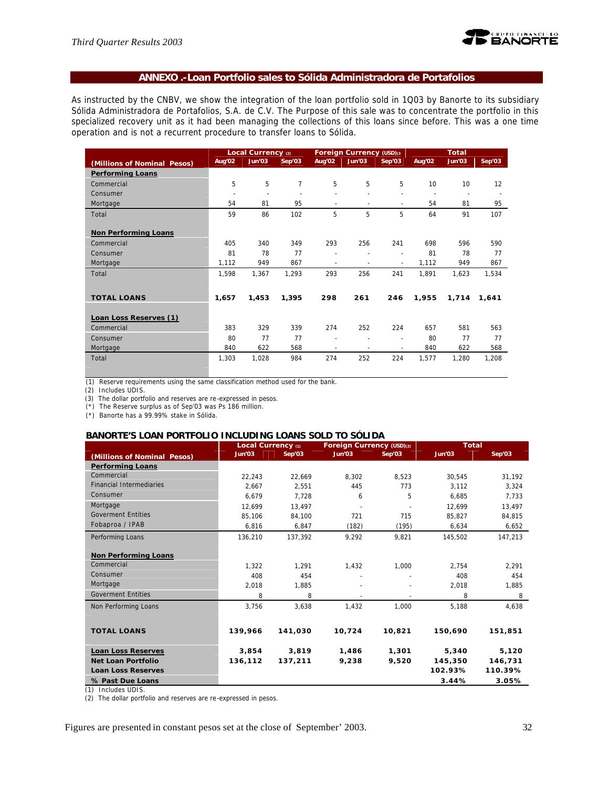

# **ANNEXO .-Loan Portfolio sales to Sólida Administradora de Portafolios**

As instructed by the CNBV, we show the integration of the loan portfolio sold in 1Q03 by Banorte to its subsidiary Sólida Administradora de Portafolios, S.A. de C.V. The Purpose of this sale was to concentrate the portfolio in this specialized recovery unit as it had been managing the collections of this loans since before. This was a one time operation and is not a recurrent procedure to transfer loans to Sólida.

|                             |                          | Local Currency (2) |        |                          | Foreign Currency (USD) <sup>3</sup> |                |        | <b>Total</b>             |        |
|-----------------------------|--------------------------|--------------------|--------|--------------------------|-------------------------------------|----------------|--------|--------------------------|--------|
| (Millions of Nominal Pesos) | Aug'02                   | Jun'03             | Sep'03 | Aug'02                   | Jun'03                              | Sep'03         | Aug'02 | Jun'03                   | Sep'03 |
| <b>Performing Loans</b>     |                          |                    |        |                          |                                     |                |        |                          |        |
| Commercial                  | 5                        | 5                  | 7      | 5                        | 5                                   | 5              | 10     | 10                       | 12     |
| Consumer                    | $\overline{\phantom{a}}$ |                    |        |                          |                                     |                |        | $\overline{\phantom{a}}$ |        |
| Mortgage                    | 54                       | 81                 | 95     |                          | ÷                                   | $\sim$         | 54     | 81                       | 95     |
| Total                       | 59                       | 86                 | 102    | 5                        | 5                                   | 5              | 64     | 91                       | 107    |
|                             |                          |                    |        |                          |                                     |                |        |                          |        |
| <b>Non Performing Loans</b> |                          |                    |        |                          |                                     |                |        |                          |        |
| Commercial                  | 405                      | 340                | 349    | 293                      | 256                                 | 241            | 698    | 596                      | 590    |
| Consumer                    | 81                       | 78                 | 77     |                          |                                     |                | 81     | 78                       | 77     |
| Mortgage                    | 1,112                    | 949                | 867    | $\overline{\phantom{a}}$ | $\overline{\phantom{a}}$            | $\blacksquare$ | 1,112  | 949                      | 867    |
| Total                       | 1,598                    | 1,367              | 1,293  | 293                      | 256                                 | 241            | 1,891  | 1,623                    | 1,534  |
|                             |                          |                    |        |                          |                                     |                |        |                          |        |
| <b>TOTAL LOANS</b>          | 1,657                    | 1,453              | 1,395  | 298                      | 261                                 | 246            | 1,955  | 1,714                    | 1,641  |
|                             |                          |                    |        |                          |                                     |                |        |                          |        |
| Loan Loss Reserves (1)      |                          |                    |        |                          |                                     |                |        |                          |        |
| Commercial                  | 383                      | 329                | 339    | 274                      | 252                                 | 224            | 657    | 581                      | 563    |
| Consumer                    | 80                       | 77                 | 77     |                          | ٠                                   | $\sim$         | 80     | 77                       | 77     |
| Mortgage                    | 840                      | 622                | 568    | ٠                        | ٠                                   | $\sim$         | 840    | 622                      | 568    |
| Total                       | 1,303                    | 1,028              | 984    | 274                      | 252                                 | 224            | 1,577  | 1,280                    | 1,208  |

(1) Reserve requirements using the same classification method used for the bank.

(2) Includes UDIS.

(3) The dollar portfolio and reserves are re-expressed in pesos.

(\*) The Reserve surplus as of Sep'03 was Ps 186 million.

(\*) Banorte has a 99.99% stake in Sólida.

#### **BANORTE'S LOAN PORTFOLIO INCLUDING LOANS SOLD TO SÓLIDA**

|                                 | Local Currency (1) |         | Foreign Currency (USD)(2) |        | <b>Total</b>  |         |
|---------------------------------|--------------------|---------|---------------------------|--------|---------------|---------|
| (Millions of Nominal Pesos)     | Jun'03             | Sep'03  | Jun'03                    | Sep'03 | <b>Jun'03</b> | Sep'03  |
| <b>Performing Loans</b>         |                    |         |                           |        |               |         |
| Commercial                      | 22.243             | 22.669  | 8.302                     | 8.523  | 30.545        | 31.192  |
| <b>Financial Intermediaries</b> | 2.667              | 2.551   | 445                       | 773    | 3.112         | 3.324   |
| Consumer                        | 6,679              | 7.728   | 6                         | 5      | 6,685         | 7.733   |
| Mortgage                        | 12.699             | 13.497  |                           |        | 12.699        | 13.497  |
| <b>Goverment Entities</b>       | 85.106             | 84.100  | 721                       | 715    | 85.827        | 84,815  |
| Fobaproa / IPAB                 | 6,816              | 6,847   | (182)                     | (195)  | 6,634         | 6,652   |
| Performing Loans                | 136,210            | 137,392 | 9,292                     | 9.821  | 145,502       | 147,213 |
|                                 |                    |         |                           |        |               |         |
| <b>Non Performing Loans</b>     |                    |         |                           |        |               |         |
| Commercial                      | 1.322              | 1.291   | 1.432                     | 1.000  | 2.754         | 2.291   |
| Consumer                        | 408                | 454     |                           |        | 408           | 454     |
| Mortgage                        | 2,018              | 1.885   |                           |        | 2,018         | 1,885   |
| <b>Goverment Entities</b>       | 8                  | 8       |                           |        | 8             | 8       |
| Non Performing Loans            | 3,756              | 3,638   | 1,432                     | 1.000  | 5,188         | 4,638   |
|                                 |                    |         |                           |        |               |         |
| <b>TOTAL LOANS</b>              | 139,966            | 141,030 | 10,724                    | 10,821 | 150,690       | 151,851 |
|                                 |                    |         |                           |        |               |         |
| <b>Loan Loss Reserves</b>       | 3.854              | 3.819   | 1,486                     | 1,301  | 5,340         | 5,120   |
| <b>Net Loan Portfolio</b>       | 136,112            | 137,211 | 9,238                     | 9,520  | 145,350       | 146,731 |
| <b>Loan Loss Reserves</b>       |                    |         |                           |        | 102.93%       | 110.39% |
| % Past Due Loans                |                    |         |                           |        | 3.44%         | 3.05%   |

(1) Includes UDIS.

(2) The dollar portfolio and reserves are re-expressed in pesos.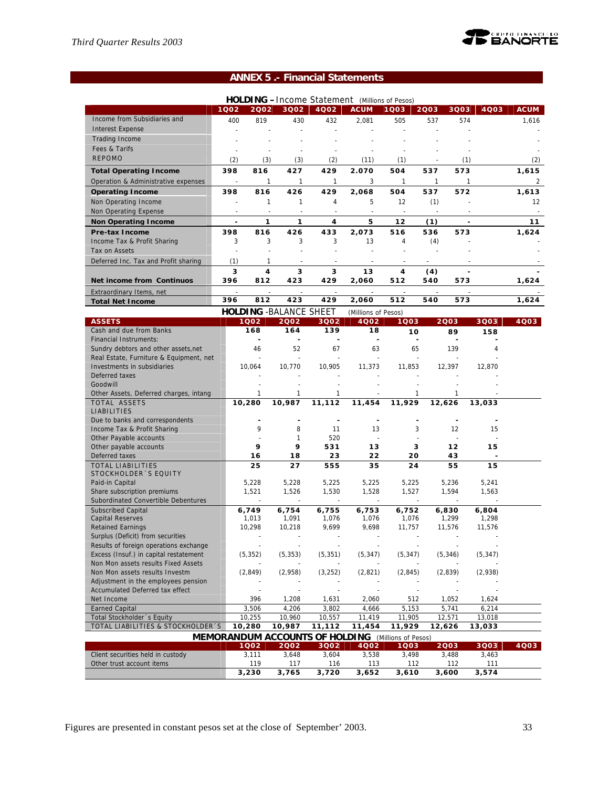

# **ANNEX 5 .- Financial Statements**

| 4Q02<br><b>ACUM</b><br><b>ACUM</b><br>1002<br>2002<br>3Q02<br>1Q03<br>2003<br>3Q03<br>4Q03<br>Income from Subsidiaries and<br>400<br>819<br>505<br>574<br>430<br>432<br>2.081<br>537<br>1,616<br><b>Interest Expense</b><br><b>Trading Income</b><br>Fees & Tarifs<br>$\sim$<br>$\sim$<br><b>REPOMO</b><br>(2)<br>(3)<br>(3)<br>(2)<br>(1)<br>(1)<br>(2)<br>(11)<br>398<br>816<br>427<br>429<br>2.070<br>504<br>537<br>573<br>1,615<br><b>Total Operating Income</b><br>$\mathbf{1}$<br>$\mathbf{1}$<br>1<br>3<br>1<br>$\mathbf{1}$<br>$\mathbf{1}$<br>$\overline{2}$<br>Operation & Administrative expenses<br>816<br>426<br>429<br>504<br>572<br><b>Operating Income</b><br>398<br>2,068<br>537<br>1,613<br>12<br>Non Operating Income<br>1<br>1<br>4<br>5<br>(1)<br>12<br>Non Operating Expense<br>5<br>1<br>1<br>4<br>12<br>(1)<br>11<br>Non Operating Income<br>$\overline{\phantom{a}}$<br>$\overline{\phantom{a}}$<br>816<br><b>Pre-tax Income</b><br>398<br>426<br>433<br>2,073<br>516<br>536<br>573<br>1,624<br>Income Tax & Profit Sharing<br>3<br>3<br>3<br>3<br>13<br>4<br>(4)<br>Tax on Assets<br>(1)<br>Deferred Inc. Tax and Profit sharing<br>1<br>3<br>3<br>4<br>3<br>13<br>4<br>(4)<br>396<br>812<br>423<br>429<br>512<br>540<br>573<br>Net income from Continuos<br>2,060<br>1,624<br>Extraordinary Items, net<br>812<br>423<br>396<br>429<br>2,060<br>512<br>540<br>573<br>1,624<br><b>Total Net Income</b><br><b>HOLDING - BALANCE SHEET</b><br>(Millions of Pesos)<br>4Q03<br><b>ASSETS</b><br>1002<br>2002<br>3Q02<br>4002<br>1003<br>2003<br>3Q03<br>139<br>Cash and due from Banks<br>168<br>164<br>18<br>10<br>89<br>158<br>Financial Instruments:<br>٠<br>52<br>Sundry debtors and other assets, net<br>46<br>67<br>63<br>65<br>139<br>4<br>Real Estate, Furniture & Equipment, net<br>$\sim$<br>ä,<br>Investments in subsidiaries<br>10,064<br>10,770<br>10,905<br>11,373<br>11,853<br>12,397<br>12,870<br>Deferred taxes<br>Goodwill<br>Other Assets, Deferred charges, intang<br>1<br>1<br>1<br>1<br>1<br><b>TOTAL ASSETS</b><br>10,280<br>10,987<br>11,112<br>11,454<br>11,929<br>12,626<br>13,033<br>LIABILITIES<br>Due to banks and correspondents<br>$\blacksquare$<br>$\overline{\phantom{a}}$<br>$\blacksquare$<br>9<br>8<br>Income Tax & Profit Sharing<br>11<br>13<br>3<br>12<br>15<br>Other Payable accounts<br>$\mathbf{1}$<br>520<br>÷,<br>Other payable accounts<br>9<br>9<br>531<br>3<br>12<br>15<br>13<br>Deferred taxes<br>16<br>18<br>23<br>22<br>20<br>43<br><b>TOTAL LIABILITIES</b><br>25<br>27<br>555<br>35<br>24<br>55<br>15<br>STOCKHOLDER 'S EQUITY<br>Paid-in Capital<br>5,228<br>5,228<br>5,225<br>5,225<br>5,225<br>5,236<br>5,241<br>Share subscription premiums<br>1,521<br>1,526<br>1,530<br>1,528<br>1,527<br>1,594<br>1,563<br>Subordinated Convertible Debentures<br><b>Subscribed Capital</b><br>6,749<br>6,753<br>6,804<br>6,754<br>6,755<br>6,752<br>6,830<br><b>Capital Reserves</b><br>1,013<br>1,091<br>1,299<br>1,298<br>1,076<br>1,076<br>1,076<br><b>Retained Earnings</b><br>10,298<br>10,218<br>9,699<br>9,698<br>11,757<br>11,576<br>11,576<br>Surplus (Deficit) from securities<br>$\overline{a}$<br>$\sim$<br>$\sim$<br>Results of foreign operations exchange<br>Excess (Insuf.) in capital restatement<br>(5, 352)<br>(5, 351)<br>(5, 347)<br>(5, 353)<br>(5, 347)<br>(5, 346)<br>(5, 347)<br>Non Mon assets results Fixed Assets<br>Non Mon assets results Investm<br>(2, 849)<br>(2,958)<br>(3, 252)<br>(2,821)<br>(2, 845)<br>(2,839)<br>(2,938)<br>Adjustment in the employees pension<br>Accumulated Deferred tax effect<br>Net Income<br>396<br>1,208<br>1,631<br>2,060<br>512<br>1,052<br>1,624<br><b>Earned Capital</b><br>$\overline{5,153}$<br>5,741<br>3,506<br>4,206<br>3,802<br>4,666<br>6,214<br>Total Stockholder 's Equity<br>10,255<br>10,960<br>10,557<br>11,905<br>11,419<br>12,571<br>13,018<br>TOTAL LIABILITIES & STOCKHOLDER'S<br>10,280<br>11,929<br>10,987<br>11,112<br>11,454<br>12,626<br>13,033<br><b>MEMORANDUM ACCOUNTS OF HOLDING</b> (Millions of Pesos)<br>3002<br>4Q02<br>1003<br>4Q03<br>1Q02<br>2002<br>2003<br>3Q03<br>Client securities held in custody<br>3,648<br>3,604<br>3,538<br>3,463<br>3,111<br>3,498<br>3,488<br>Other trust account items<br>119<br>117<br>116<br>113<br>112<br>112<br>111<br>3,230<br>3,600 |  |       |       | <b>HOLDING</b> - Income Statement (Millions of Pesos) |       |  |       |  |
|--------------------------------------------------------------------------------------------------------------------------------------------------------------------------------------------------------------------------------------------------------------------------------------------------------------------------------------------------------------------------------------------------------------------------------------------------------------------------------------------------------------------------------------------------------------------------------------------------------------------------------------------------------------------------------------------------------------------------------------------------------------------------------------------------------------------------------------------------------------------------------------------------------------------------------------------------------------------------------------------------------------------------------------------------------------------------------------------------------------------------------------------------------------------------------------------------------------------------------------------------------------------------------------------------------------------------------------------------------------------------------------------------------------------------------------------------------------------------------------------------------------------------------------------------------------------------------------------------------------------------------------------------------------------------------------------------------------------------------------------------------------------------------------------------------------------------------------------------------------------------------------------------------------------------------------------------------------------------------------------------------------------------------------------------------------------------------------------------------------------------------------------------------------------------------------------------------------------------------------------------------------------------------------------------------------------------------------------------------------------------------------------------------------------------------------------------------------------------------------------------------------------------------------------------------------------------------------------------------------------------------------------------------------------------------------------------------------------------------------------------------------------------------------------------------------------------------------------------------------------------------------------------------------------------------------------------------------------------------------------------------------------------------------------------------------------------------------------------------------------------------------------------------------------------------------------------------------------------------------------------------------------------------------------------------------------------------------------------------------------------------------------------------------------------------------------------------------------------------------------------------------------------------------------------------------------------------------------------------------------------------------------------------------------------------------------------------------------------------------------------------------------------------------------------------------------------------------------------------------------------------------------------------------------------------------------------------------------------------------------------------------------------------------------------------------------------------------------------------------------------------------------------------------------------------------------------------------------------------------------------------------------------------------------------------------------------------------------|--|-------|-------|-------------------------------------------------------|-------|--|-------|--|
|                                                                                                                                                                                                                                                                                                                                                                                                                                                                                                                                                                                                                                                                                                                                                                                                                                                                                                                                                                                                                                                                                                                                                                                                                                                                                                                                                                                                                                                                                                                                                                                                                                                                                                                                                                                                                                                                                                                                                                                                                                                                                                                                                                                                                                                                                                                                                                                                                                                                                                                                                                                                                                                                                                                                                                                                                                                                                                                                                                                                                                                                                                                                                                                                                                                                                                                                                                                                                                                                                                                                                                                                                                                                                                                                                                                                                                                                                                                                                                                                                                                                                                                                                                                                                                                                                                                                            |  |       |       |                                                       |       |  |       |  |
|                                                                                                                                                                                                                                                                                                                                                                                                                                                                                                                                                                                                                                                                                                                                                                                                                                                                                                                                                                                                                                                                                                                                                                                                                                                                                                                                                                                                                                                                                                                                                                                                                                                                                                                                                                                                                                                                                                                                                                                                                                                                                                                                                                                                                                                                                                                                                                                                                                                                                                                                                                                                                                                                                                                                                                                                                                                                                                                                                                                                                                                                                                                                                                                                                                                                                                                                                                                                                                                                                                                                                                                                                                                                                                                                                                                                                                                                                                                                                                                                                                                                                                                                                                                                                                                                                                                                            |  |       |       |                                                       |       |  |       |  |
|                                                                                                                                                                                                                                                                                                                                                                                                                                                                                                                                                                                                                                                                                                                                                                                                                                                                                                                                                                                                                                                                                                                                                                                                                                                                                                                                                                                                                                                                                                                                                                                                                                                                                                                                                                                                                                                                                                                                                                                                                                                                                                                                                                                                                                                                                                                                                                                                                                                                                                                                                                                                                                                                                                                                                                                                                                                                                                                                                                                                                                                                                                                                                                                                                                                                                                                                                                                                                                                                                                                                                                                                                                                                                                                                                                                                                                                                                                                                                                                                                                                                                                                                                                                                                                                                                                                                            |  |       |       |                                                       |       |  |       |  |
|                                                                                                                                                                                                                                                                                                                                                                                                                                                                                                                                                                                                                                                                                                                                                                                                                                                                                                                                                                                                                                                                                                                                                                                                                                                                                                                                                                                                                                                                                                                                                                                                                                                                                                                                                                                                                                                                                                                                                                                                                                                                                                                                                                                                                                                                                                                                                                                                                                                                                                                                                                                                                                                                                                                                                                                                                                                                                                                                                                                                                                                                                                                                                                                                                                                                                                                                                                                                                                                                                                                                                                                                                                                                                                                                                                                                                                                                                                                                                                                                                                                                                                                                                                                                                                                                                                                                            |  |       |       |                                                       |       |  |       |  |
|                                                                                                                                                                                                                                                                                                                                                                                                                                                                                                                                                                                                                                                                                                                                                                                                                                                                                                                                                                                                                                                                                                                                                                                                                                                                                                                                                                                                                                                                                                                                                                                                                                                                                                                                                                                                                                                                                                                                                                                                                                                                                                                                                                                                                                                                                                                                                                                                                                                                                                                                                                                                                                                                                                                                                                                                                                                                                                                                                                                                                                                                                                                                                                                                                                                                                                                                                                                                                                                                                                                                                                                                                                                                                                                                                                                                                                                                                                                                                                                                                                                                                                                                                                                                                                                                                                                                            |  |       |       |                                                       |       |  |       |  |
|                                                                                                                                                                                                                                                                                                                                                                                                                                                                                                                                                                                                                                                                                                                                                                                                                                                                                                                                                                                                                                                                                                                                                                                                                                                                                                                                                                                                                                                                                                                                                                                                                                                                                                                                                                                                                                                                                                                                                                                                                                                                                                                                                                                                                                                                                                                                                                                                                                                                                                                                                                                                                                                                                                                                                                                                                                                                                                                                                                                                                                                                                                                                                                                                                                                                                                                                                                                                                                                                                                                                                                                                                                                                                                                                                                                                                                                                                                                                                                                                                                                                                                                                                                                                                                                                                                                                            |  |       |       |                                                       |       |  |       |  |
|                                                                                                                                                                                                                                                                                                                                                                                                                                                                                                                                                                                                                                                                                                                                                                                                                                                                                                                                                                                                                                                                                                                                                                                                                                                                                                                                                                                                                                                                                                                                                                                                                                                                                                                                                                                                                                                                                                                                                                                                                                                                                                                                                                                                                                                                                                                                                                                                                                                                                                                                                                                                                                                                                                                                                                                                                                                                                                                                                                                                                                                                                                                                                                                                                                                                                                                                                                                                                                                                                                                                                                                                                                                                                                                                                                                                                                                                                                                                                                                                                                                                                                                                                                                                                                                                                                                                            |  |       |       |                                                       |       |  |       |  |
|                                                                                                                                                                                                                                                                                                                                                                                                                                                                                                                                                                                                                                                                                                                                                                                                                                                                                                                                                                                                                                                                                                                                                                                                                                                                                                                                                                                                                                                                                                                                                                                                                                                                                                                                                                                                                                                                                                                                                                                                                                                                                                                                                                                                                                                                                                                                                                                                                                                                                                                                                                                                                                                                                                                                                                                                                                                                                                                                                                                                                                                                                                                                                                                                                                                                                                                                                                                                                                                                                                                                                                                                                                                                                                                                                                                                                                                                                                                                                                                                                                                                                                                                                                                                                                                                                                                                            |  |       |       |                                                       |       |  |       |  |
|                                                                                                                                                                                                                                                                                                                                                                                                                                                                                                                                                                                                                                                                                                                                                                                                                                                                                                                                                                                                                                                                                                                                                                                                                                                                                                                                                                                                                                                                                                                                                                                                                                                                                                                                                                                                                                                                                                                                                                                                                                                                                                                                                                                                                                                                                                                                                                                                                                                                                                                                                                                                                                                                                                                                                                                                                                                                                                                                                                                                                                                                                                                                                                                                                                                                                                                                                                                                                                                                                                                                                                                                                                                                                                                                                                                                                                                                                                                                                                                                                                                                                                                                                                                                                                                                                                                                            |  |       |       |                                                       |       |  |       |  |
|                                                                                                                                                                                                                                                                                                                                                                                                                                                                                                                                                                                                                                                                                                                                                                                                                                                                                                                                                                                                                                                                                                                                                                                                                                                                                                                                                                                                                                                                                                                                                                                                                                                                                                                                                                                                                                                                                                                                                                                                                                                                                                                                                                                                                                                                                                                                                                                                                                                                                                                                                                                                                                                                                                                                                                                                                                                                                                                                                                                                                                                                                                                                                                                                                                                                                                                                                                                                                                                                                                                                                                                                                                                                                                                                                                                                                                                                                                                                                                                                                                                                                                                                                                                                                                                                                                                                            |  |       |       |                                                       |       |  |       |  |
|                                                                                                                                                                                                                                                                                                                                                                                                                                                                                                                                                                                                                                                                                                                                                                                                                                                                                                                                                                                                                                                                                                                                                                                                                                                                                                                                                                                                                                                                                                                                                                                                                                                                                                                                                                                                                                                                                                                                                                                                                                                                                                                                                                                                                                                                                                                                                                                                                                                                                                                                                                                                                                                                                                                                                                                                                                                                                                                                                                                                                                                                                                                                                                                                                                                                                                                                                                                                                                                                                                                                                                                                                                                                                                                                                                                                                                                                                                                                                                                                                                                                                                                                                                                                                                                                                                                                            |  |       |       |                                                       |       |  |       |  |
|                                                                                                                                                                                                                                                                                                                                                                                                                                                                                                                                                                                                                                                                                                                                                                                                                                                                                                                                                                                                                                                                                                                                                                                                                                                                                                                                                                                                                                                                                                                                                                                                                                                                                                                                                                                                                                                                                                                                                                                                                                                                                                                                                                                                                                                                                                                                                                                                                                                                                                                                                                                                                                                                                                                                                                                                                                                                                                                                                                                                                                                                                                                                                                                                                                                                                                                                                                                                                                                                                                                                                                                                                                                                                                                                                                                                                                                                                                                                                                                                                                                                                                                                                                                                                                                                                                                                            |  |       |       |                                                       |       |  |       |  |
|                                                                                                                                                                                                                                                                                                                                                                                                                                                                                                                                                                                                                                                                                                                                                                                                                                                                                                                                                                                                                                                                                                                                                                                                                                                                                                                                                                                                                                                                                                                                                                                                                                                                                                                                                                                                                                                                                                                                                                                                                                                                                                                                                                                                                                                                                                                                                                                                                                                                                                                                                                                                                                                                                                                                                                                                                                                                                                                                                                                                                                                                                                                                                                                                                                                                                                                                                                                                                                                                                                                                                                                                                                                                                                                                                                                                                                                                                                                                                                                                                                                                                                                                                                                                                                                                                                                                            |  |       |       |                                                       |       |  |       |  |
|                                                                                                                                                                                                                                                                                                                                                                                                                                                                                                                                                                                                                                                                                                                                                                                                                                                                                                                                                                                                                                                                                                                                                                                                                                                                                                                                                                                                                                                                                                                                                                                                                                                                                                                                                                                                                                                                                                                                                                                                                                                                                                                                                                                                                                                                                                                                                                                                                                                                                                                                                                                                                                                                                                                                                                                                                                                                                                                                                                                                                                                                                                                                                                                                                                                                                                                                                                                                                                                                                                                                                                                                                                                                                                                                                                                                                                                                                                                                                                                                                                                                                                                                                                                                                                                                                                                                            |  |       |       |                                                       |       |  |       |  |
|                                                                                                                                                                                                                                                                                                                                                                                                                                                                                                                                                                                                                                                                                                                                                                                                                                                                                                                                                                                                                                                                                                                                                                                                                                                                                                                                                                                                                                                                                                                                                                                                                                                                                                                                                                                                                                                                                                                                                                                                                                                                                                                                                                                                                                                                                                                                                                                                                                                                                                                                                                                                                                                                                                                                                                                                                                                                                                                                                                                                                                                                                                                                                                                                                                                                                                                                                                                                                                                                                                                                                                                                                                                                                                                                                                                                                                                                                                                                                                                                                                                                                                                                                                                                                                                                                                                                            |  |       |       |                                                       |       |  |       |  |
|                                                                                                                                                                                                                                                                                                                                                                                                                                                                                                                                                                                                                                                                                                                                                                                                                                                                                                                                                                                                                                                                                                                                                                                                                                                                                                                                                                                                                                                                                                                                                                                                                                                                                                                                                                                                                                                                                                                                                                                                                                                                                                                                                                                                                                                                                                                                                                                                                                                                                                                                                                                                                                                                                                                                                                                                                                                                                                                                                                                                                                                                                                                                                                                                                                                                                                                                                                                                                                                                                                                                                                                                                                                                                                                                                                                                                                                                                                                                                                                                                                                                                                                                                                                                                                                                                                                                            |  |       |       |                                                       |       |  |       |  |
|                                                                                                                                                                                                                                                                                                                                                                                                                                                                                                                                                                                                                                                                                                                                                                                                                                                                                                                                                                                                                                                                                                                                                                                                                                                                                                                                                                                                                                                                                                                                                                                                                                                                                                                                                                                                                                                                                                                                                                                                                                                                                                                                                                                                                                                                                                                                                                                                                                                                                                                                                                                                                                                                                                                                                                                                                                                                                                                                                                                                                                                                                                                                                                                                                                                                                                                                                                                                                                                                                                                                                                                                                                                                                                                                                                                                                                                                                                                                                                                                                                                                                                                                                                                                                                                                                                                                            |  |       |       |                                                       |       |  |       |  |
|                                                                                                                                                                                                                                                                                                                                                                                                                                                                                                                                                                                                                                                                                                                                                                                                                                                                                                                                                                                                                                                                                                                                                                                                                                                                                                                                                                                                                                                                                                                                                                                                                                                                                                                                                                                                                                                                                                                                                                                                                                                                                                                                                                                                                                                                                                                                                                                                                                                                                                                                                                                                                                                                                                                                                                                                                                                                                                                                                                                                                                                                                                                                                                                                                                                                                                                                                                                                                                                                                                                                                                                                                                                                                                                                                                                                                                                                                                                                                                                                                                                                                                                                                                                                                                                                                                                                            |  |       |       |                                                       |       |  |       |  |
|                                                                                                                                                                                                                                                                                                                                                                                                                                                                                                                                                                                                                                                                                                                                                                                                                                                                                                                                                                                                                                                                                                                                                                                                                                                                                                                                                                                                                                                                                                                                                                                                                                                                                                                                                                                                                                                                                                                                                                                                                                                                                                                                                                                                                                                                                                                                                                                                                                                                                                                                                                                                                                                                                                                                                                                                                                                                                                                                                                                                                                                                                                                                                                                                                                                                                                                                                                                                                                                                                                                                                                                                                                                                                                                                                                                                                                                                                                                                                                                                                                                                                                                                                                                                                                                                                                                                            |  |       |       |                                                       |       |  |       |  |
|                                                                                                                                                                                                                                                                                                                                                                                                                                                                                                                                                                                                                                                                                                                                                                                                                                                                                                                                                                                                                                                                                                                                                                                                                                                                                                                                                                                                                                                                                                                                                                                                                                                                                                                                                                                                                                                                                                                                                                                                                                                                                                                                                                                                                                                                                                                                                                                                                                                                                                                                                                                                                                                                                                                                                                                                                                                                                                                                                                                                                                                                                                                                                                                                                                                                                                                                                                                                                                                                                                                                                                                                                                                                                                                                                                                                                                                                                                                                                                                                                                                                                                                                                                                                                                                                                                                                            |  |       |       |                                                       |       |  |       |  |
|                                                                                                                                                                                                                                                                                                                                                                                                                                                                                                                                                                                                                                                                                                                                                                                                                                                                                                                                                                                                                                                                                                                                                                                                                                                                                                                                                                                                                                                                                                                                                                                                                                                                                                                                                                                                                                                                                                                                                                                                                                                                                                                                                                                                                                                                                                                                                                                                                                                                                                                                                                                                                                                                                                                                                                                                                                                                                                                                                                                                                                                                                                                                                                                                                                                                                                                                                                                                                                                                                                                                                                                                                                                                                                                                                                                                                                                                                                                                                                                                                                                                                                                                                                                                                                                                                                                                            |  |       |       |                                                       |       |  |       |  |
|                                                                                                                                                                                                                                                                                                                                                                                                                                                                                                                                                                                                                                                                                                                                                                                                                                                                                                                                                                                                                                                                                                                                                                                                                                                                                                                                                                                                                                                                                                                                                                                                                                                                                                                                                                                                                                                                                                                                                                                                                                                                                                                                                                                                                                                                                                                                                                                                                                                                                                                                                                                                                                                                                                                                                                                                                                                                                                                                                                                                                                                                                                                                                                                                                                                                                                                                                                                                                                                                                                                                                                                                                                                                                                                                                                                                                                                                                                                                                                                                                                                                                                                                                                                                                                                                                                                                            |  |       |       |                                                       |       |  |       |  |
|                                                                                                                                                                                                                                                                                                                                                                                                                                                                                                                                                                                                                                                                                                                                                                                                                                                                                                                                                                                                                                                                                                                                                                                                                                                                                                                                                                                                                                                                                                                                                                                                                                                                                                                                                                                                                                                                                                                                                                                                                                                                                                                                                                                                                                                                                                                                                                                                                                                                                                                                                                                                                                                                                                                                                                                                                                                                                                                                                                                                                                                                                                                                                                                                                                                                                                                                                                                                                                                                                                                                                                                                                                                                                                                                                                                                                                                                                                                                                                                                                                                                                                                                                                                                                                                                                                                                            |  |       |       |                                                       |       |  |       |  |
|                                                                                                                                                                                                                                                                                                                                                                                                                                                                                                                                                                                                                                                                                                                                                                                                                                                                                                                                                                                                                                                                                                                                                                                                                                                                                                                                                                                                                                                                                                                                                                                                                                                                                                                                                                                                                                                                                                                                                                                                                                                                                                                                                                                                                                                                                                                                                                                                                                                                                                                                                                                                                                                                                                                                                                                                                                                                                                                                                                                                                                                                                                                                                                                                                                                                                                                                                                                                                                                                                                                                                                                                                                                                                                                                                                                                                                                                                                                                                                                                                                                                                                                                                                                                                                                                                                                                            |  |       |       |                                                       |       |  |       |  |
|                                                                                                                                                                                                                                                                                                                                                                                                                                                                                                                                                                                                                                                                                                                                                                                                                                                                                                                                                                                                                                                                                                                                                                                                                                                                                                                                                                                                                                                                                                                                                                                                                                                                                                                                                                                                                                                                                                                                                                                                                                                                                                                                                                                                                                                                                                                                                                                                                                                                                                                                                                                                                                                                                                                                                                                                                                                                                                                                                                                                                                                                                                                                                                                                                                                                                                                                                                                                                                                                                                                                                                                                                                                                                                                                                                                                                                                                                                                                                                                                                                                                                                                                                                                                                                                                                                                                            |  |       |       |                                                       |       |  |       |  |
|                                                                                                                                                                                                                                                                                                                                                                                                                                                                                                                                                                                                                                                                                                                                                                                                                                                                                                                                                                                                                                                                                                                                                                                                                                                                                                                                                                                                                                                                                                                                                                                                                                                                                                                                                                                                                                                                                                                                                                                                                                                                                                                                                                                                                                                                                                                                                                                                                                                                                                                                                                                                                                                                                                                                                                                                                                                                                                                                                                                                                                                                                                                                                                                                                                                                                                                                                                                                                                                                                                                                                                                                                                                                                                                                                                                                                                                                                                                                                                                                                                                                                                                                                                                                                                                                                                                                            |  |       |       |                                                       |       |  |       |  |
|                                                                                                                                                                                                                                                                                                                                                                                                                                                                                                                                                                                                                                                                                                                                                                                                                                                                                                                                                                                                                                                                                                                                                                                                                                                                                                                                                                                                                                                                                                                                                                                                                                                                                                                                                                                                                                                                                                                                                                                                                                                                                                                                                                                                                                                                                                                                                                                                                                                                                                                                                                                                                                                                                                                                                                                                                                                                                                                                                                                                                                                                                                                                                                                                                                                                                                                                                                                                                                                                                                                                                                                                                                                                                                                                                                                                                                                                                                                                                                                                                                                                                                                                                                                                                                                                                                                                            |  |       |       |                                                       |       |  |       |  |
|                                                                                                                                                                                                                                                                                                                                                                                                                                                                                                                                                                                                                                                                                                                                                                                                                                                                                                                                                                                                                                                                                                                                                                                                                                                                                                                                                                                                                                                                                                                                                                                                                                                                                                                                                                                                                                                                                                                                                                                                                                                                                                                                                                                                                                                                                                                                                                                                                                                                                                                                                                                                                                                                                                                                                                                                                                                                                                                                                                                                                                                                                                                                                                                                                                                                                                                                                                                                                                                                                                                                                                                                                                                                                                                                                                                                                                                                                                                                                                                                                                                                                                                                                                                                                                                                                                                                            |  |       |       |                                                       |       |  |       |  |
|                                                                                                                                                                                                                                                                                                                                                                                                                                                                                                                                                                                                                                                                                                                                                                                                                                                                                                                                                                                                                                                                                                                                                                                                                                                                                                                                                                                                                                                                                                                                                                                                                                                                                                                                                                                                                                                                                                                                                                                                                                                                                                                                                                                                                                                                                                                                                                                                                                                                                                                                                                                                                                                                                                                                                                                                                                                                                                                                                                                                                                                                                                                                                                                                                                                                                                                                                                                                                                                                                                                                                                                                                                                                                                                                                                                                                                                                                                                                                                                                                                                                                                                                                                                                                                                                                                                                            |  |       |       |                                                       |       |  |       |  |
|                                                                                                                                                                                                                                                                                                                                                                                                                                                                                                                                                                                                                                                                                                                                                                                                                                                                                                                                                                                                                                                                                                                                                                                                                                                                                                                                                                                                                                                                                                                                                                                                                                                                                                                                                                                                                                                                                                                                                                                                                                                                                                                                                                                                                                                                                                                                                                                                                                                                                                                                                                                                                                                                                                                                                                                                                                                                                                                                                                                                                                                                                                                                                                                                                                                                                                                                                                                                                                                                                                                                                                                                                                                                                                                                                                                                                                                                                                                                                                                                                                                                                                                                                                                                                                                                                                                                            |  |       |       |                                                       |       |  |       |  |
|                                                                                                                                                                                                                                                                                                                                                                                                                                                                                                                                                                                                                                                                                                                                                                                                                                                                                                                                                                                                                                                                                                                                                                                                                                                                                                                                                                                                                                                                                                                                                                                                                                                                                                                                                                                                                                                                                                                                                                                                                                                                                                                                                                                                                                                                                                                                                                                                                                                                                                                                                                                                                                                                                                                                                                                                                                                                                                                                                                                                                                                                                                                                                                                                                                                                                                                                                                                                                                                                                                                                                                                                                                                                                                                                                                                                                                                                                                                                                                                                                                                                                                                                                                                                                                                                                                                                            |  |       |       |                                                       |       |  |       |  |
|                                                                                                                                                                                                                                                                                                                                                                                                                                                                                                                                                                                                                                                                                                                                                                                                                                                                                                                                                                                                                                                                                                                                                                                                                                                                                                                                                                                                                                                                                                                                                                                                                                                                                                                                                                                                                                                                                                                                                                                                                                                                                                                                                                                                                                                                                                                                                                                                                                                                                                                                                                                                                                                                                                                                                                                                                                                                                                                                                                                                                                                                                                                                                                                                                                                                                                                                                                                                                                                                                                                                                                                                                                                                                                                                                                                                                                                                                                                                                                                                                                                                                                                                                                                                                                                                                                                                            |  |       |       |                                                       |       |  |       |  |
|                                                                                                                                                                                                                                                                                                                                                                                                                                                                                                                                                                                                                                                                                                                                                                                                                                                                                                                                                                                                                                                                                                                                                                                                                                                                                                                                                                                                                                                                                                                                                                                                                                                                                                                                                                                                                                                                                                                                                                                                                                                                                                                                                                                                                                                                                                                                                                                                                                                                                                                                                                                                                                                                                                                                                                                                                                                                                                                                                                                                                                                                                                                                                                                                                                                                                                                                                                                                                                                                                                                                                                                                                                                                                                                                                                                                                                                                                                                                                                                                                                                                                                                                                                                                                                                                                                                                            |  |       |       |                                                       |       |  |       |  |
|                                                                                                                                                                                                                                                                                                                                                                                                                                                                                                                                                                                                                                                                                                                                                                                                                                                                                                                                                                                                                                                                                                                                                                                                                                                                                                                                                                                                                                                                                                                                                                                                                                                                                                                                                                                                                                                                                                                                                                                                                                                                                                                                                                                                                                                                                                                                                                                                                                                                                                                                                                                                                                                                                                                                                                                                                                                                                                                                                                                                                                                                                                                                                                                                                                                                                                                                                                                                                                                                                                                                                                                                                                                                                                                                                                                                                                                                                                                                                                                                                                                                                                                                                                                                                                                                                                                                            |  |       |       |                                                       |       |  |       |  |
|                                                                                                                                                                                                                                                                                                                                                                                                                                                                                                                                                                                                                                                                                                                                                                                                                                                                                                                                                                                                                                                                                                                                                                                                                                                                                                                                                                                                                                                                                                                                                                                                                                                                                                                                                                                                                                                                                                                                                                                                                                                                                                                                                                                                                                                                                                                                                                                                                                                                                                                                                                                                                                                                                                                                                                                                                                                                                                                                                                                                                                                                                                                                                                                                                                                                                                                                                                                                                                                                                                                                                                                                                                                                                                                                                                                                                                                                                                                                                                                                                                                                                                                                                                                                                                                                                                                                            |  |       |       |                                                       |       |  |       |  |
|                                                                                                                                                                                                                                                                                                                                                                                                                                                                                                                                                                                                                                                                                                                                                                                                                                                                                                                                                                                                                                                                                                                                                                                                                                                                                                                                                                                                                                                                                                                                                                                                                                                                                                                                                                                                                                                                                                                                                                                                                                                                                                                                                                                                                                                                                                                                                                                                                                                                                                                                                                                                                                                                                                                                                                                                                                                                                                                                                                                                                                                                                                                                                                                                                                                                                                                                                                                                                                                                                                                                                                                                                                                                                                                                                                                                                                                                                                                                                                                                                                                                                                                                                                                                                                                                                                                                            |  |       |       |                                                       |       |  |       |  |
|                                                                                                                                                                                                                                                                                                                                                                                                                                                                                                                                                                                                                                                                                                                                                                                                                                                                                                                                                                                                                                                                                                                                                                                                                                                                                                                                                                                                                                                                                                                                                                                                                                                                                                                                                                                                                                                                                                                                                                                                                                                                                                                                                                                                                                                                                                                                                                                                                                                                                                                                                                                                                                                                                                                                                                                                                                                                                                                                                                                                                                                                                                                                                                                                                                                                                                                                                                                                                                                                                                                                                                                                                                                                                                                                                                                                                                                                                                                                                                                                                                                                                                                                                                                                                                                                                                                                            |  |       |       |                                                       |       |  |       |  |
|                                                                                                                                                                                                                                                                                                                                                                                                                                                                                                                                                                                                                                                                                                                                                                                                                                                                                                                                                                                                                                                                                                                                                                                                                                                                                                                                                                                                                                                                                                                                                                                                                                                                                                                                                                                                                                                                                                                                                                                                                                                                                                                                                                                                                                                                                                                                                                                                                                                                                                                                                                                                                                                                                                                                                                                                                                                                                                                                                                                                                                                                                                                                                                                                                                                                                                                                                                                                                                                                                                                                                                                                                                                                                                                                                                                                                                                                                                                                                                                                                                                                                                                                                                                                                                                                                                                                            |  |       |       |                                                       |       |  |       |  |
|                                                                                                                                                                                                                                                                                                                                                                                                                                                                                                                                                                                                                                                                                                                                                                                                                                                                                                                                                                                                                                                                                                                                                                                                                                                                                                                                                                                                                                                                                                                                                                                                                                                                                                                                                                                                                                                                                                                                                                                                                                                                                                                                                                                                                                                                                                                                                                                                                                                                                                                                                                                                                                                                                                                                                                                                                                                                                                                                                                                                                                                                                                                                                                                                                                                                                                                                                                                                                                                                                                                                                                                                                                                                                                                                                                                                                                                                                                                                                                                                                                                                                                                                                                                                                                                                                                                                            |  |       |       |                                                       |       |  |       |  |
|                                                                                                                                                                                                                                                                                                                                                                                                                                                                                                                                                                                                                                                                                                                                                                                                                                                                                                                                                                                                                                                                                                                                                                                                                                                                                                                                                                                                                                                                                                                                                                                                                                                                                                                                                                                                                                                                                                                                                                                                                                                                                                                                                                                                                                                                                                                                                                                                                                                                                                                                                                                                                                                                                                                                                                                                                                                                                                                                                                                                                                                                                                                                                                                                                                                                                                                                                                                                                                                                                                                                                                                                                                                                                                                                                                                                                                                                                                                                                                                                                                                                                                                                                                                                                                                                                                                                            |  |       |       |                                                       |       |  |       |  |
|                                                                                                                                                                                                                                                                                                                                                                                                                                                                                                                                                                                                                                                                                                                                                                                                                                                                                                                                                                                                                                                                                                                                                                                                                                                                                                                                                                                                                                                                                                                                                                                                                                                                                                                                                                                                                                                                                                                                                                                                                                                                                                                                                                                                                                                                                                                                                                                                                                                                                                                                                                                                                                                                                                                                                                                                                                                                                                                                                                                                                                                                                                                                                                                                                                                                                                                                                                                                                                                                                                                                                                                                                                                                                                                                                                                                                                                                                                                                                                                                                                                                                                                                                                                                                                                                                                                                            |  |       |       |                                                       |       |  |       |  |
|                                                                                                                                                                                                                                                                                                                                                                                                                                                                                                                                                                                                                                                                                                                                                                                                                                                                                                                                                                                                                                                                                                                                                                                                                                                                                                                                                                                                                                                                                                                                                                                                                                                                                                                                                                                                                                                                                                                                                                                                                                                                                                                                                                                                                                                                                                                                                                                                                                                                                                                                                                                                                                                                                                                                                                                                                                                                                                                                                                                                                                                                                                                                                                                                                                                                                                                                                                                                                                                                                                                                                                                                                                                                                                                                                                                                                                                                                                                                                                                                                                                                                                                                                                                                                                                                                                                                            |  |       |       |                                                       |       |  |       |  |
|                                                                                                                                                                                                                                                                                                                                                                                                                                                                                                                                                                                                                                                                                                                                                                                                                                                                                                                                                                                                                                                                                                                                                                                                                                                                                                                                                                                                                                                                                                                                                                                                                                                                                                                                                                                                                                                                                                                                                                                                                                                                                                                                                                                                                                                                                                                                                                                                                                                                                                                                                                                                                                                                                                                                                                                                                                                                                                                                                                                                                                                                                                                                                                                                                                                                                                                                                                                                                                                                                                                                                                                                                                                                                                                                                                                                                                                                                                                                                                                                                                                                                                                                                                                                                                                                                                                                            |  |       |       |                                                       |       |  |       |  |
|                                                                                                                                                                                                                                                                                                                                                                                                                                                                                                                                                                                                                                                                                                                                                                                                                                                                                                                                                                                                                                                                                                                                                                                                                                                                                                                                                                                                                                                                                                                                                                                                                                                                                                                                                                                                                                                                                                                                                                                                                                                                                                                                                                                                                                                                                                                                                                                                                                                                                                                                                                                                                                                                                                                                                                                                                                                                                                                                                                                                                                                                                                                                                                                                                                                                                                                                                                                                                                                                                                                                                                                                                                                                                                                                                                                                                                                                                                                                                                                                                                                                                                                                                                                                                                                                                                                                            |  |       |       |                                                       |       |  |       |  |
|                                                                                                                                                                                                                                                                                                                                                                                                                                                                                                                                                                                                                                                                                                                                                                                                                                                                                                                                                                                                                                                                                                                                                                                                                                                                                                                                                                                                                                                                                                                                                                                                                                                                                                                                                                                                                                                                                                                                                                                                                                                                                                                                                                                                                                                                                                                                                                                                                                                                                                                                                                                                                                                                                                                                                                                                                                                                                                                                                                                                                                                                                                                                                                                                                                                                                                                                                                                                                                                                                                                                                                                                                                                                                                                                                                                                                                                                                                                                                                                                                                                                                                                                                                                                                                                                                                                                            |  |       |       |                                                       |       |  |       |  |
|                                                                                                                                                                                                                                                                                                                                                                                                                                                                                                                                                                                                                                                                                                                                                                                                                                                                                                                                                                                                                                                                                                                                                                                                                                                                                                                                                                                                                                                                                                                                                                                                                                                                                                                                                                                                                                                                                                                                                                                                                                                                                                                                                                                                                                                                                                                                                                                                                                                                                                                                                                                                                                                                                                                                                                                                                                                                                                                                                                                                                                                                                                                                                                                                                                                                                                                                                                                                                                                                                                                                                                                                                                                                                                                                                                                                                                                                                                                                                                                                                                                                                                                                                                                                                                                                                                                                            |  |       |       |                                                       |       |  |       |  |
|                                                                                                                                                                                                                                                                                                                                                                                                                                                                                                                                                                                                                                                                                                                                                                                                                                                                                                                                                                                                                                                                                                                                                                                                                                                                                                                                                                                                                                                                                                                                                                                                                                                                                                                                                                                                                                                                                                                                                                                                                                                                                                                                                                                                                                                                                                                                                                                                                                                                                                                                                                                                                                                                                                                                                                                                                                                                                                                                                                                                                                                                                                                                                                                                                                                                                                                                                                                                                                                                                                                                                                                                                                                                                                                                                                                                                                                                                                                                                                                                                                                                                                                                                                                                                                                                                                                                            |  |       |       |                                                       |       |  |       |  |
|                                                                                                                                                                                                                                                                                                                                                                                                                                                                                                                                                                                                                                                                                                                                                                                                                                                                                                                                                                                                                                                                                                                                                                                                                                                                                                                                                                                                                                                                                                                                                                                                                                                                                                                                                                                                                                                                                                                                                                                                                                                                                                                                                                                                                                                                                                                                                                                                                                                                                                                                                                                                                                                                                                                                                                                                                                                                                                                                                                                                                                                                                                                                                                                                                                                                                                                                                                                                                                                                                                                                                                                                                                                                                                                                                                                                                                                                                                                                                                                                                                                                                                                                                                                                                                                                                                                                            |  |       |       |                                                       |       |  |       |  |
|                                                                                                                                                                                                                                                                                                                                                                                                                                                                                                                                                                                                                                                                                                                                                                                                                                                                                                                                                                                                                                                                                                                                                                                                                                                                                                                                                                                                                                                                                                                                                                                                                                                                                                                                                                                                                                                                                                                                                                                                                                                                                                                                                                                                                                                                                                                                                                                                                                                                                                                                                                                                                                                                                                                                                                                                                                                                                                                                                                                                                                                                                                                                                                                                                                                                                                                                                                                                                                                                                                                                                                                                                                                                                                                                                                                                                                                                                                                                                                                                                                                                                                                                                                                                                                                                                                                                            |  |       |       |                                                       |       |  |       |  |
|                                                                                                                                                                                                                                                                                                                                                                                                                                                                                                                                                                                                                                                                                                                                                                                                                                                                                                                                                                                                                                                                                                                                                                                                                                                                                                                                                                                                                                                                                                                                                                                                                                                                                                                                                                                                                                                                                                                                                                                                                                                                                                                                                                                                                                                                                                                                                                                                                                                                                                                                                                                                                                                                                                                                                                                                                                                                                                                                                                                                                                                                                                                                                                                                                                                                                                                                                                                                                                                                                                                                                                                                                                                                                                                                                                                                                                                                                                                                                                                                                                                                                                                                                                                                                                                                                                                                            |  |       |       |                                                       |       |  |       |  |
|                                                                                                                                                                                                                                                                                                                                                                                                                                                                                                                                                                                                                                                                                                                                                                                                                                                                                                                                                                                                                                                                                                                                                                                                                                                                                                                                                                                                                                                                                                                                                                                                                                                                                                                                                                                                                                                                                                                                                                                                                                                                                                                                                                                                                                                                                                                                                                                                                                                                                                                                                                                                                                                                                                                                                                                                                                                                                                                                                                                                                                                                                                                                                                                                                                                                                                                                                                                                                                                                                                                                                                                                                                                                                                                                                                                                                                                                                                                                                                                                                                                                                                                                                                                                                                                                                                                                            |  |       |       |                                                       |       |  |       |  |
|                                                                                                                                                                                                                                                                                                                                                                                                                                                                                                                                                                                                                                                                                                                                                                                                                                                                                                                                                                                                                                                                                                                                                                                                                                                                                                                                                                                                                                                                                                                                                                                                                                                                                                                                                                                                                                                                                                                                                                                                                                                                                                                                                                                                                                                                                                                                                                                                                                                                                                                                                                                                                                                                                                                                                                                                                                                                                                                                                                                                                                                                                                                                                                                                                                                                                                                                                                                                                                                                                                                                                                                                                                                                                                                                                                                                                                                                                                                                                                                                                                                                                                                                                                                                                                                                                                                                            |  |       |       |                                                       |       |  |       |  |
|                                                                                                                                                                                                                                                                                                                                                                                                                                                                                                                                                                                                                                                                                                                                                                                                                                                                                                                                                                                                                                                                                                                                                                                                                                                                                                                                                                                                                                                                                                                                                                                                                                                                                                                                                                                                                                                                                                                                                                                                                                                                                                                                                                                                                                                                                                                                                                                                                                                                                                                                                                                                                                                                                                                                                                                                                                                                                                                                                                                                                                                                                                                                                                                                                                                                                                                                                                                                                                                                                                                                                                                                                                                                                                                                                                                                                                                                                                                                                                                                                                                                                                                                                                                                                                                                                                                                            |  |       |       |                                                       |       |  |       |  |
|                                                                                                                                                                                                                                                                                                                                                                                                                                                                                                                                                                                                                                                                                                                                                                                                                                                                                                                                                                                                                                                                                                                                                                                                                                                                                                                                                                                                                                                                                                                                                                                                                                                                                                                                                                                                                                                                                                                                                                                                                                                                                                                                                                                                                                                                                                                                                                                                                                                                                                                                                                                                                                                                                                                                                                                                                                                                                                                                                                                                                                                                                                                                                                                                                                                                                                                                                                                                                                                                                                                                                                                                                                                                                                                                                                                                                                                                                                                                                                                                                                                                                                                                                                                                                                                                                                                                            |  |       |       |                                                       |       |  |       |  |
|                                                                                                                                                                                                                                                                                                                                                                                                                                                                                                                                                                                                                                                                                                                                                                                                                                                                                                                                                                                                                                                                                                                                                                                                                                                                                                                                                                                                                                                                                                                                                                                                                                                                                                                                                                                                                                                                                                                                                                                                                                                                                                                                                                                                                                                                                                                                                                                                                                                                                                                                                                                                                                                                                                                                                                                                                                                                                                                                                                                                                                                                                                                                                                                                                                                                                                                                                                                                                                                                                                                                                                                                                                                                                                                                                                                                                                                                                                                                                                                                                                                                                                                                                                                                                                                                                                                                            |  |       |       |                                                       |       |  |       |  |
|                                                                                                                                                                                                                                                                                                                                                                                                                                                                                                                                                                                                                                                                                                                                                                                                                                                                                                                                                                                                                                                                                                                                                                                                                                                                                                                                                                                                                                                                                                                                                                                                                                                                                                                                                                                                                                                                                                                                                                                                                                                                                                                                                                                                                                                                                                                                                                                                                                                                                                                                                                                                                                                                                                                                                                                                                                                                                                                                                                                                                                                                                                                                                                                                                                                                                                                                                                                                                                                                                                                                                                                                                                                                                                                                                                                                                                                                                                                                                                                                                                                                                                                                                                                                                                                                                                                                            |  |       |       |                                                       |       |  |       |  |
|                                                                                                                                                                                                                                                                                                                                                                                                                                                                                                                                                                                                                                                                                                                                                                                                                                                                                                                                                                                                                                                                                                                                                                                                                                                                                                                                                                                                                                                                                                                                                                                                                                                                                                                                                                                                                                                                                                                                                                                                                                                                                                                                                                                                                                                                                                                                                                                                                                                                                                                                                                                                                                                                                                                                                                                                                                                                                                                                                                                                                                                                                                                                                                                                                                                                                                                                                                                                                                                                                                                                                                                                                                                                                                                                                                                                                                                                                                                                                                                                                                                                                                                                                                                                                                                                                                                                            |  |       |       |                                                       |       |  |       |  |
|                                                                                                                                                                                                                                                                                                                                                                                                                                                                                                                                                                                                                                                                                                                                                                                                                                                                                                                                                                                                                                                                                                                                                                                                                                                                                                                                                                                                                                                                                                                                                                                                                                                                                                                                                                                                                                                                                                                                                                                                                                                                                                                                                                                                                                                                                                                                                                                                                                                                                                                                                                                                                                                                                                                                                                                                                                                                                                                                                                                                                                                                                                                                                                                                                                                                                                                                                                                                                                                                                                                                                                                                                                                                                                                                                                                                                                                                                                                                                                                                                                                                                                                                                                                                                                                                                                                                            |  | 3,765 | 3,720 | 3,652                                                 | 3,610 |  | 3,574 |  |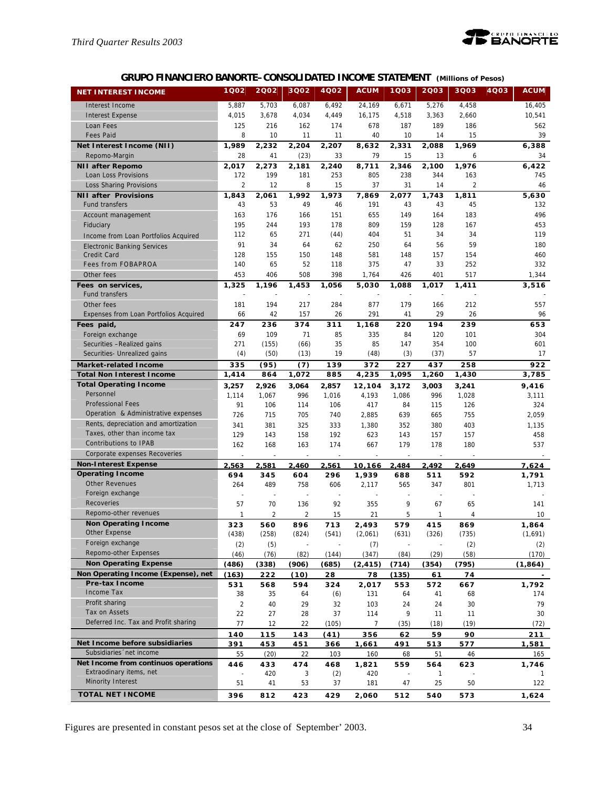

# **GRUPO FINANCIERO BANORTE–CONSOLIDATED INCOME STATEMENT** *(Millions of Pesos)*

| <b>NET INTEREST INCOME</b>             | 1Q02           | 2002  | 3Q02           | 4Q02  | <b>ACUM</b> | 1Q03  | 2003  | 3Q03           | 4Q03<br><b>ACUM</b> |
|----------------------------------------|----------------|-------|----------------|-------|-------------|-------|-------|----------------|---------------------|
| Interest Income                        | 5,887          | 5,703 | 6,087          | 6,492 | 24,169      | 6,671 | 5,276 | 4,458          | 16,405              |
| <b>Interest Expense</b>                | 4,015          | 3,678 | 4,034          | 4,449 | 16,175      | 4,518 | 3,363 | 2,660          | 10,541              |
| Loan Fees                              | 125            | 216   | 162            | 174   | 678         | 187   | 189   | 186            | 562                 |
| <b>Fees Paid</b>                       | 8              | 10    | 11             | 11    | 40          | 10    | 14    | 15             | 39                  |
| Net Interest Income (NII)              | 1,989          | 2,232 | 2,204          | 2,207 | 8,632       | 2,331 | 2,088 | 1,969          | 6,388               |
| Repomo-Margin                          | 28             | 41    | (23)           | 33    | 79          | 15    | 13    | 6              | 34                  |
| <b>NII after Repomo</b>                | 2,017          | 2,273 | 2,181          | 2,240 | 8,711       | 2,346 | 2,100 | 1,976          | 6,422               |
| Loan Loss Provisions                   | 172            | 199   | 181            | 253   | 805         | 238   | 344   | 163            | 745                 |
| <b>Loss Sharing Provisions</b>         | $\overline{2}$ | 12    | 8              | 15    | 37          | 31    | 14    | $\overline{2}$ | 46                  |
| <b>NII after Provisions</b>            | 1,843          | 2,061 | 1,992          | 1,973 | 7,869       | 2,077 | 1,743 | 1,811          | 5,630               |
| <b>Fund transfers</b>                  | 43             | 53    | 49             | 46    | 191         | 43    | 43    | 45             | 132                 |
| Account management                     | 163            | 176   | 166            | 151   | 655         | 149   | 164   | 183            | 496                 |
| Fiduciary                              | 195            | 244   | 193            | 178   | 809         | 159   | 128   | 167            | 453                 |
| Income from Loan Portfolios Acquired   | 112            | 65    | 271            | (44)  | 404         | 51    | 34    | 34             | 119                 |
| <b>Electronic Banking Services</b>     | 91             | 34    | 64             | 62    | 250         | 64    | 56    | 59             | 180                 |
| Credit Card                            | 128            | 155   | 150            | 148   | 581         | 148   | 157   | 154            | 460                 |
| <b>Fees from FOBAPROA</b>              | 140            | 65    | 52             | 118   | 375         | 47    | 33    | 252            | 332                 |
| Other fees                             | 453            | 406   | 508            | 398   | 1,764       | 426   | 401   | 517            | 1,344               |
| Fees on services,                      | 1,325          | 1,196 | 1,453          | 1,056 | 5,030       | 1,088 | 1,017 | 1,411          | 3,516               |
| <b>Fund transfers</b>                  |                |       |                |       |             |       |       |                |                     |
| Other fees                             | 181            | 194   | 217            | 284   | 877         | 179   | 166   | 212            | 557                 |
| Expenses from Loan Portfolios Acquired | 66             | 42    | 157            | 26    | 291         | 41    | 29    | 26             | 96                  |
| Fees paid,                             | 247            | 236   | 374            | 311   | 1,168       | 220   | 194   | 239            | 653                 |
| Foreign exchange                       | 69             | 109   | 71             | 85    | 335         | 84    | 120   | 101            | 304                 |
| Securities - Realized gains            | 271            | (155) | (66)           | 35    | 85          | 147   | 354   | 100            | 601                 |
| Securities- Unrealized gains           | (4)            | (50)  | (13)           | 19    | (48)        | (3)   | (37)  | 57             | 17                  |
| <b>Market-related Income</b>           | 335            | (95)  | (7)            | 139   | 372         | 227   | 437   | 258            | 922                 |
| <b>Total Non Interest Income</b>       | 1,414          | 864   | 1,072          | 885   | 4,235       | 1,095 | 1,260 | 1,430          | 3,785               |
| <b>Total Operating Income</b>          | 3,257          | 2,926 | 3,064          | 2,857 | 12,104      | 3,172 | 3,003 | 3,241          | 9,416               |
| Personnel                              | 1,114          | 1,067 | 996            | 1,016 | 4,193       | 1,086 | 996   | 1,028          | 3,111               |
| <b>Professional Fees</b>               | 91             | 106   | 114            | 106   | 417         | 84    | 115   | 126            | 324                 |
| Operation & Administrative expenses    | 726            | 715   | 705            | 740   | 2,885       | 639   | 665   | 755            | 2,059               |
| Rents, depreciation and amortization   | 341            | 381   | 325            | 333   | 1,380       | 352   | 380   | 403            | 1,135               |
| Taxes, other than income tax           | 129            | 143   | 158            | 192   | 623         | 143   | 157   | 157            | 458                 |
| Contributions to IPAB                  | 162            | 168   | 163            | 174   | 667         | 179   | 178   | 180            | 537                 |
| Corporate expenses Recoveries          |                |       |                |       |             |       |       |                |                     |
| <b>Non-Interest Expense</b>            | 2,563          | 2,581 | 2,460          | 2,561 | 10,166      | 2,484 | 2,492 | 2,649          | 7,624               |
| <b>Operating Income</b>                | 694            | 345   | 604            | 296   | 1,939       | 688   | 511   | 592            | 1,791               |
| <b>Other Revenues</b>                  | 264            | 489   | 758            | 606   | 2,117       | 565   | 347   | 801            | 1,713               |
| Foreign exchange                       |                |       |                |       |             |       |       |                |                     |
| Recoveries                             | 57             | 70    | 136            | 92    | 355         | 9     | 67    | 65             | 141                 |
| Repomo-other revenues                  | 1              | 2     | $\overline{2}$ | 15    | 21          | 5     | 1     | 4              | 10                  |
| <b>Non Operating Income</b>            | 323            | 560   | 896            | 713   | 2,493       | 579   | 415   | 869            | 1,864               |
| Other Expense                          | (438)          | (258) | (824)          | (541) | (2,061)     | (631) | (326) | (735)          | (1,691)             |
| Foreign exchange                       | (2)            | (5)   |                |       | (7)         |       |       | (2)            | (2)                 |
| Repomo-other Expenses                  | (46)           | (76)  | (82)           | (144) | (347)       | (84)  | (29)  | (58)           | (170)               |
| <b>Non Operating Expense</b>           | (486)          | (338) | (906)          | (685) | (2, 415)    | (714) | (354) | (795)          | (1, 864)            |
| Non Operating Income (Expense), net    | (163)          | 222   | (10)           | 28    | 78          | (135) | 61    | 74             |                     |
| Pre-tax Income                         | 531            | 568   | 594            | 324   | 2,017       | 553   | 572   | 667            | 1,792               |
| Income Tax                             | 38             | 35    | 64             | (6)   | 131         | 64    | 41    | 68             | 174                 |
| Profit sharing                         | 2              | 40    | 29             | 32    | 103         | 24    | 24    | 30             | 79                  |
| Tax on Assets                          | 22             | 27    | 28             | 37    | 114         | 9     | 11    | 11             | 30                  |
| Deferred Inc. Tax and Profit sharing   | 77             | 12    | 22             | (105) | 7           | (35)  | (18)  | (19)           | (72)                |
|                                        | 140            | 115   | 143            | (41)  | 356         | 62    | 59    | 90             | 211                 |
| Net Income before subsidiaries         | 391            | 453   | 451            | 366   | 1,661       | 491   | 513   | 577            | 1,581               |
| Subsidiaries 'net income               | 55             | (20)  | 22             | 103   | 160         | 68    | 51    | 46             | 165                 |
| Net Income from continuos operations   | 446            | 433   | 474            | 468   | 1,821       | 559   | 564   | 623            | 1,746               |
| Extraodinary items, net                |                | 420   | 3              | (2)   | 420         |       | 1     |                |                     |
| Minority Interest                      | 51             | 41    | 53             | 37    | 181         | 47    | 25    | 50             | 122                 |
| <b>TOTAL NET INCOME</b>                | 396            | 812   | 423            | 429   | 2,060       | 512   | 540   | 573            | 1,624               |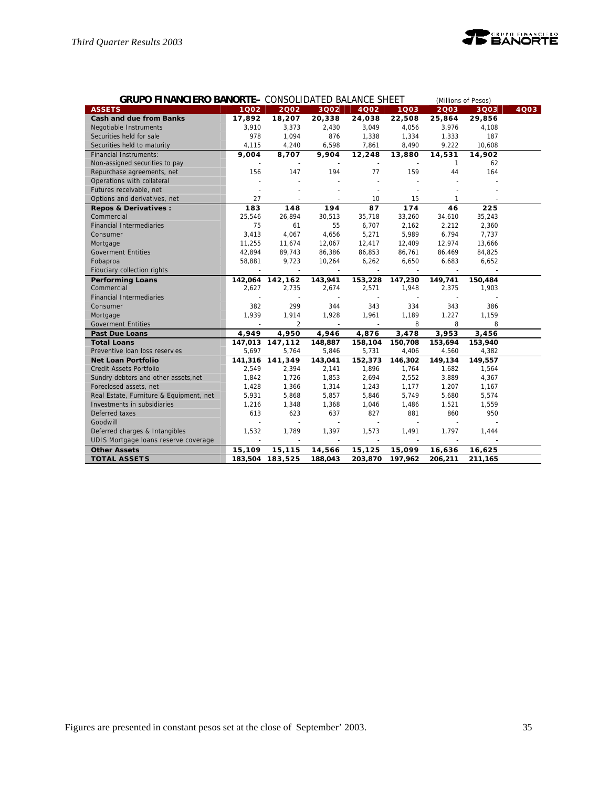

| <b>GRUPO FINANCIERO BANORTE-</b> CONSOLIDATED BALANCE SHEET<br>(Millions of Pesos) |                          |                 |                |                |                |                |         |      |
|------------------------------------------------------------------------------------|--------------------------|-----------------|----------------|----------------|----------------|----------------|---------|------|
| <b>ASSETS</b>                                                                      | 1002                     | 2002            | 3Q02           | <b>4002</b>    | 1Q03           | 2003           | 3Q03    | 4003 |
| <b>Cash and due from Banks</b>                                                     | 17,892                   | 18,207          | 20,338         | 24,038         | 22,508         | 25,864         | 29,856  |      |
| Negotiable Instruments                                                             | 3,910                    | 3,373           | 2,430          | 3,049          | 4,056          | 3,976          | 4,108   |      |
| Securities held for sale                                                           | 978                      | 1,094           | 876            | 1,338          | 1,334          | 1,333          | 187     |      |
| Securities held to maturity                                                        | 4,115                    | 4,240           | 6,598          | 7,861          | 8,490          | 9,222          | 10,608  |      |
| <b>Financial Instruments:</b>                                                      | 9,004                    | 8,707           | 9,904          | 12,248         | 13,880         | 14,531         | 14,902  |      |
| Non-assigned securities to pay                                                     |                          |                 |                | $\blacksquare$ |                | $\mathbf{1}$   | 62      |      |
| Repurchase agreements, net                                                         | 156                      | 147             | 194            | 77             | 159            | 44             | 164     |      |
| Operations with collateral                                                         |                          |                 |                |                |                |                |         |      |
| Futures receivable, net                                                            |                          |                 |                |                |                |                |         |      |
| Options and derivatives, net                                                       | 27                       | $\overline{a}$  | $\overline{a}$ | 10             | 15             | $\mathbf{1}$   |         |      |
| Repos & Derivatives :                                                              | 183                      | 148             | 194            | 87             | 174            | 46             | 225     |      |
| Commercial                                                                         | 25,546                   | 26,894          | 30,513         | 35,718         | 33,260         | 34,610         | 35,243  |      |
| <b>Financial Intermediaries</b>                                                    | 75                       | 61              | 55             | 6,707          | 2,162          | 2,212          | 2,360   |      |
| Consumer                                                                           | 3,413                    | 4,067           | 4,656          | 5,271          | 5,989          | 6,794          | 7,737   |      |
| Mortgage                                                                           | 11,255                   | 11,674          | 12,067         | 12,417         | 12,409         | 12,974         | 13,666  |      |
| <b>Goverment Entities</b>                                                          | 42,894                   | 89,743          | 86,386         | 86,853         | 86,761         | 86,469         | 84,825  |      |
| Fobaproa                                                                           | 58,881                   | 9,723           | 10,264         | 6,262          | 6,650          | 6,683          | 6,652   |      |
| Fiduciary collection rights                                                        |                          | $\sim$          | $\sim$         | $\sim$         | $\sim$         | $\sim$         |         |      |
| <b>Performing Loans</b>                                                            |                          | 142,064 142,162 | 143,941        | 153,228        | 147,230        | 149,741        | 150,484 |      |
| Commercial                                                                         | 2,627                    | 2,735           | 2,674          | 2,571          | 1,948          | 2,375          | 1,903   |      |
| <b>Financial Intermediaries</b>                                                    |                          | ÷,              |                |                |                |                |         |      |
| Consumer                                                                           | 382                      | 299             | 344            | 343            | 334            | 343            | 386     |      |
| Mortgage                                                                           | 1,939                    | 1,914           | 1,928          | 1,961          | 1,189          | 1,227          | 1,159   |      |
| <b>Goverment Entities</b>                                                          | $\overline{\phantom{a}}$ | $\overline{2}$  | $\sim$         | $\sim$         | 8              | 8              | 8       |      |
| <b>Past Due Loans</b>                                                              | 4.949                    | 4,950           | 4,946          | 4,876          | 3,478          | 3,953          | 3,456   |      |
| <b>Total Loans</b>                                                                 |                          | 147,013 147,112 | 148,887        | 158,104        | 150,708        | 153,694        | 153,940 |      |
| Preventive Ioan loss reserves                                                      | 5,697                    | 5,764           | 5,846          | 5,731          | 4,406          | 4,560          | 4,382   |      |
| <b>Net Loan Portfolio</b>                                                          |                          | 141,316 141,349 | 143,041        | 152,373        | 146,302        | 149,134        | 149,557 |      |
| Credit Assets Portfolio                                                            | 2,549                    | 2,394           | 2,141          | 1,896          | 1,764          | 1,682          | 1,564   |      |
| Sundry debtors and other assets, net                                               | 1,842                    | 1,726           | 1,853          | 2,694          | 2,552          | 3,889          | 4,367   |      |
| Foreclosed assets, net                                                             | 1,428                    | 1,366           | 1,314          | 1,243          | 1,177          | 1,207          | 1,167   |      |
| Real Estate, Furniture & Equipment, net                                            | 5,931                    | 5,868           | 5,857          | 5,846          | 5,749          | 5,680          | 5,574   |      |
| Investments in subsidiaries                                                        | 1,216                    | 1,348           | 1,368          | 1,046          | 1,486          | 1,521          | 1,559   |      |
| Deferred taxes                                                                     | 613                      | 623             | 637            | 827            | 881            | 860            | 950     |      |
| Goodwill                                                                           |                          | L.              | $\sim$         |                |                |                |         |      |
| Deferred charges & Intangibles                                                     | 1,532                    | 1,789           | 1,397          | 1,573          | 1,491          | 1,797          | 1.444   |      |
| UDIS Mortgage Ioans reserve coverage                                               | $\overline{a}$           |                 | $\sim$         | $\sim$         | $\overline{a}$ | $\overline{a}$ |         |      |
| <b>Other Assets</b>                                                                | 15,109                   | 15,115          | 14,566         | 15,125         | 15,099         | 16,636         | 16,625  |      |
| <b>TOTAL ASSETS</b>                                                                | 183,504                  | 183,525         | 188,043        | 203,870        | 197,962        | 206,211        | 211,165 |      |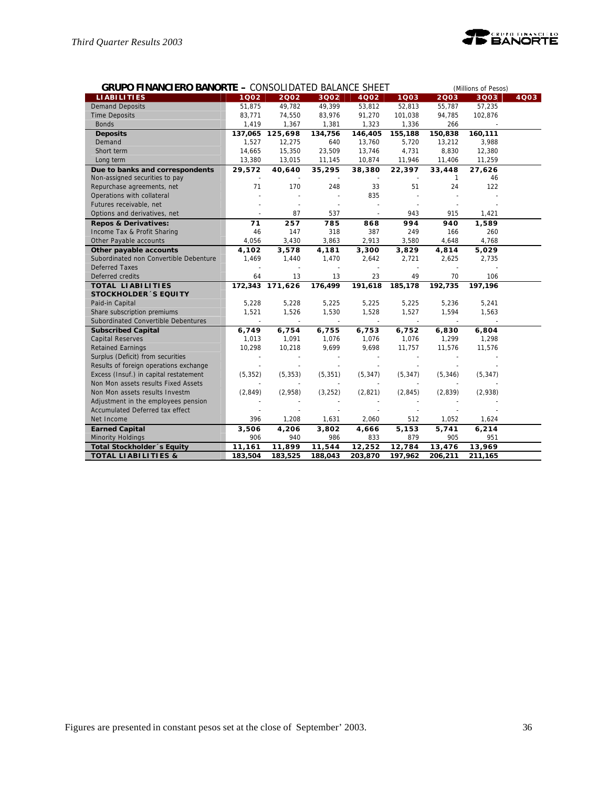

| <b>GRUPO FINANCIERO BANORTE - CONSOLIDATED BALANCE SHEET</b> |          |                 |          |          |                          |              | (Millions of Pesos) |      |  |  |
|--------------------------------------------------------------|----------|-----------------|----------|----------|--------------------------|--------------|---------------------|------|--|--|
| <b>LIABILITIES</b>                                           | 1002     | 2002            | 3Q02     | 4002     | 1Q03                     | 2003         | 3Q03                | 4Q03 |  |  |
| <b>Demand Deposits</b>                                       | 51,875   | 49,782          | 49,399   | 53,812   | 52,813                   | 55,787       | 57,235              |      |  |  |
| <b>Time Deposits</b>                                         | 83,771   | 74,550          | 83,976   | 91,270   | 101,038                  | 94,785       | 102,876             |      |  |  |
| <b>Bonds</b>                                                 | 1,419    | 1,367           | 1,381    | 1,323    | 1,336                    | 266          |                     |      |  |  |
| <b>Deposits</b>                                              | 137,065  | 125,698         | 134,756  | 146,405  | 155,188                  | 150,838      | 160,111             |      |  |  |
| Demand                                                       | 1,527    | 12,275          | 640      | 13,760   | 5,720                    | 13,212       | 3,988               |      |  |  |
| Short term                                                   | 14,665   | 15,350          | 23,509   | 13,746   | 4,731                    | 8,830        | 12,380              |      |  |  |
| Long term                                                    | 13,380   | 13,015          | 11,145   | 10,874   | 11,946                   | 11,406       | 11,259              |      |  |  |
| Due to banks and correspondents                              | 29,572   | 40,640          | 35,295   | 38,380   | 22,397                   | 33,448       | 27,626              |      |  |  |
| Non-assigned securities to pay                               |          |                 |          |          |                          | $\mathbf{1}$ | 46                  |      |  |  |
| Repurchase agreements, net                                   | 71       | 170             | 248      | 33       | 51                       | 24           | 122                 |      |  |  |
| Operations with collateral                                   |          |                 |          | 835      |                          |              |                     |      |  |  |
| Futures receivable, net                                      |          |                 |          |          |                          |              |                     |      |  |  |
| Options and derivatives, net                                 |          | 87              | 537      | $\sim$   | 943                      | 915          | 1,421               |      |  |  |
| <b>Repos &amp; Derivatives:</b>                              | 71       | 257             | 785      | 868      | 994                      | 940          | 1,589               |      |  |  |
| Income Tax & Profit Sharing                                  | 46       | 147             | 318      | 387      | 249                      | 166          | 260                 |      |  |  |
| Other Payable accounts                                       | 4,056    | 3,430           | 3,863    | 2,913    | 3,580                    | 4,648        | 4,768               |      |  |  |
| Other payable accounts                                       | 4,102    | 3,578           | 4,181    | 3,300    | 3,829                    | 4,814        | 5,029               |      |  |  |
| Subordinated non Convertible Debenture                       | 1,469    | 1,440           | 1,470    | 2,642    | 2,721                    | 2,625        | 2,735               |      |  |  |
| <b>Deferred Taxes</b>                                        |          |                 | $\sim$   | $\sim$   | $\overline{\phantom{a}}$ |              |                     |      |  |  |
| Deferred credits                                             | 64       | 13              | 13       | 23       | 49                       | 70           | 106                 |      |  |  |
| <b>TOTAL LIABILITIES</b>                                     |          | 172,343 171,626 | 176,499  | 191,618  | 185,178                  | 192,735      | 197,196             |      |  |  |
| <b>STOCKHOLDER 'S EQUITY</b>                                 |          |                 |          |          |                          |              |                     |      |  |  |
| Paid-in Capital                                              | 5,228    | 5,228           | 5,225    | 5,225    | 5,225                    | 5,236        | 5,241               |      |  |  |
| Share subscription premiums                                  | 1,521    | 1,526           | 1,530    | 1,528    | 1,527                    | 1,594        | 1,563               |      |  |  |
| Subordinated Convertible Debentures                          |          |                 |          |          |                          |              |                     |      |  |  |
| <b>Subscribed Capital</b>                                    | 6,749    | 6,754           | 6,755    | 6,753    | 6,752                    | 6,830        | 6,804               |      |  |  |
| <b>Capital Reserves</b>                                      | 1,013    | 1,091           | 1,076    | 1,076    | 1,076                    | 1,299        | 1,298               |      |  |  |
| <b>Retained Earnings</b>                                     | 10,298   | 10,218          | 9,699    | 9,698    | 11,757                   | 11,576       | 11,576              |      |  |  |
| Surplus (Deficit) from securities                            |          | $\blacksquare$  |          |          | $\overline{\phantom{a}}$ |              |                     |      |  |  |
| Results of foreign operations exchange                       |          |                 |          |          |                          |              |                     |      |  |  |
| Excess (Insuf.) in capital restatement                       | (5, 352) | (5, 353)        | (5, 351) | (5, 347) | (5, 347)                 | (5, 346)     | (5, 347)            |      |  |  |
| Non Mon assets results Fixed Assets                          |          |                 |          |          |                          |              |                     |      |  |  |
| Non Mon assets results Investm                               | (2,849)  | (2,958)         | (3, 252) | (2,821)  | (2, 845)                 | (2,839)      | (2,938)             |      |  |  |
| Adjustment in the employees pension                          |          |                 |          |          |                          |              |                     |      |  |  |
| Accumulated Deferred tax effect                              |          |                 |          |          |                          |              |                     |      |  |  |
| Net Income                                                   | 396      | 1,208           | 1,631    | 2,060    | 512                      | 1,052        | 1,624               |      |  |  |
| <b>Earned Capital</b>                                        | 3,506    | 4,206           | 3,802    | 4,666    | 5,153                    | 5,741        | 6, 214              |      |  |  |
| Minority Holdings                                            | 906      | 940             | 986      | 833      | 879                      | 905          | 951                 |      |  |  |
| Total Stockholder's Equity                                   | 11,161   | 11,899          | 11,544   | 12,252   | 12,784                   | 13,476       | 13,969              |      |  |  |
| <b>TOTAL LIABILITIES &amp;</b>                               | 183.504  | 183,525         | 188.043  | 203.870  | 197.962                  | 206,211      | 211,165             |      |  |  |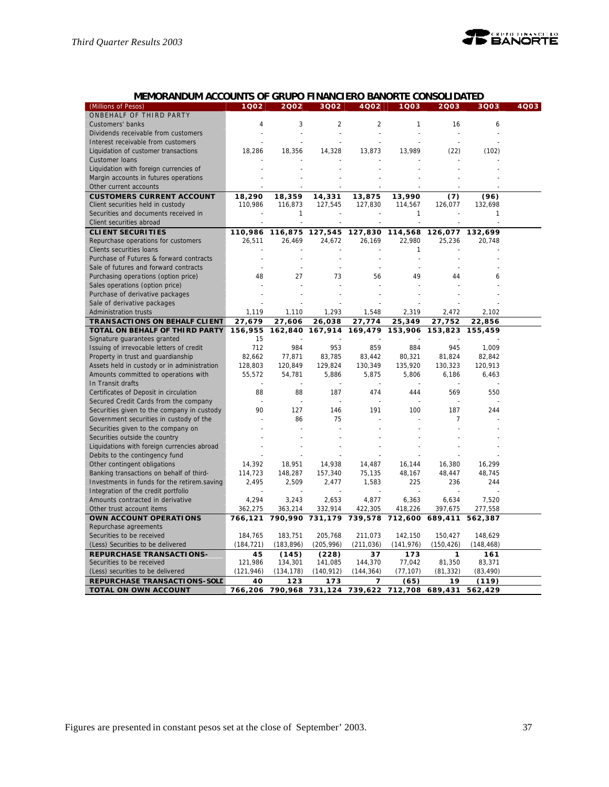

# **MEMORANDUM ACCOUNTS OF GRUPO FINANCIERO BANORTE CONSOLIDATED**

| 2003<br>(Millions of Pesos)<br>ONBEHALF OF THIRD PARTY                                                                              |  |
|-------------------------------------------------------------------------------------------------------------------------------------|--|
|                                                                                                                                     |  |
| Customers' banks<br>$\overline{4}$<br>3<br>$\overline{2}$<br>$\overline{2}$<br>1<br>16<br>6                                         |  |
| Dividends receivable from customers                                                                                                 |  |
| Interest receivable from customers                                                                                                  |  |
| 18,286<br>14,328<br>13,989<br>(22)<br>(102)<br>Liquidation of customer transactions<br>18,356<br>13,873                             |  |
| Customer Ioans                                                                                                                      |  |
| Liquidation with foreign currencies of                                                                                              |  |
| Margin accounts in futures operations                                                                                               |  |
| Other current accounts                                                                                                              |  |
| <b>CUSTOMERS CURRENT ACCOUNT</b><br>18,290<br>18,359<br>14,331<br>13,875<br>13,990<br>(7)<br>(96)                                   |  |
| Client securities held in custody<br>110,986<br>116,873<br>127,545<br>127,830<br>114,567<br>126,077<br>132,698                      |  |
| Securities and documents received in<br>1<br>1<br>1                                                                                 |  |
| Client securities abroad                                                                                                            |  |
| <b>CLIENT SECURITIES</b><br>116,875<br>127,545<br>110,986<br>127,830<br>114,568<br>126,077<br>132,699                               |  |
| 22,980<br>Repurchase operations for customers<br>26,511<br>26,469<br>24,672<br>26,169<br>25,236<br>20,748                           |  |
| Clients securities loans<br>1                                                                                                       |  |
| Purchase of Futures & forward contracts<br>$\overline{a}$<br>J.                                                                     |  |
| Sale of futures and forward contracts<br>L,<br>L.                                                                                   |  |
| Purchasing operations (option price)<br>48<br>27<br>73<br>49<br>44<br>56<br>6                                                       |  |
| Sales operations (option price)                                                                                                     |  |
| Purchase of derivative packages                                                                                                     |  |
| Sale of derivative packages                                                                                                         |  |
| Administration trusts<br>1,119<br>1,110<br>1,293<br>1,548<br>2,319<br>2,472<br>2,102                                                |  |
| <b>TRANSACTIONS ON BEHALF CLIENT</b><br>27,679<br>27,774<br>25,349<br>27,752<br>27,606<br>26,038<br>22,856                          |  |
| TOTAL ON BEHALF OF THIRD PARTY<br>156,955<br>162,840<br>167,914<br>169,479<br>153,906<br>153,823<br>155,459                         |  |
| Signature guarantees granted<br>15                                                                                                  |  |
| 712<br>984<br>953<br>859<br>Issuing of irrevocable letters of credit<br>884<br>945<br>1,009                                         |  |
| Property in trust and guardianship<br>82,662<br>77,871<br>83,785<br>83,442<br>80,321<br>81,824<br>82,842                            |  |
| Assets held in custody or in administration<br>128,803<br>120,849<br>129,824<br>130,349<br>135,920<br>130,323<br>120,913            |  |
| Amounts committed to operations with<br>55,572<br>54,781<br>5,886<br>5,875<br>5,806<br>6,186<br>6,463                               |  |
| In Transit drafts                                                                                                                   |  |
| 88<br>Certificates of Deposit in circulation<br>88<br>187<br>474<br>569<br>550<br>444                                               |  |
| Secured Credit Cards from the company                                                                                               |  |
| Securities given to the company in custody<br>127<br>191<br>100<br>187<br>244<br>90<br>146                                          |  |
| Government securities in custody of the<br>86<br>75<br>7                                                                            |  |
| Securities given to the company on                                                                                                  |  |
| Securities outside the country                                                                                                      |  |
| Liquidations with foreign currencies abroad                                                                                         |  |
| Debits to the contingency fund                                                                                                      |  |
| Other contingent obligations<br>14,392<br>18,951<br>14,938<br>14,487<br>16,380<br>16,299<br>16,144                                  |  |
| Banking transactions on behalf of third-<br>114,723<br>148,287<br>157,340<br>75,135<br>48,167<br>48,447<br>48,745                   |  |
| Investments in funds for the retirem.saving<br>2,495<br>2,509<br>2,477<br>1,583<br>225<br>236<br>244                                |  |
| Integration of the credit portfolio                                                                                                 |  |
| Amounts contracted in derivative<br>4,294<br>3,243<br>2,653<br>4,877<br>7,520<br>6,363<br>6,634                                     |  |
| 332,914<br>277,558<br>Other trust account items<br>362,275<br>363,214<br>422,305<br>418,226<br>397,675                              |  |
| OWN ACCOUNT OPERATIONS<br>766,121<br>790,990<br>731,179<br>739,578<br>712,600<br>689,411<br>562,387                                 |  |
| Repurchase agreements                                                                                                               |  |
| Securities to be received<br>184,765<br>183,751<br>205,768<br>211,073<br>142,150<br>150,427<br>148,629                              |  |
| (184, 721)<br>(205, 996)<br>(141, 976)<br>(Less) Securities to be delivered<br>(183, 896)<br>(211, 036)<br>(150, 426)<br>(148, 468) |  |
| <b>REPURCHASE TRANSACTIONS-</b><br>45<br>(145)<br>(228)<br>37<br>173<br>1<br>161                                                    |  |
| Securities to be received<br>121,986<br>134,301<br>144,370<br>77,042<br>81,350<br>83,371<br>141,085                                 |  |
| (Less) securities to be delivered<br>(121, 946)<br>(134, 178)<br>(140, 912)<br>(144, 364)<br>(77, 107)<br>(81, 332)<br>(83, 490)    |  |
| REPURCHASE TRANSACTIONS-SOLD<br>40<br>123<br>173<br>7<br>(65)<br>19<br>(119)                                                        |  |
| TOTAL ON OWN ACCOUNT<br>790,968<br>712,708<br>766,206<br>731,124<br>739,622<br>689,431<br>562,429                                   |  |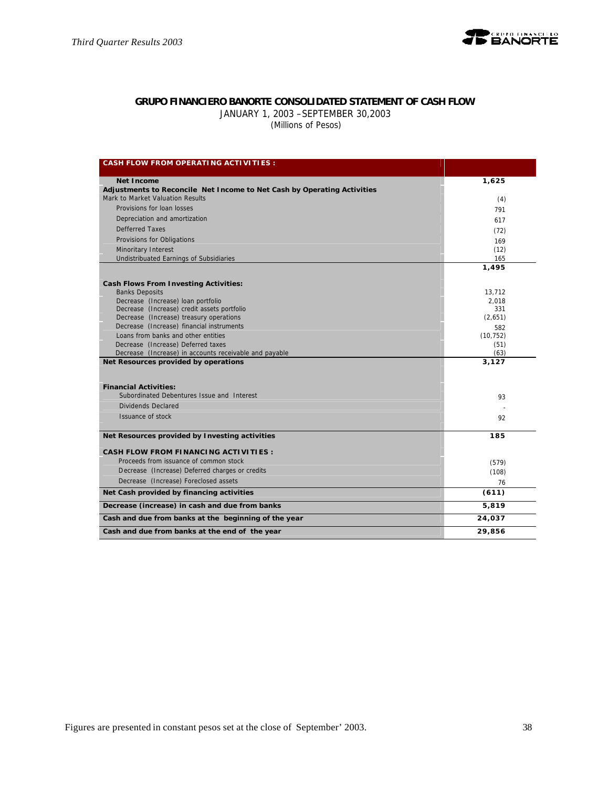

# **GRUPO FINANCIERO BANORTE CONSOLIDATED STATEMENT OF CASH FLOW**

JANUARY 1, 2003 –SEPTEMBER 30,2003

 *(Millions of Pesos)*

| <b>CASH FLOW FROM OPERATING ACTIVITIES :</b>                                                 |              |
|----------------------------------------------------------------------------------------------|--------------|
| <b>Net Income</b>                                                                            | 1,625        |
| Adjustments to Reconcile Net Income to Net Cash by Operating Activities                      |              |
| Mark to Market Valuation Results                                                             | (4)          |
| Provisions for loan losses                                                                   | 791          |
| Depreciation and amortization                                                                | 617          |
| Defferred Taxes                                                                              | (72)         |
| Provisions for Obligations                                                                   | 169          |
| Minoritary Interest                                                                          | (12)         |
| Undistribuated Earnings of Subsidiaries                                                      | 165          |
|                                                                                              | 1,495        |
| <b>Cash Flows From Investing Activities:</b>                                                 |              |
| <b>Banks Deposits</b>                                                                        | 13,712       |
| Decrease (Increase) loan portfolio                                                           | 2.018        |
| Decrease (Increase) credit assets portfolio                                                  | 331          |
| Decrease (Increase) treasury operations                                                      | (2,651)      |
| Decrease (Increase) financial instruments                                                    | 582          |
| Loans from banks and other entities                                                          | (10, 752)    |
| Decrease (Increase) Deferred taxes<br>Decrease (Increase) in accounts receivable and payable | (51)<br>(63) |
| Net Resources provided by operations                                                         | 3,127        |
|                                                                                              |              |
| <b>Financial Activities:</b>                                                                 |              |
| Subordinated Debentures Issue and Interest                                                   | 93           |
| Dividends Declared                                                                           |              |
| Issuance of stock                                                                            | 92           |
| Net Resources provided by Investing activities                                               | 185          |
| <b>CASH FLOW FROM FINANCING ACTIVITIES:</b>                                                  |              |
| Proceeds from issuance of common stock                                                       | (579)        |
| Decrease (Increase) Deferred charges or credits                                              | (108)        |
| Decrease (Increase) Foreclosed assets                                                        | 76           |
| Net Cash provided by financing activities                                                    | (611)        |
| Decrease (increase) in cash and due from banks                                               | 5,819        |
| Cash and due from banks at the beginning of the year                                         | 24,037       |
| Cash and due from banks at the end of the year                                               | 29,856       |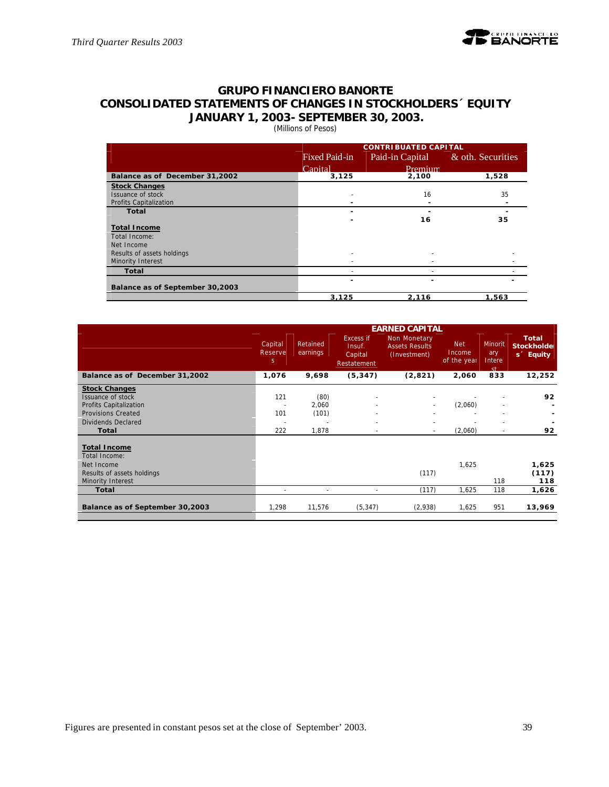# **GRUPO FINANCIERO BANORTE CONSOLIDATED STATEMENTS OF CHANGES IN STOCKHOLDERS´ EQUITY JANUARY 1, 2003- SEPTEMBER 30, 2003.**

(Millions of Pesos)

|                                 |               | <b>CONTRIBUATED CAPITAL</b> |                   |
|---------------------------------|---------------|-----------------------------|-------------------|
|                                 | Fixed Paid-in | Paid-in Capital             | & oth. Securities |
|                                 | Capital       | Premium                     |                   |
| Balance as of December 31,2002  | 3,125         | 2,100                       | 1,528             |
| <b>Stock Changes</b>            |               |                             |                   |
| Issuance of stock               |               | 16                          | 35                |
| <b>Profits Capitalization</b>   |               |                             |                   |
| Total                           |               |                             |                   |
|                                 | -             | 16                          | 35                |
| <b>Total Income</b>             |               |                             |                   |
| Total Income:                   |               |                             |                   |
| Net Income                      |               |                             |                   |
| Results of assets holdings      |               |                             |                   |
| Minority Interest               |               |                             |                   |
| Total                           |               |                             |                   |
|                                 |               |                             |                   |
| Balance as of September 30,2003 |               |                             |                   |
|                                 | 3.125         | 2,116                       | 1,563             |

|                                      |                                    |                      |                                               | <b>EARNED CAPITAL</b>                                 |                                     |                                           |                                                             |
|--------------------------------------|------------------------------------|----------------------|-----------------------------------------------|-------------------------------------------------------|-------------------------------------|-------------------------------------------|-------------------------------------------------------------|
|                                      | Capital<br>Reserve<br><sup>S</sup> | Retained<br>earnings | Excess if<br>Insuf.<br>Capital<br>Restatement | Non Monetary<br><b>Assets Results</b><br>(Investment) | <b>Net</b><br>Income<br>of the year | Minorit<br>ary<br>Intere<br><sub>ct</sub> | <b>Total</b><br><b>Stockholder</b><br>s <sup>2</sup> Equity |
| Balance as of December 31,2002       | 1,076                              | 9,698                | (5, 347)                                      | (2,821)                                               | 2,060                               | 833                                       | 12,252                                                      |
| <b>Stock Changes</b>                 |                                    |                      |                                               |                                                       |                                     |                                           |                                                             |
| Issuance of stock                    | 121                                | (80)                 |                                               |                                                       |                                     |                                           | 92                                                          |
| Profits Capitalization               | $\overline{\phantom{a}}$           | 2,060                |                                               |                                                       | (2,060)                             | $\sim$                                    |                                                             |
| <b>Provisions Created</b>            | 101                                | (101)                |                                               |                                                       |                                     |                                           |                                                             |
| Dividends Declared                   | $\overline{\phantom{a}}$           |                      | $\sim$                                        |                                                       |                                     | $\overline{\phantom{a}}$                  |                                                             |
| Total                                | 222                                | 1,878                |                                               |                                                       | (2,060)                             | $\blacksquare$                            | 92                                                          |
| <b>Total Income</b><br>Total Income: |                                    |                      |                                               |                                                       |                                     |                                           |                                                             |
| Net Income                           |                                    |                      |                                               |                                                       | 1,625                               |                                           | 1,625                                                       |
| Results of assets holdings           |                                    |                      |                                               | (117)                                                 |                                     |                                           | (117)                                                       |
| Minority Interest                    |                                    |                      |                                               |                                                       |                                     | 118                                       | 118                                                         |
| Total                                |                                    |                      | $\sim$                                        | (117)                                                 | 1,625                               | 118                                       | 1,626                                                       |
| Balance as of September 30,2003      | 1,298                              | 11,576               | (5, 347)                                      | (2,938)                                               | 1,625                               | 951                                       | 13,969                                                      |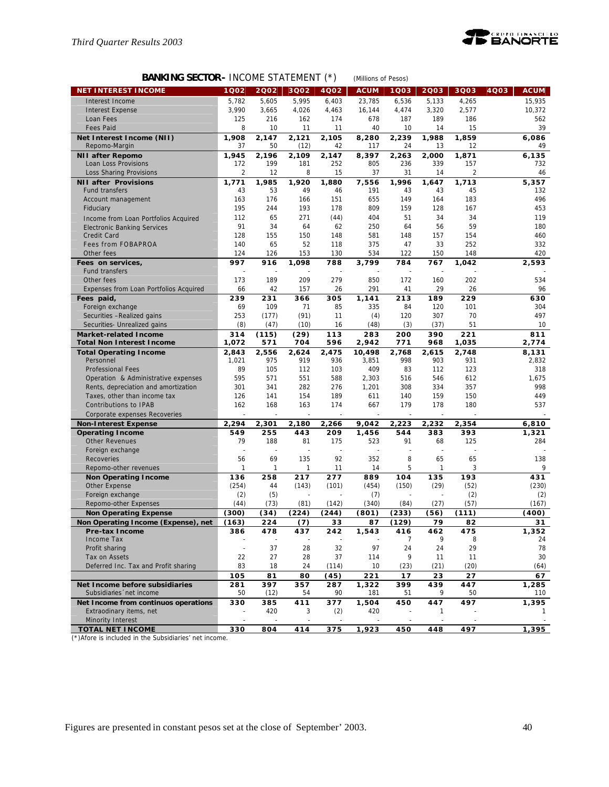

# **BANKING SECTOR-** INCOME STATEMENT (\*) *(Millions of Pesos)*

| <b>NET INTEREST INCOME</b>                 | 1Q02           | 2002         | 3Q02         | $\ddot{\phantom{1}}$<br>4002 | <b>ACUM</b>  | 1003           | 2003           | 3Q03                    | 4Q03<br><b>ACUM</b> |
|--------------------------------------------|----------------|--------------|--------------|------------------------------|--------------|----------------|----------------|-------------------------|---------------------|
|                                            | 5,782          |              |              |                              | 23.785       |                |                |                         | 15,935              |
| Interest Income                            | 3,990          | 5,605        | 5,995        | 6,403<br>4,463               | 16,144       | 6,536<br>4,474 | 5,133<br>3,320 | 4,265                   |                     |
| <b>Interest Expense</b>                    | 125            | 3,665<br>216 | 4,026        | 174                          |              | 187            | 189            | 2,577                   | 10,372              |
| Loan Fees<br><b>Fees Paid</b>              | 8              | 10           | 162<br>11    | 11                           | 678<br>40    | 10             | 14             | 186<br>15               | 562<br>39           |
|                                            |                | 2.147        | 2,121        |                              |              | 2,239          | 1,988          | 1,859                   | 6.086               |
| Net Interest Income (NII)<br>Repomo-Margin | 1,908<br>37    | 50           | (12)         | 2,105<br>42                  | 8,280<br>117 | 24             | 13             | 12                      | 49                  |
| <b>NII after Repomo</b>                    | 1,945          | 2,196        | 2.109        | 2,147                        | 8,397        | 2,263          | 2,000          | 1,871                   | 6,135               |
| Loan Loss Provisions                       | 172            | 199          | 181          | 252                          | 805          | 236            | 339            | 157                     | 732                 |
| Loss Sharing Provisions                    | $\overline{2}$ | 12           | 8            | 15                           | 37           | 31             | 14             | $\overline{\mathbf{c}}$ | 46                  |
| <b>NII after Provisions</b>                | 1,771          | 1,985        | 1,920        | 1,880                        | 7,556        | 1,996          | 1.647          | 1,713                   | 5,357               |
| <b>Fund transfers</b>                      | 43             | 53           | 49           | 46                           | 191          | 43             | 43             | 45                      | 132                 |
| Account management                         | 163            | 176          | 166          | 151                          | 655          | 149            | 164            | 183                     | 496                 |
| Fiduciary                                  | 195            | 244          | 193          | 178                          | 809          | 159            | 128            | 167                     | 453                 |
| Income from Loan Portfolios Acquired       | 112            | 65           | 271          | (44)                         | 404          | 51             | 34             | 34                      | 119                 |
| <b>Electronic Banking Services</b>         | 91             | 34           | 64           | 62                           | 250          | 64             | 56             | 59                      | 180                 |
| Credit Card                                | 128            | 155          | 150          | 148                          | 581          | 148            | 157            | 154                     | 460                 |
| <b>Fees from FOBAPROA</b>                  | 140            | 65           | 52           | 118                          | 375          | 47             | 33             | 252                     | 332                 |
| Other fees                                 | 124            | 126          | 153          | 130                          | 534          | 122            | 150            | 148                     | 420                 |
| Fees on services,                          | 997            | 916          | 1,098        | 788                          | 3,799        | 784            | 767            | 1,042                   | 2,593               |
| <b>Fund transfers</b>                      |                |              |              |                              |              |                |                |                         |                     |
| Other fees                                 | 173            | 189          | 209          | 279                          | 850          | 172            | 160            | 202                     | 534                 |
| Expenses from Loan Portfolios Acquired     | 66             | 42           | 157          | 26                           | 291          | 41             | 29             | 26                      | 96                  |
| Fees paid,                                 | 239            | 231          | 366          | 305                          | 1,141        | 213            | 189            | 229                     | 630                 |
| Foreign exchange                           | 69             | 109          | 71           | 85                           | 335          | 84             | 120            | 101                     | 304                 |
| Securities -Realized gains                 | 253            | (177)        | (91)         | 11                           | (4)          | 120            | 307            | 70                      | 497                 |
| Securities- Unrealized gains               | (8)            | (47)         | (10)         | 16                           | (48)         | (3)            | (37)           | 51                      | 10                  |
| <b>Market-related Income</b>               | 314            | (115)        | (29)         | 113                          | 283          | 200            | 390            | 221                     | 811                 |
| <b>Total Non Interest Income</b>           | 1,072          | 571          | 704          | 596                          | 2,942        | 771            | 968            | 1,035                   | 2,774               |
| <b>Total Operating Income</b>              | 2,843          | 2,556        | 2,624        | 2,475                        | 10.498       | 2,768          | 2.615          | 2,748                   | 8,131               |
| Personnel                                  | 1,021          | 975          | 919          | 936                          | 3,851        | 998            | 903            | 931                     | 2,832               |
| <b>Professional Fees</b>                   | 89             | 105          | 112          | 103                          | 409          | 83             | 112            | 123                     | 318                 |
| Operation & Administrative expenses        | 595            | 571          | 551          | 588                          | 2,303        | 516            | 546            | 612                     | 1,675               |
| Rents, depreciation and amortization       | 301            | 341          | 282          | 276                          | 1,201        | 308            | 334            | 357                     | 998                 |
| Taxes, other than income tax               | 126            | 141          | 154          | 189                          | 611          | 140            | 159            | 150                     | 449                 |
| Contributions to IPAB                      | 162            | 168          | 163          | 174                          | 667          | 179            | 178            | 180                     | 537                 |
| Corporate expenses Recoveries              |                |              |              |                              |              |                |                |                         |                     |
| <b>Non-Interest Expense</b>                | 2,294          | 2,301        | 2,180        | 2,266                        | 9,042        | 2,223          | 2,232          | 2,354                   | 6,810               |
| <b>Operating Income</b>                    | 549            | 255          | 443          | 209                          | 1,456        | 544            | 383            | 393                     | 1,321               |
| <b>Other Revenues</b>                      | 79             | 188          | 81           | 175                          | 523          | 91             | 68             | 125                     | 284                 |
| Foreign exchange                           | 56             | 69           | 135          | 92                           | 352          | 8              | 65             | 65                      | 138                 |
| Recoveries<br>Repomo-other revenues        | 1              | 1            | $\mathbf{1}$ | 11                           | 14           | 5              | $\mathbf{1}$   | 3                       | 9                   |
| <b>Non Operating Income</b>                | 136            | 258          | 217          | 277                          | 889          | 104            | 135            | 193                     | 431                 |
| Other Expense                              | (254)          | 44           | (143)        | (101)                        | (454)        | (150)          | (29)           | (52)                    | (230)               |
| Foreign exchange                           | (2)            | (5)          |              |                              | (7)          |                |                | (2)                     | (2)                 |
| Repomo-other Expenses                      | (44)           | (73)         | (81)         | (142)                        | (340)        | (84)           | (27)           | (57)                    | (167)               |
| <b>Non Operating Expense</b>               | (300)          | (34)         | (224)        | (244)                        | (801)        | (233)          | (56)           | (111)                   | (400)               |
| Non Operating Income (Expense), net        | (163)          | 224          | (7)          | 33                           | 87           | (129)          | 79             | 82                      | 31                  |
| Pre-tax Income                             | 386            | 478          | 437          | 242                          | 1,543        | 416            | 462            | 475                     | 1,352               |
| Income Tax                                 |                |              |              |                              |              | 7              | 9              | 8                       | 24                  |
| Profit sharing                             | $\omega$       | 37           | 28           | 32                           | 97           | 24             | 24             | 29                      | 78                  |
| Tax on Assets                              | 22             | 27           | 28           | 37                           | 114          | 9              | 11             | 11                      | 30                  |
| Deferred Inc. Tax and Profit sharing       | 83             | 18           | 24           | (114)                        | 10           | (23)           | (21)           | (20)                    | (64)                |
|                                            | 105            | 81           | 80           | (45)                         | 221          | 17             | 23             | 27                      | 67                  |
| Net Income before subsidiaries             | 281            | 397          | 357          | 287                          | 1,322        | 399            | 439            | 447                     | 1,285               |
| Subsidiaries 'net income                   | 50             | (12)         | 54           | 90                           | 181          | 51             | 9              | 50                      | 110                 |
| Net Income from continuos operations       | 330            | 385          | 411          | 377                          | 1,504        | 450            | 447            | 497                     | 1,395               |
| Extraodinary items, net                    |                | 420          | 3            | (2)                          | 420          |                | $\mathbf{1}$   |                         | 1                   |
| Minority Interest                          |                |              |              |                              |              |                |                |                         |                     |
| <b>TOTAL NET INCOME</b>                    | 330            | 804          | 414          | 375                          | 1,923        | 450            | 448            | 497                     | 1,395               |

(\*)Afore is included in the Subsidiaries' net income.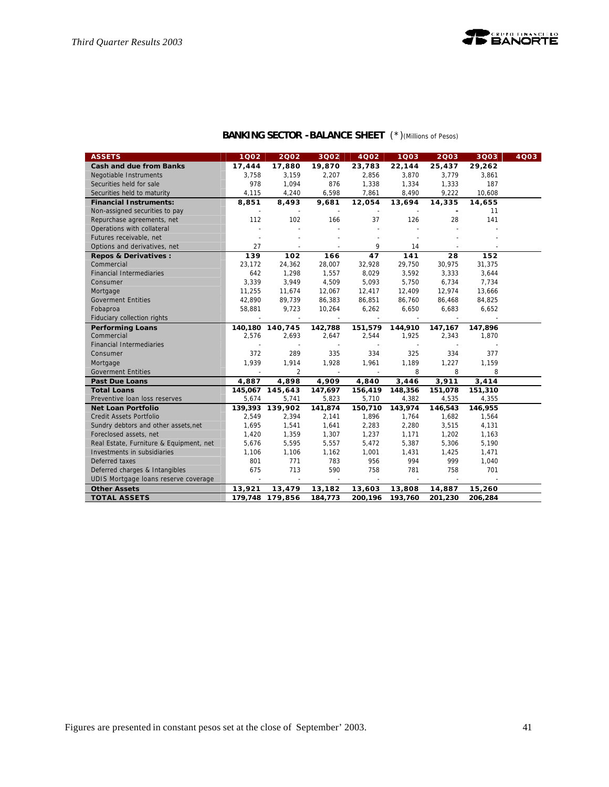

# **BANKING SECTOR -BALANCE SHEET** (\*)*(Millions of Pesos)*

| <b>ASSETS</b>                           | 1002    | 2002            | 3Q02    | 4002     | 1003    | 2003           | 3Q03    | 4Q03 |
|-----------------------------------------|---------|-----------------|---------|----------|---------|----------------|---------|------|
| <b>Cash and due from Banks</b>          | 17,444  | 17,880          | 19,870  | 23,783   | 22,144  | 25,437         | 29,262  |      |
| Negotiable Instruments                  | 3.758   | 3,159           | 2.207   | 2.856    | 3,870   | 3.779          | 3,861   |      |
| Securities held for sale                | 978     | 1,094           | 876     | 1,338    | 1,334   | 1,333          | 187     |      |
| Securities held to maturity             | 4,115   | 4,240           | 6,598   | 7,861    | 8,490   | 9,222          | 10,608  |      |
| <b>Financial Instruments:</b>           | 8,851   | 8,493           | 9,681   | 12,054   | 13,694  | 14,335         | 14,655  |      |
| Non-assigned securities to pay          |         |                 |         |          |         |                | 11      |      |
| Repurchase agreements, net              | 112     | 102             | 166     | 37       | 126     | 28             | 141     |      |
| Operations with collateral              |         |                 |         |          |         |                |         |      |
| Futures receivable, net                 |         |                 |         |          |         |                |         |      |
| Options and derivatives, net            | 27      | $\sim$          | ÷,      | 9        | 14      |                |         |      |
| Repos & Derivatives :                   | 139     | 102             | 166     | 47       | 141     | 28             | 152     |      |
| Commercial                              | 23,172  | 24,362          | 28,007  | 32,928   | 29,750  | 30,975         | 31,375  |      |
| <b>Financial Intermediaries</b>         | 642     | 1,298           | 1,557   | 8,029    | 3,592   | 3,333          | 3,644   |      |
| Consumer                                | 3,339   | 3,949           | 4,509   | 5,093    | 5,750   | 6,734          | 7,734   |      |
| Mortgage                                | 11,255  | 11,674          | 12,067  | 12,417   | 12,409  | 12,974         | 13,666  |      |
| <b>Goverment Entities</b>               | 42,890  | 89,739          | 86,383  | 86,851   | 86,760  | 86,468         | 84,825  |      |
| Fobaproa                                | 58,881  | 9,723           | 10,264  | 6,262    | 6,650   | 6,683          | 6,652   |      |
| Fiduciary collection rights             |         | $\sim$          | $\sim$  | $\sim$   |         | $\overline{a}$ |         |      |
| <b>Performing Loans</b>                 |         | 140,180 140,745 | 142,788 | 151,579  | 144,910 | 147,167        | 147,896 |      |
| Commercial                              | 2,576   | 2,693           | 2,647   | 2,544    | 1,925   | 2,343          | 1,870   |      |
| <b>Financial Intermediaries</b>         |         |                 |         |          |         |                |         |      |
| Consumer                                | 372     | 289             | 335     | 334      | 325     | 334            | 377     |      |
| Mortgage                                | 1,939   | 1,914           | 1,928   | 1,961    | 1,189   | 1,227          | 1,159   |      |
| <b>Goverment Entities</b>               |         | $\overline{2}$  |         |          | 8       | 8              | 8       |      |
| <b>Past Due Loans</b>                   | 4,887   | 4,898           | 4,909   | 4,840    | 3,446   | 3,911          | 3,414   |      |
| <b>Total Loans</b>                      |         | 145,067 145,643 | 147,697 | 156,419  | 148,356 | 151,078        | 151,310 |      |
| Preventive Ioan loss reserves           | 5,674   | 5,741           | 5,823   | 5,710    | 4,382   | 4,535          | 4,355   |      |
| <b>Net Loan Portfolio</b>               | 139,393 | 139,902         | 141,874 | 150,710  | 143,974 | 146,543        | 146,955 |      |
| <b>Credit Assets Portfolio</b>          | 2,549   | 2,394           | 2,141   | 1,896    | 1,764   | 1,682          | 1,564   |      |
| Sundry debtors and other assets, net    | 1,695   | 1,541           | 1,641   | 2,283    | 2,280   | 3,515          | 4,131   |      |
| Foreclosed assets, net                  | 1,420   | 1,359           | 1,307   | 1,237    | 1,171   | 1,202          | 1,163   |      |
| Real Estate, Furniture & Equipment, net | 5,676   | 5,595           | 5,557   | 5,472    | 5,387   | 5,306          | 5,190   |      |
| Investments in subsidiaries             | 1,106   | 1,106           | 1,162   | 1,001    | 1,431   | 1,425          | 1,471   |      |
| Deferred taxes                          | 801     | 771             | 783     | 956      | 994     | 999            | 1,040   |      |
| Deferred charges & Intangibles          | 675     | 713             | 590     | 758      | 781     | 758            | 701     |      |
| UDIS Mortgage loans reserve coverage    | $\sim$  | $\sim$          | $\sim$  | $\omega$ | $\sim$  | $\sim$         |         |      |
| <b>Other Assets</b>                     | 13,921  | 13,479          | 13,182  | 13,603   | 13,808  | 14,887         | 15,260  |      |
| <b>TOTAL ASSETS</b>                     |         | 179,748 179,856 | 184,773 | 200,196  | 193,760 | 201,230        | 206,284 |      |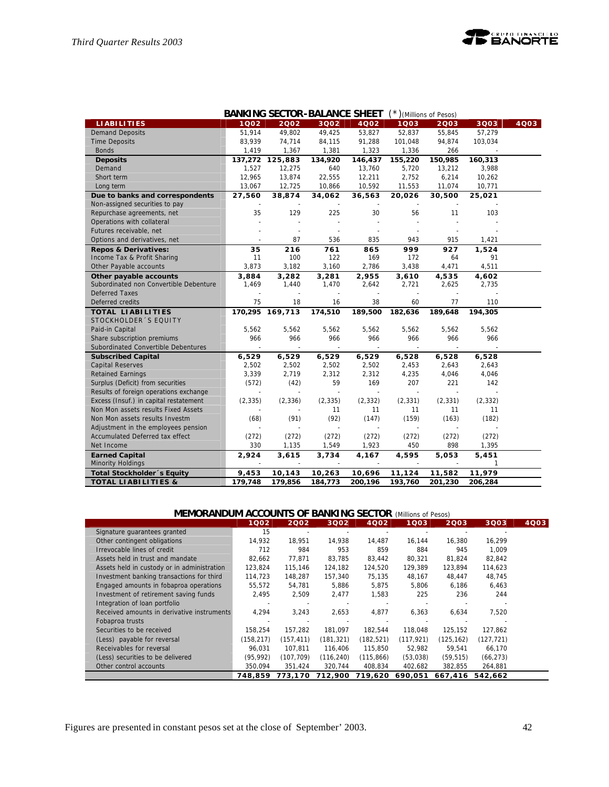|                                        |                | <b>BANKING SECTOR-BALANCE SHEET</b> |                |              |                | * ) (Millions of Pesos) |          |      |
|----------------------------------------|----------------|-------------------------------------|----------------|--------------|----------------|-------------------------|----------|------|
| <b>LIABILITIES</b>                     | 1002           | 2002                                | 3Q02           | <b>4Q02</b>  | 1003           | 2003                    | 3Q03     | 4Q03 |
| <b>Demand Deposits</b>                 | 51,914         | 49,802                              | 49,425         | 53,827       | 52,837         | 55,845                  | 57,279   |      |
| <b>Time Deposits</b>                   | 83,939         | 74,714                              | 84,115         | 91,288       | 101,048        | 94,874                  | 103,034  |      |
| <b>Bonds</b>                           | 1,419          | 1,367                               | 1,381          | 1,323        | 1,336          | 266                     |          |      |
| <b>Deposits</b>                        | 137,272        | 125,883                             | 134,920        | 146,437      | 155,220        | 150,985                 | 160,313  |      |
| Demand                                 | 1,527          | 12,275                              | 640            | 13,760       | 5,720          | 13,212                  | 3,988    |      |
| Short term                             | 12,965         | 13,874                              | 22,555         | 12,211       | 2,752          | 6,214                   | 10,262   |      |
| Long term                              | 13,067         | 12,725                              | 10,866         | 10,592       | 11,553         | 11,074                  | 10,771   |      |
| Due to banks and correspondents        | 27,560         | 38,874                              | 34,062         | 36,563       | 20,026         | 30,500                  | 25,021   |      |
| Non-assigned securities to pay         |                |                                     |                |              |                |                         |          |      |
| Repurchase agreements, net             | 35             | 129                                 | 225            | 30           | 56             | 11                      | 103      |      |
| Operations with collateral             |                |                                     |                |              |                |                         |          |      |
| Futures receivable, net                |                |                                     |                |              |                |                         |          |      |
| Options and derivatives, net           |                | 87                                  | 536            | 835          | 943            | 915                     | 1,421    |      |
| <b>Repos &amp; Derivatives:</b>        | 35             | 216                                 | 761            | 865          | 999            | 927                     | 1,524    |      |
| Income Tax & Profit Sharing            | 11             | 100                                 | 122            | 169          | 172            | 64                      | 91       |      |
| Other Payable accounts                 | 3,873          | 3,182                               | 3,160          | 2,786        | 3,438          | 4,471                   | 4,511    |      |
| Other payable accounts                 | 3,884          | 3,282                               | 3,281          | 2,955        | 3,610          | 4,535                   | 4,602    |      |
| Subordinated non Convertible Debenture | 1,469          | 1,440                               | 1,470          | 2,642        | 2,721          | 2,625                   | 2,735    |      |
| <b>Deferred Taxes</b>                  |                |                                     |                |              |                |                         |          |      |
| Deferred credits                       | 75             | 18                                  | 16             | 38           | 60             | 77                      | 110      |      |
| <b>TOTAL LIABILITIES</b>               | 170,295        | 169,713                             | 174,510        | 189,500      | 182,636        | 189,648                 | 194,305  |      |
| STOCKHOLDER 'S EQUITY                  |                |                                     |                |              |                |                         |          |      |
| Paid-in Capital                        | 5,562          | 5,562                               | 5,562          | 5,562        | 5,562          | 5,562                   | 5,562    |      |
| Share subscription premiums            | 966            | 966                                 | 966            | 966          | 966            | 966                     | 966      |      |
| Subordinated Convertible Debentures    |                |                                     | $\blacksquare$ |              |                |                         |          |      |
| <b>Subscribed Capital</b>              | 6,529          | 6,529                               | 6,529          | 6,529        | 6,528          | 6,528                   | 6,528    |      |
| <b>Capital Reserves</b>                | 2,502          | 2,502                               | 2,502          | 2,502        | 2,453          | 2,643                   | 2,643    |      |
| <b>Retained Earnings</b>               | 3,339          | 2,719                               | 2,312          | 2,312        | 4,235          | 4,046                   | 4,046    |      |
| Surplus (Deficit) from securities      | (572)          | (42)                                | 59             | 169          | 207            | 221                     | 142      |      |
| Results of foreign operations exchange | $\overline{a}$ | $\sim$                              | $\sim$         | $\mathbf{r}$ | $\overline{a}$ |                         |          |      |
| Excess (Insuf.) in capital restatement | (2, 335)       | (2, 336)                            | (2, 335)       | (2, 332)     | (2, 331)       | (2, 331)                | (2, 332) |      |
| Non Mon assets results Fixed Assets    |                |                                     | 11             | 11           | 11             | 11                      | 11       |      |
| Non Mon assets results Investm         | (68)           | (91)                                | (92)           | (147)        | (159)          | (163)                   | (182)    |      |
| Adjustment in the employees pension    |                |                                     |                |              |                |                         |          |      |
| Accumulated Deferred tax effect        | (272)          | (272)                               | (272)          | (272)        | (272)          | (272)                   | (272)    |      |
| Net Income                             | 330            | 1,135                               | 1,549          | 1,923        | 450            | 898                     | 1,395    |      |
| <b>Earned Capital</b>                  | 2,924          | 3,615                               | 3,734          | 4,167        | 4,595          | 5,053                   | 5,451    |      |
| <b>Minority Holdings</b>               |                |                                     |                |              |                |                         | 1        |      |
| <b>Total Stockholder's Equity</b>      | 9,453          | 10,143                              | 10,263         | 10,696       | 11,124         | 11,582                  | 11,979   |      |
| <b>TOTAL LIABILITIES &amp;</b>         | 179,748        | 179,856                             | 184,773        | 200,196      | 193,760        | 201,230                 | 206,284  |      |

| <b>MEMORANDUM ACCOUNTS OF BANKING SECTOR (Millions of Pesos)</b> |            |            |            |            |            |            |            |      |
|------------------------------------------------------------------|------------|------------|------------|------------|------------|------------|------------|------|
|                                                                  | 1002       | 2002       | 3002       | 4002       | 1003       | 2003       | 3Q03       | 4Q03 |
| Signature guarantees granted                                     | 15         |            |            |            |            |            |            |      |
| Other contingent obligations                                     | 14,932     | 18,951     | 14,938     | 14,487     | 16,144     | 16,380     | 16,299     |      |
| Irrevocable lines of credit                                      | 712        | 984        | 953        | 859        | 884        | 945        | 1,009      |      |
| Assets held in trust and mandate                                 | 82.662     | 77.871     | 83.785     | 83,442     | 80,321     | 81.824     | 82,842     |      |
| Assets held in custody or in administration                      | 123,824    | 115,146    | 124,182    | 124,520    | 129.389    | 123,894    | 114,623    |      |
| Investment banking transactions for third                        | 114,723    | 148,287    | 157,340    | 75,135     | 48,167     | 48,447     | 48,745     |      |
| Engaged amounts in fobaproa operations                           | 55,572     | 54.781     | 5,886      | 5,875      | 5,806      | 6,186      | 6,463      |      |
| Investment of retirement saving funds                            | 2,495      | 2,509      | 2,477      | 1,583      | 225        | 236        | 244        |      |
| Integration of loan portfolio                                    |            |            |            |            |            |            |            |      |
| Received amounts in derivative instruments                       | 4,294      | 3,243      | 2,653      | 4,877      | 6,363      | 6,634      | 7,520      |      |
| Fobaproa trusts                                                  |            |            |            |            |            |            |            |      |
| Securities to be received                                        | 158,254    | 157,282    | 181,097    | 182,544    | 118,048    | 125,152    | 127,862    |      |
| (Less) payable for reversal                                      | (158, 217) | (157, 411) | (181,321)  | (182, 521) | (117, 921) | (125, 162) | (127, 721) |      |
| Receivables for reversal                                         | 96.031     | 107.811    | 116,406    | 115,850    | 52,982     | 59,541     | 66,170     |      |
| (Less) securities to be delivered                                | (95, 992)  | (107, 709) | (116, 240) | (115, 866) | (53,038)   | (59, 515)  | (66, 273)  |      |
| Other control accounts                                           | 350,094    | 351,424    | 320,744    | 408,834    | 402,682    | 382,855    | 264,881    |      |
|                                                                  | 748,859    | 773.170    | 712,900    | 719,620    | 690,051    | 667,416    | 542.662    |      |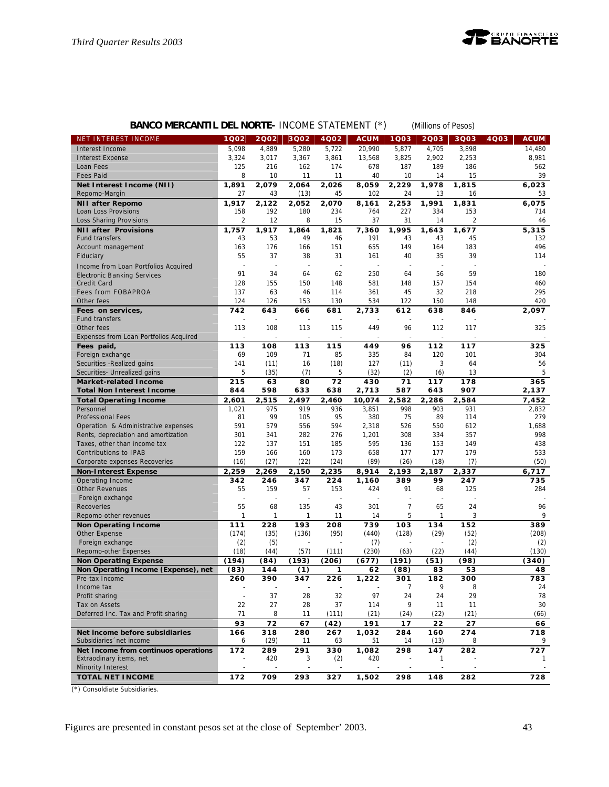

# **BANCO MERCANTIL DEL NORTE-** INCOME STATEMENT (\*) *(Millions of Pesos)*

| NET INTEREST INCOME                       | 1Q02           | 2002       | 3Q02      | 4002         | <b>ACUM</b>  | 1Q03           | 2003     | 3Q03           | <b>ACUM</b><br>4Q03 |
|-------------------------------------------|----------------|------------|-----------|--------------|--------------|----------------|----------|----------------|---------------------|
| Interest Income                           | 5,098          | 4,889      | 5,280     | 5,722        | 20,990       | 5,877          | 4,705    | 3,898          | 14,480              |
| <b>Interest Expense</b>                   | 3,324          | 3,017      | 3,367     | 3,861        | 13,568       | 3,825          | 2,902    | 2,253          | 8,981               |
| Loan Fees                                 | 125            | 216        | 162       | 174          | 678          | 187            | 189      | 186            | 562                 |
| <b>Fees Paid</b>                          | 8              | 10         | 11        | 11           | 40           | 10             | 14       | 15             | 39                  |
| Net Interest Income (NII)                 | 1,891          | 2,079      | 2,064     | 2,026        | 8,059        | 2,229          | 1,978    | 1,815          | 6,023               |
| Repomo-Margin                             | 27             | 43         | (13)      | 45           | 102          | 24             | 13       | 16             | 53                  |
| <b>NII after Repomo</b>                   | 1,917          | 2,122      | 2,052     | 2,070        | 8,161        | 2,253          | 1,991    | 1,831          | 6,075               |
| Loan Loss Provisions                      | 158            | 192        | 180       | 234          | 764          | 227            | 334      | 153            | 714                 |
| Loss Sharing Provisions                   | $\overline{2}$ | 12         | 8         | 15           | 37           | 31             | 14       | $\overline{2}$ | 46                  |
| <b>NII after Provisions</b>               | 1,757          | 1,917      | 1,864     | 1,821        | 7,360        | 1,995          | 1,643    | 1,677          | 5,315               |
| <b>Fund transfers</b>                     | 43             | 53         | 49        | 46           | 191          | 43             | 43       | 45             | 132                 |
| Account management                        | 163            | 176        | 166       | 151          | 655          | 149            | 164      | 183            | 496                 |
| Fiduciary                                 | 55             | 37         | 38        | 31           | 161          | 40             | 35       | 39             | 114                 |
| Income from Loan Portfolios Acquired      |                |            |           |              |              |                |          |                |                     |
| <b>Electronic Banking Services</b>        | 91             | 34         | 64        | 62           | 250          | 64             | 56       | 59             | 180                 |
| Credit Card                               | 128            | 155        | 150       | 148          | 581          | 148            | 157      | 154            | 460                 |
| Fees from FOBAPROA                        | 137            | 63         | 46        | 114          | 361          | 45             | 32       | 218            | 295                 |
| Other fees                                | 124            | 126        | 153       | 130          | 534          | 122            | 150      | 148            | 420                 |
| Fees on services,                         | 742            | 643        | 666       | 681          | 2,733        | 612            | 638      | 846            | 2,097               |
| <b>Fund transfers</b>                     |                |            |           |              |              |                |          |                |                     |
| Other fees                                | 113            | 108        | 113       | 115          | 449          | 96             | 112      | 117            | 325                 |
| Expenses from Loan Portfolios Acquired    |                |            |           |              |              |                |          |                |                     |
| Fees paid,                                | 113            | 108        | 113       | 115          | 449          | 96             | 112      | 117            | 325                 |
| Foreign exchange                          | 69             | 109        | 71        | 85           | 335          | 84             | 120      | 101            | 304                 |
| Securities - Realized gains               | 141            | (11)       | 16        | (18)         | 127          | (11)           | 3        | 64             | 56                  |
| Securities- Unrealized gains              | 5              | (35)       | (7)       | 5            | (32)         | (2)            | (6)      | 13             | 5                   |
| <b>Market-related Income</b>              | 215            | 63         | 80        | 72           | 430          | 71             | 117      | 178            | 365                 |
| <b>Total Non Interest Income</b>          | 844            | 598        | 633       | 638          | 2,713        | 587            | 643      | 907            | 2,137               |
| <b>Total Operating Income</b>             | 2,601          | 2,515      | 2,497     | 2,460        | 10,074       | 2,582          | 2,286    | 2,584          | 7,452               |
| Personnel                                 | 1,021          | 975        | 919       | 936          | 3,851        | 998            | 903      | 931            | 2,832               |
| <b>Professional Fees</b>                  | 81             | 99         | 105       | 95           | 380          | 75             | 89       | 114            | 279                 |
| Operation & Administrative expenses       | 591            | 579        | 556       | 594          | 2,318        | 526            | 550      | 612            | 1,688               |
| Rents, depreciation and amortization      | 301            | 341        | 282       | 276          | 1,201        | 308            | 334      | 357            | 998                 |
| Taxes, other than income tax              | 122            | 137        | 151       | 185          | 595          | 136            | 153      | 149            | 438                 |
| Contributions to IPAB                     | 159            | 166        | 160       | 173          | 658          | 177            | 177      | 179            | 533                 |
|                                           | (16)           | (27)       |           |              | (89)         |                | (18)     |                | (50)                |
| Corporate expenses Recoveries             |                |            | (22)      | (24)         |              | (26)           |          | (7)            |                     |
| <b>Non-Interest Expense</b>               | 2,259          | 2,269      | 2,150     | 2,235        | 8,914        | 2,193          | 2,187    | 2,337          | 6,717               |
| Operating Income<br><b>Other Revenues</b> | 342<br>55      | 246<br>159 | 347<br>57 | 224<br>153   | 1,160<br>424 | 389<br>91      | 99<br>68 | 247<br>125     | 735<br>284          |
|                                           | ÷,             |            |           |              |              |                |          |                |                     |
| Foreign exchange<br>Recoveries            | 55             | 68         | 135       | 43           | 301          | $\overline{7}$ | 65       | 24             | 96                  |
|                                           | 1              | 1          | 1         | 11           |              | 5              | 1        | 3              | 9                   |
| Repomo-other revenues                     |                |            |           |              | 14           |                |          |                |                     |
| <b>Non Operating Income</b>               | 111            | 228        | 193       | 208          | 739          | 103            | 134      | 152            | 389                 |
| Other Expense                             | (174)          | (35)       | (136)     | (95)         | (440)        | (128)          | (29)     | (52)           | (208)               |
| Foreign exchange                          | (2)            | (5)        |           |              | (7)          |                |          | (2)            | (2)                 |
| Repomo-other Expenses                     | (18)           | (44)       | (57)      | (111)        | (230)        | (63)           | (22)     | (44)           | (130)               |
| <b>Non Operating Expense</b>              | (194)          | (84)       | (193)     | (206)        | (677)        | (191)          | (51)     | (98)           | (340)               |
| Non Operating Income (Expense), net       | (83)           | 144        | (1)       | $\mathbf{1}$ | 62           | (88)           | 83       | 53             | 48                  |
| Pre-tax Income                            | 260            | 390        | 347       | 226          | 1,222        | 301            | 182<br>9 | 300            | 783                 |
| Income tax                                |                | 37         | 28        | 32           | 97           | 7<br>24        | 24       | 8<br>29        | 24<br>78            |
| Profit sharing                            |                | 27         | 28        | 37           |              | 9              |          |                | 30                  |
| Tax on Assets                             | 22             |            |           |              | 114          |                | 11       | 11             |                     |
| Deferred Inc. Tax and Profit sharing      | 71             | 8          | 11        | (111)        | (21)         | (24)           | (22)     | (21)           | (66)                |
|                                           | 93             | 72         | 67        | (42)         | 191          | 17             | 22       | 27             | 66                  |
| Net income before subsidiaries            | 166            | 318        | 280       | 267          | 1,032        | 284            | 160      | 274            | 718<br>9            |
| Subsidiaries 'net income                  | 6              | (29)       | 11        | 63           | 51           | 14             | (13)     | 8              |                     |
| Net Income from continuos operations      | 172            | 289        | 291       | 330          | 1,082        | 298            | 147      | 282            | 727                 |
| Extraodinary items, net                   |                | 420        | 3         | (2)          | 420          |                | 1        |                | 1                   |
| Minority Interest                         |                |            |           |              |              |                |          |                |                     |
| <b>TOTAL NET INCOME</b>                   | 172            | 709        | 293       | 327          | 1,502        | 298            | 148      | 282            | 728                 |

(\*) Consoldiate Subsidiaries.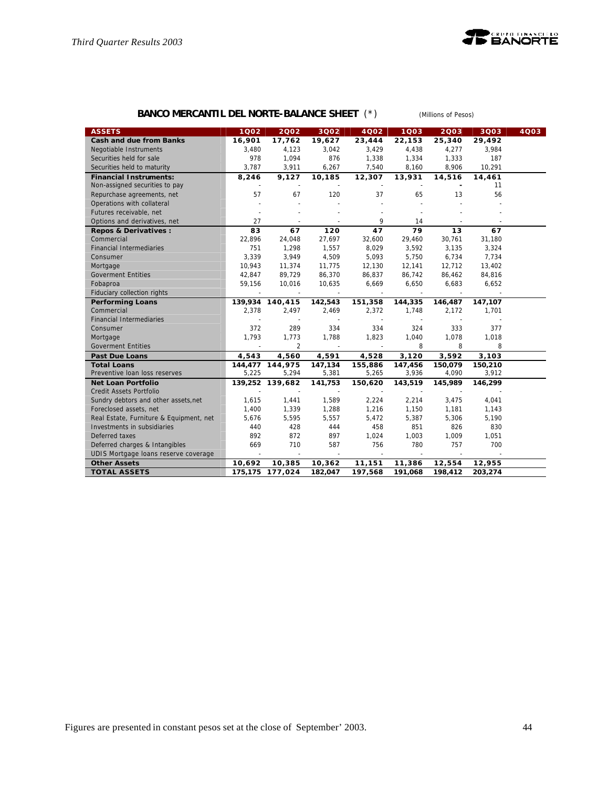

# **BANCO MERCANTIL DEL NORTE-BALANCE SHEET** (\*) *(Millions of Pesos)*

| <b>ASSETS</b>                           | 1002                     | 2002            | 3Q02                     | 4Q02    | 1003    | 2003                     | 3Q03    | 4003 |
|-----------------------------------------|--------------------------|-----------------|--------------------------|---------|---------|--------------------------|---------|------|
| <b>Cash and due from Banks</b>          | 16,901                   | 17,762          | 19,627                   | 23,444  | 22,153  | 25,340                   | 29,492  |      |
| Negotiable Instruments                  | 3,480                    | 4,123           | 3,042                    | 3,429   | 4,438   | 4,277                    | 3,984   |      |
| Securities held for sale                | 978                      | 1,094           | 876                      | 1,338   | 1,334   | 1,333                    | 187     |      |
| Securities held to maturity             | 3,787                    | 3,911           | 6,267                    | 7,540   | 8,160   | 8,906                    | 10,291  |      |
| <b>Financial Instruments:</b>           | 8,246                    | 9,127           | 10,185                   | 12,307  | 13,931  | 14,516                   | 14,461  |      |
| Non-assigned securities to pay          |                          |                 |                          |         |         |                          | 11      |      |
| Repurchase agreements, net              | 57                       | 67              | 120                      | 37      | 65      | 13                       | 56      |      |
| Operations with collateral              |                          |                 |                          |         |         |                          |         |      |
| Futures receivable, net                 |                          |                 |                          |         |         |                          |         |      |
| Options and derivatives, net            | 27                       |                 |                          | 9       | 14      |                          |         |      |
| Repos & Derivatives :                   | 83                       | 67              | 120                      | 47      | 79      | 13                       | 67      |      |
| Commercial                              | 22,896                   | 24,048          | 27,697                   | 32,600  | 29,460  | 30,761                   | 31,180  |      |
| <b>Financial Intermediaries</b>         | 751                      | 1,298           | 1,557                    | 8,029   | 3,592   | 3,135                    | 3,324   |      |
| Consumer                                | 3,339                    | 3,949           | 4,509                    | 5,093   | 5,750   | 6,734                    | 7,734   |      |
| Mortgage                                | 10,943                   | 11,374          | 11,775                   | 12,130  | 12,141  | 12,712                   | 13,402  |      |
| <b>Goverment Entities</b>               | 42,847                   | 89,729          | 86,370                   | 86,837  | 86,742  | 86,462                   | 84,816  |      |
| Fobaproa                                | 59,156                   | 10,016          | 10,635                   | 6,669   | 6,650   | 6,683                    | 6,652   |      |
| Fiduciary collection rights             |                          |                 |                          |         |         |                          |         |      |
| <b>Performing Loans</b>                 |                          | 139,934 140,415 | 142,543                  | 151,358 | 144,335 | 146,487                  | 147,107 |      |
| Commercial                              | 2,378                    | 2,497           | 2,469                    | 2,372   | 1,748   | 2,172                    | 1,701   |      |
| <b>Financial Intermediaries</b>         |                          | ÷,              | $\overline{\phantom{a}}$ |         |         | $\overline{\phantom{a}}$ |         |      |
| Consumer                                | 372                      | 289             | 334                      | 334     | 324     | 333                      | 377     |      |
| Mortgage                                | 1,793                    | 1,773           | 1,788                    | 1,823   | 1.040   | 1,078                    | 1,018   |      |
| <b>Goverment Entities</b>               |                          | $\overline{2}$  |                          |         | 8       | 8                        | 8       |      |
| <b>Past Due Loans</b>                   | 4,543                    | 4,560           | 4,591                    | 4,528   | 3,120   | 3,592                    | 3,103   |      |
| <b>Total Loans</b>                      |                          | 144,477 144,975 | 147,134                  | 155,886 | 147,456 | 150,079                  | 150,210 |      |
| Preventive Ioan loss reserves           | 5,225                    | 5,294           | 5,381                    | 5,265   | 3,936   | 4,090                    | 3,912   |      |
| <b>Net Loan Portfolio</b>               |                          | 139,252 139,682 | 141,753                  | 150,620 | 143,519 | 145,989                  | 146,299 |      |
| Credit Assets Portfolio                 |                          |                 |                          |         |         |                          |         |      |
| Sundry debtors and other assets, net    | 1,615                    | 1,441           | 1,589                    | 2,224   | 2,214   | 3,475                    | 4,041   |      |
| Foreclosed assets, net                  | 1,400                    | 1,339           | 1,288                    | 1,216   | 1,150   | 1,181                    | 1,143   |      |
| Real Estate, Furniture & Equipment, net | 5,676                    | 5,595           | 5,557                    | 5,472   | 5,387   | 5,306                    | 5,190   |      |
| Investments in subsidiaries             | 440                      | 428             | 444                      | 458     | 851     | 826                      | 830     |      |
| Deferred taxes                          | 892                      | 872             | 897                      | 1,024   | 1,003   | 1,009                    | 1,051   |      |
| Deferred charges & Intangibles          | 669                      | 710             | 587                      | 756     | 780     | 757                      | 700     |      |
| UDIS Mortgage Ioans reserve coverage    | $\overline{\phantom{a}}$ | $\sim$          | $\sim$                   | $\sim$  |         |                          |         |      |
| <b>Other Assets</b>                     | 10,692                   | 10,385          | 10,362                   | 11,151  | 11,386  | 12,554                   | 12,955  |      |
| <b>TOTAL ASSETS</b>                     | 175,175                  | 177,024         | 182,047                  | 197,568 | 191,068 | 198,412                  | 203,274 |      |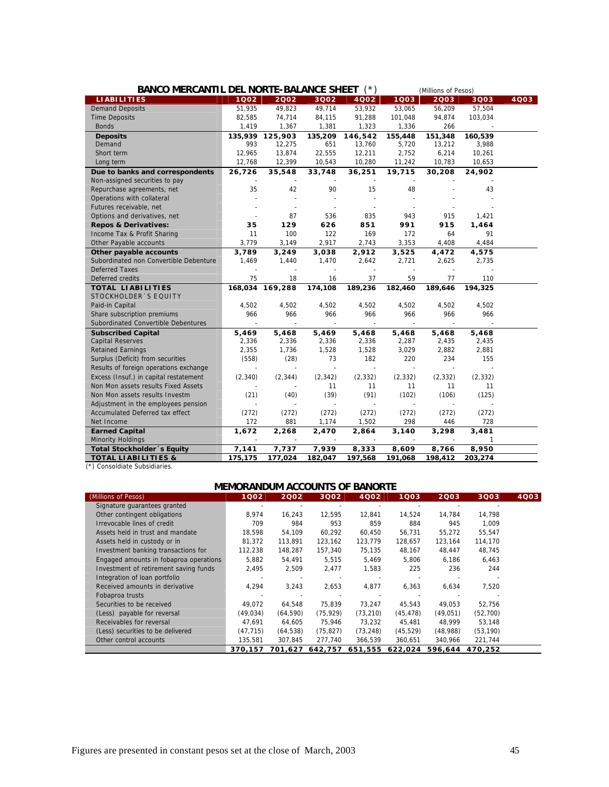| BANCO MERCANTIL DEL NORTE-BALANCE SHEET (*) |          |                 |          |                |                | (Millions of Pesos) |          |      |  |
|---------------------------------------------|----------|-----------------|----------|----------------|----------------|---------------------|----------|------|--|
| <b>LIABILITIES</b>                          | 1002     | 2002            | 3Q02     | 4002           | 1003           | 2003                | 3Q03     | 4Q03 |  |
| <b>Demand Deposits</b>                      | 51,935   | 49,823          | 49,714   | 53,932         | 53,065         | 56,209              | 57,504   |      |  |
| <b>Time Deposits</b>                        | 82,585   | 74,714          | 84,115   | 91,288         | 101,048        | 94,874              | 103,034  |      |  |
| <b>Bonds</b>                                | 1,419    | 1,367           | 1,381    | 1,323          | 1,336          | 266                 |          |      |  |
| <b>Deposits</b>                             | 135,939  | 125,903         | 135,209  | 146,542        | 155,448        | 151,348             | 160,539  |      |  |
| Demand                                      | 993      | 12,275          | 651      | 13,760         | 5,720          | 13,212              | 3,988    |      |  |
| Short term                                  | 12,965   | 13,874          | 22,555   | 12,211         | 2,752          | 6,214               | 10,261   |      |  |
| Long term                                   | 12,768   | 12,399          | 10,543   | 10,280         | 11,242         | 10,783              | 10,653   |      |  |
| Due to banks and correspondents             | 26,726   | 35,548          | 33,748   | 36,251         | 19,715         | 30,208              | 24,902   |      |  |
| Non-assigned securities to pay              |          |                 |          |                |                |                     |          |      |  |
| Repurchase agreements, net                  | 35       | 42              | 90       | 15             | 48             |                     | 43       |      |  |
| Operations with collateral                  |          |                 |          |                |                |                     |          |      |  |
| Futures receivable, net                     |          |                 |          |                |                |                     |          |      |  |
| Options and derivatives, net                |          | 87              | 536      | 835            | 943            | 915                 | 1,421    |      |  |
| <b>Repos &amp; Derivatives:</b>             | 35       | 129             | 626      | 851            | 991            | 915                 | 1,464    |      |  |
| Income Tax & Profit Sharing                 | 11       | 100             | 122      | 169            | 172            | 64                  | 91       |      |  |
| Other Payable accounts                      | 3.779    | 3.149           | 2,917    | 2,743          | 3,353          | 4,408               | 4,484    |      |  |
| Other payable accounts                      | 3,789    | 3,249           | 3,038    | 2,912          | 3,525          | 4,472               | 4,575    |      |  |
| Subordinated non Convertible Debenture      | 1,469    | 1,440           | 1,470    | 2,642          | 2,721          | 2,625               | 2,735    |      |  |
| <b>Deferred Taxes</b>                       |          |                 |          |                |                |                     |          |      |  |
| Deferred credits                            | 75       | 18              | 16       | 37             | 59             | 77                  | 110      |      |  |
| <b>TOTAL LIABILITIES</b>                    |          | 168,034 169,288 | 174,108  | 189,236        | 182,460        | 189,646             | 194,325  |      |  |
| STOCKHOLDER'S EQUITY                        |          |                 |          |                |                |                     |          |      |  |
| Paid-in Capital                             | 4,502    | 4,502           | 4,502    | 4,502          | 4,502          | 4,502               | 4,502    |      |  |
| Share subscription premiums                 | 966      | 966             | 966      | 966            | 966            | 966                 | 966      |      |  |
| Subordinated Convertible Debentures         |          |                 |          |                |                |                     |          |      |  |
| <b>Subscribed Capital</b>                   | 5,469    | 5,468           | 5,469    | 5,468          | 5,468          | 5,468               | 5,468    |      |  |
| <b>Capital Reserves</b>                     | 2,336    | 2,336           | 2,336    | 2,336          | 2,287          | 2,435               | 2,435    |      |  |
| <b>Retained Earnings</b>                    | 2,355    | 1,736           | 1,528    | 1,528          | 3,029          | 2,882               | 2,881    |      |  |
| Surplus (Deficit) from securities           | (558)    | (28)            | 73       | 182            | 220            | 234                 | 155      |      |  |
| Results of foreign operations exchange      | $\sim$   |                 | $\sim$   | $\overline{a}$ | $\overline{a}$ | $\overline{a}$      |          |      |  |
| Excess (Insuf.) in capital restatement      | (2, 340) | (2, 344)        | (2, 342) | (2, 332)       | (2, 332)       | (2, 332)            | (2, 332) |      |  |
| Non Mon assets results Fixed Assets         |          |                 | 11       | 11             | 11             | 11                  | 11       |      |  |
| Non Mon assets results Investm              | (21)     | (40)            | (39)     | (91)           | (102)          | (106)               | (125)    |      |  |
| Adjustment in the employees pension         |          |                 |          |                |                |                     |          |      |  |
| Accumulated Deferred tax effect             | (272)    | (272)           | (272)    | (272)          | (272)          | (272)               | (272)    |      |  |
| Net Income                                  | 172      | 881             | 1,174    | 1,502          | 298            | 446                 | 728      |      |  |
| <b>Earned Capital</b>                       | 1,672    | 2,268           | 2,470    | 2,864          | 3,140          | 3,298               | 3,481    |      |  |
| Minority Holdings                           |          |                 |          |                |                |                     | 1        |      |  |
| Total Stockholder's Equity                  | 7,141    | 7,737           | 7,939    | 8,333          | 8,609          | 8,766               | 8,950    |      |  |
| <b>TOTAL LIABILITIES &amp;</b>              | 175,175  | 177,024         | 182,047  | 197,568        | 191,068        | 198,412             | 203,274  |      |  |

(\*) Consoldiate Subsidiaries.

# **MEMORANDUM ACCOUNTS OF BANORTE**

| (Millions of Pesos)                    | 1002      | 2002      | 3002      | 4Q02      | 1003      | 2003      | 3003      | 4Q03 |
|----------------------------------------|-----------|-----------|-----------|-----------|-----------|-----------|-----------|------|
| Signature guarantees granted           |           |           |           |           |           |           |           |      |
| Other contingent obligations           | 8,974     | 16,243    | 12,595    | 12,841    | 14,524    | 14,784    | 14,798    |      |
| Irrevocable lines of credit            | 709       | 984       | 953       | 859       | 884       | 945       | 1.009     |      |
| Assets held in trust and mandate       | 18.598    | 54,109    | 60.292    | 60.450    | 56,731    | 55.272    | 55.547    |      |
| Assets held in custody or in           | 81,372    | 113,891   | 123,162   | 123,779   | 128,657   | 123,164   | 114,170   |      |
| Investment banking transactions for    | 112,238   | 148,287   | 157,340   | 75,135    | 48,167    | 48,447    | 48,745    |      |
| Engaged amounts in fobaproa operations | 5,882     | 54,491    | 5,515     | 5,469     | 5,806     | 6,186     | 6,463     |      |
| Investment of retirement saving funds  | 2,495     | 2,509     | 2,477     | 1,583     | 225       | 236       | 244       |      |
| Integration of loan portfolio          |           |           |           |           |           |           |           |      |
| Received amounts in derivative         | 4,294     | 3,243     | 2,653     | 4,877     | 6,363     | 6,634     | 7,520     |      |
| Fobaproa trusts                        |           |           |           |           |           |           |           |      |
| Securities to be received              | 49,072    | 64,548    | 75,839    | 73.247    | 45,543    | 49,053    | 52,756    |      |
| (Less) payable for reversal            | (49, 034) | (64, 590) | (75, 929) | (73, 210) | (45, 478) | (49, 051) | (52,700)  |      |
| Receivables for reversal               | 47,691    | 64,605    | 75,946    | 73,232    | 45,481    | 48.999    | 53,148    |      |
| (Less) securities to be delivered      | (47, 715) | (64, 538) | (75, 827) | (73, 248) | (45, 529) | (48,988)  | (53, 190) |      |
| Other control accounts                 | 135,581   | 307,845   | 277,740   | 366,539   | 360,651   | 340,966   | 221,744   |      |
|                                        | 370.157   | 701.627   | 642.757   | 651.555   | 622.024   | 596.644   | 470.252   |      |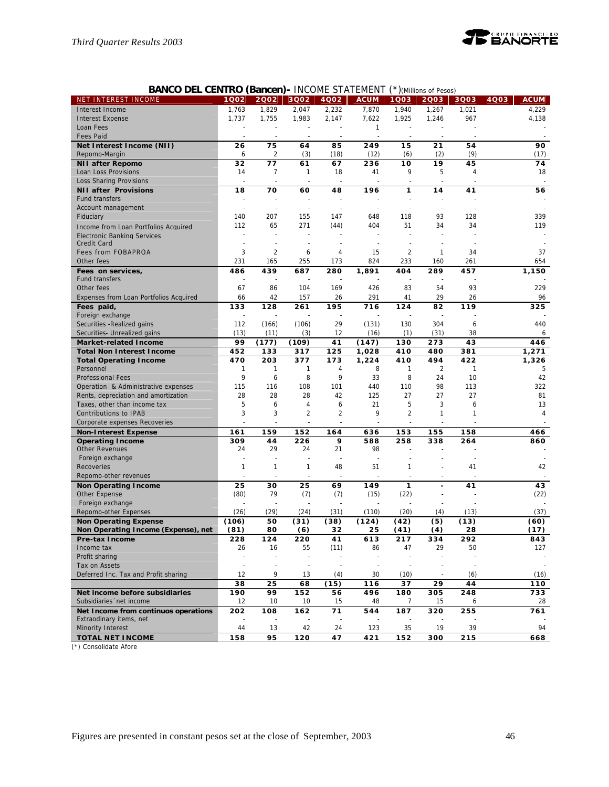

# **BANCO DEL CENTRO (Bancen)-** INCOME STATEMENT (\*)*(Millions of Pesos)*

| NET INTEREST INCOME                                                 | 1Q02                     | 2002           | 3002                     | 4Q02           | <b>ACUM</b> | 1Q03                 | 2003                 | 3Q03      | <b>ACUM</b><br>4Q03 |
|---------------------------------------------------------------------|--------------------------|----------------|--------------------------|----------------|-------------|----------------------|----------------------|-----------|---------------------|
| Interest Income                                                     | 1,763                    | 1,829          | 2,047                    | 2,232          | 7,870       | 1,940                | 1,267                | 1,021     | 4,229               |
| <b>Interest Expense</b>                                             | 1,737                    | 1,755          | 1,983                    | 2,147          | 7,622       | 1,925                | 1,246                | 967       | 4,138               |
| Loan Fees                                                           |                          |                |                          |                | 1           |                      |                      |           |                     |
| <b>Fees Paid</b>                                                    |                          |                | ä,                       |                |             |                      |                      |           |                     |
| Net Interest Income (NII)                                           | 26                       | 75             | 64                       | 85             | 249         | 15                   | 21                   | 54        | 90                  |
| Repomo-Margin                                                       | 6                        | 2              | (3)                      | (18)           | (12)        | (6)                  | (2)                  | (9)       | (17)                |
| <b>NII after Repomo</b>                                             | 32                       | 77             | 61                       | 67             | 236         | 10                   | 19                   | 45        | 74                  |
| Loan Loss Provisions                                                | 14                       | 7              | 1                        | 18             | 41          | 9                    | 5                    | 4         | 18                  |
| Loss Sharing Provisions                                             |                          |                |                          |                |             |                      |                      |           |                     |
| <b>NII after Provisions</b>                                         | 18                       | 70             | 60                       | 48             | 196         | 1                    | 14                   | 41        | 56                  |
| <b>Fund transfers</b>                                               | $\overline{a}$           |                | $\ddot{\phantom{1}}$     |                |             | $\ddot{\phantom{1}}$ |                      |           |                     |
| Account management                                                  | $\overline{a}$           | $\overline{a}$ | $\ddot{\phantom{1}}$     |                |             | $\ddot{\phantom{1}}$ | $\ddot{\phantom{1}}$ |           |                     |
| Fiduciary                                                           | 140                      | 207            | 155                      | 147            | 648         | 118                  | 93                   | 128       | 339                 |
| Income from Loan Portfolios Acquired                                | 112                      | 65             | 271                      | (44)           | 404         | 51                   | 34                   | 34        | 119                 |
| <b>Electronic Banking Services</b>                                  |                          |                |                          |                |             |                      |                      |           |                     |
| Credit Card                                                         | $\overline{a}$           |                | ä,                       |                |             |                      |                      |           |                     |
| <b>Fees from FOBAPROA</b>                                           | 3                        | 2              | 6                        | 4              | 15          | $\overline{2}$       | $\mathbf{1}$         | 34        | 37                  |
| Other fees                                                          | 231                      | 165            | 255                      | 173            | 824         | 233                  | 160                  | 261       | 654                 |
| Fees on services,                                                   | 486                      | 439            | 687                      | 280            | 1,891       | 404                  | 289                  | 457       | 1,150               |
| <b>Fund transfers</b>                                               | $\overline{a}$           |                |                          |                |             |                      |                      |           |                     |
| Other fees                                                          | 67                       | 86             | 104                      | 169            | 426         | 83                   | 54                   | 93        | 229                 |
| Expenses from Loan Portfolios Acquired                              | 66                       | 42             | 157                      | 26             | 291         | 41                   | 29                   | 26        | 96                  |
| Fees paid,                                                          | 133                      | 128            | 261                      | 195            | 716         | 124                  | 82                   | 119       | 325                 |
| Foreign exchange                                                    | $\overline{\phantom{a}}$ |                |                          |                |             |                      |                      |           |                     |
| Securities - Realized gains                                         | 112                      | (166)          | (106)                    | 29             | (131)       | 130                  | 304                  | 6         | 440                 |
| Securities- Unrealized gains                                        | (13)                     | (11)           | (3)                      | 12             | (16)        | (1)                  | (31)                 | 38        | 6                   |
| <b>Market-related Income</b>                                        | 99                       | (177)          | (109)                    | 41             | (147)       | 130                  | 273                  | 43        | 446                 |
| <b>Total Non Interest Income</b>                                    | 452                      | 133            | 317                      | 125            | 1,028       | 410                  | 480                  | 381       | 1,271               |
| <b>Total Operating Income</b>                                       | 470                      | 203            | 377                      | 173            | 1,224       | 410                  | 494                  | 422       | 1,326               |
| Personnel                                                           | 1                        | 1              | 1                        | 4              | 8           | 1                    | $\overline{2}$       | 1         | 5                   |
| <b>Professional Fees</b>                                            | 9                        | 6              | 8                        | 9              | 33          | 8                    | 24                   | 10        | 42                  |
| Operation & Administrative expenses                                 | 115                      | 116            | 108                      | 101            | 440         | 110                  | 98                   | 113       | 322                 |
| Rents, depreciation and amortization                                | 28                       | 28             | 28                       | 42             | 125         | 27                   | 27                   | 27        | 81                  |
| Taxes, other than income tax                                        | 5                        | 6              | 4                        | 6              | 21          | 5                    | 3                    | 6         | 13                  |
| Contributions to IPAB                                               | 3                        | 3              | $\overline{c}$           | $\overline{2}$ | 9           | $\overline{2}$       | 1                    | 1         | 4                   |
| Corporate expenses Recoveries                                       |                          |                |                          |                |             |                      |                      |           |                     |
|                                                                     | 161                      | 159            | 152                      | 164            | 636         | 153                  | 155                  | 158       | 466                 |
| <b>Non-Interest Expense</b>                                         | 309                      | 44             | 226                      | 9              | 588         | 258                  | 338                  | 264       | 860                 |
| <b>Operating Income</b><br><b>Other Revenues</b>                    | 24                       | 29             | 24                       | 21             | 98          |                      |                      |           |                     |
| Foreign exchange                                                    | $\overline{a}$           |                | ä,                       |                |             |                      |                      |           |                     |
| Recoveries                                                          | 1                        | $\mathbf{1}$   | 1                        | 48             | 51          | 1                    |                      | 41        | 42                  |
| Repomo-other revenues                                               |                          |                | $\ddot{\phantom{1}}$     |                |             |                      |                      |           |                     |
|                                                                     | 25                       | 30             | 25                       | 69             | 149         | $\mathbf{1}$         |                      | 41        | 43                  |
| <b>Non Operating Income</b><br>Other Expense                        | (80)                     | 79             | (7)                      | (7)            | (15)        | (22)                 |                      |           | (22)                |
| Foreign exchange                                                    |                          |                |                          |                |             |                      |                      |           |                     |
| Repomo-other Expenses                                               | (26)                     | (29)           | (24)                     | (31)           | (110)       | (20)                 | (4)                  | (13)      | (37)                |
|                                                                     | (106)                    | 50             | (31)                     | (38)           |             | (42)                 | (5)                  | (13)      | (60)                |
| <b>Non Operating Expense</b><br>Non Operating Income (Expense), net | (81)                     | 80             | (6)                      | 32             | (124)<br>25 | (41)                 | (4)                  | 28        | (17)                |
|                                                                     |                          |                |                          |                |             |                      |                      |           |                     |
| Pre-tax Income<br>Income tax                                        | 228<br>26                | 124<br>16      | 220<br>55                | 41<br>(11)     | 613<br>86   | 217<br>47            | 334<br>29            | 292<br>50 | 843<br>127          |
| Profit sharing                                                      | ÷,                       |                | ÷,                       |                |             |                      |                      |           |                     |
| Tax on Assets                                                       | $\bar{z}$                |                | $\overline{\phantom{a}}$ |                |             |                      |                      |           |                     |
| Deferred Inc. Tax and Profit sharing                                | 12                       | 9              | 13                       | (4)            | 30          | (10)                 |                      | (6)       | (16)                |
|                                                                     |                          |                |                          |                |             |                      |                      |           |                     |
|                                                                     | 38                       | 25             | 68                       | (15)           | 116         | 37                   | 29                   | 44        | 110                 |
| Net income before subsidiaries<br>Subsidiaries 'net income          | 190<br>12                | 99<br>10       | 152<br>10                | 56<br>15       | 496<br>48   | 180<br>7             | 305<br>15            | 248<br>6  | 733<br>28           |
| Net Income from continuos operations                                | 202                      |                |                          | 71             | 544         |                      |                      |           |                     |
| Extraodinary items, net                                             |                          | 108            | 162                      |                |             | 187                  | 320                  | 255       | 761                 |
| Minority Interest                                                   | 44                       | 13             | 42                       | 24             | 123         | 35                   | 19                   | 39        | 94                  |
| <b>TOTAL NET INCOME</b>                                             | 158                      | 95             | 120                      | 47             | 421         | 152                  | 300                  | 215       | 668                 |
|                                                                     |                          |                |                          |                |             |                      |                      |           |                     |

(\*) Consolidate Afore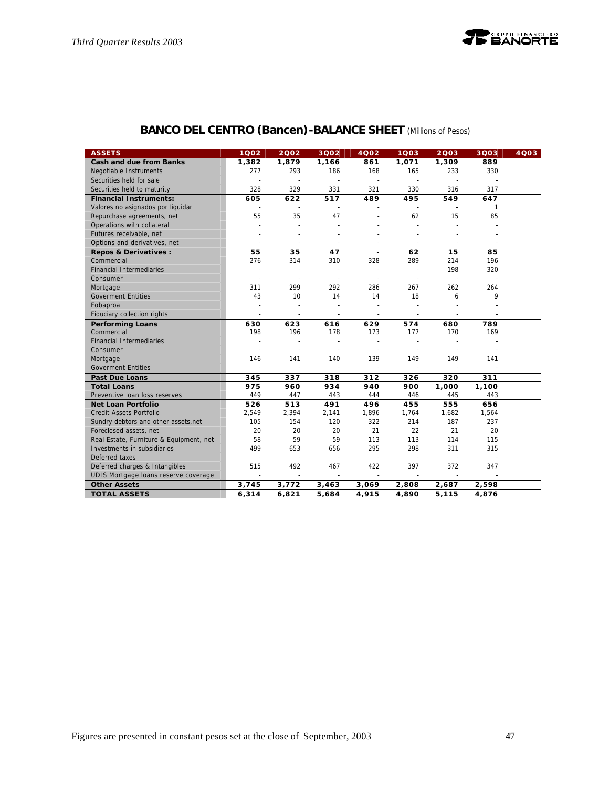

# **BANCO DEL CENTRO (Bancen)-BALANCE SHEET** *(Millions of Pesos)*

| <b>ASSETS</b>                           | 1002                     | 2002                     | 3002                     | 4002                     | 1003                     | 2003           | 3Q03   | 4Q03 |
|-----------------------------------------|--------------------------|--------------------------|--------------------------|--------------------------|--------------------------|----------------|--------|------|
| <b>Cash and due from Banks</b>          | 1,382                    | 1,879                    | 1,166                    | 861                      | 1,071                    | 1,309          | 889    |      |
| Negotiable Instruments                  | 277                      | 293                      | 186                      | 168                      | 165                      | 233            | 330    |      |
| Securities held for sale                | ÷,                       | $\sim$                   | $\sim$                   | ÷.                       | $\sim$                   |                |        |      |
| Securities held to maturity             | 328                      | 329                      | 331                      | 321                      | 330                      | 316            | 317    |      |
| <b>Financial Instruments:</b>           | 605                      | 622                      | 517                      | 489                      | 495                      | 549            | 647    |      |
| Valores no asignados por liquidar       |                          | $\sim$                   | $\sim$                   |                          | $\sim$                   |                | 1      |      |
| Repurchase agreements, net              | 55                       | 35                       | 47                       |                          | 62                       | 15             | 85     |      |
| Operations with collateral              |                          | $\sim$                   |                          |                          | L.                       |                |        |      |
| Futures receivable, net                 |                          | $\sim$                   |                          |                          |                          |                |        |      |
| Options and derivatives, net            |                          |                          | ÷,                       | $\overline{\phantom{a}}$ | $\overline{\phantom{a}}$ | $\sim$         | $\sim$ |      |
| Repos & Derivatives :                   | 55                       | 35                       | 47                       | $\overline{\phantom{a}}$ | 62                       | 15             | 85     |      |
| Commercial                              | 276                      | 314                      | 310                      | 328                      | 289                      | 214            | 196    |      |
| <b>Financial Intermediaries</b>         | ÷                        | $\sim$                   | $\tilde{\phantom{a}}$    | $\tilde{\phantom{a}}$    | $\sim$                   | 198            | 320    |      |
| Consumer                                | ÷,                       |                          | ä,                       |                          |                          | $\overline{a}$ |        |      |
| Mortgage                                | 311                      | 299                      | 292                      | 286                      | 267                      | 262            | 264    |      |
| <b>Goverment Entities</b>               | 43                       | 10                       | 14                       | 14                       | 18                       | 6              | 9      |      |
| Fobaproa                                |                          | $\sim$                   | ÷,                       |                          |                          |                |        |      |
| Fiduciary collection rights             | $\sim$                   | $\sim$                   | $\sim$                   | $\blacksquare$           | $\blacksquare$           | $\sim$         |        |      |
| <b>Performing Loans</b>                 | 630                      | 623                      | 616                      | 629                      | 574                      | 680            | 789    |      |
| Commercial                              | 198                      | 196                      | 178                      | 173                      | 177                      | 170            | 169    |      |
| <b>Financial Intermediaries</b>         |                          |                          |                          |                          |                          |                |        |      |
| Consumer                                | ÷.                       | $\overline{a}$           | $\sim$                   | $\tilde{\phantom{a}}$    | $\tilde{\phantom{a}}$    |                |        |      |
| Mortgage                                | 146                      | 141                      | 140                      | 139                      | 149                      | 149            | 141    |      |
| <b>Goverment Entities</b>               | $\overline{\phantom{a}}$ | $\overline{\phantom{a}}$ |                          |                          | $\overline{\phantom{a}}$ |                |        |      |
| <b>Past Due Loans</b>                   | 345                      | 337                      | 318                      | 312                      | 326                      | 320            | 311    |      |
| <b>Total Loans</b>                      | 975                      | 960                      | 934                      | 940                      | 900                      | 1,000          | 1,100  |      |
| Preventive Ioan loss reserves           | 449                      | 447                      | 443                      | 444                      | 446                      | 445            | 443    |      |
| <b>Net Loan Portfolio</b>               | 526                      | 513                      | 491                      | 496                      | 455                      | 555            | 656    |      |
| <b>Credit Assets Portfolio</b>          | 2,549                    | 2,394                    | 2,141                    | 1,896                    | 1,764                    | 1,682          | 1,564  |      |
| Sundry debtors and other assets, net    | 105                      | 154                      | 120                      | 322                      | 214                      | 187            | 237    |      |
| Foreclosed assets, net                  | 20                       | 20                       | 20                       | 21                       | 22                       | 21             | 20     |      |
| Real Estate, Furniture & Equipment, net | 58                       | 59                       | 59                       | 113                      | 113                      | 114            | 115    |      |
| Investments in subsidiaries             | 499                      | 653                      | 656                      | 295                      | 298                      | 311            | 315    |      |
| Deferred taxes                          |                          | $\overline{a}$           | $\sim$                   | $\overline{a}$           | $\tilde{\phantom{a}}$    | $\sim$         |        |      |
| Deferred charges & Intangibles          | 515                      | 492                      | 467                      | 422                      | 397                      | 372            | 347    |      |
| UDIS Mortgage loans reserve coverage    | $\sim$                   | $\sim$                   | $\overline{\phantom{a}}$ | $\sim$                   | $\sim$                   | $\omega$       |        |      |
| <b>Other Assets</b>                     | 3,745                    | 3,772                    | 3,463                    | 3,069                    | 2,808                    | 2,687          | 2,598  |      |
| <b>TOTAL ASSETS</b>                     | 6,314                    | 6,821                    | 5,684                    | 4,915                    | 4,890                    | 5,115          | 4,876  |      |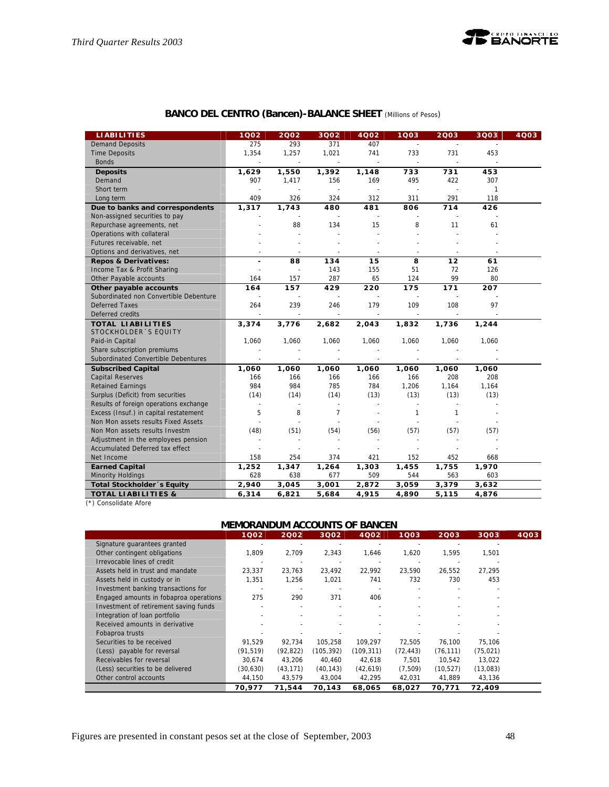

| <b>LIABILITIES</b>                     | 1002           | 2002   | 3002                     | 4002   | 1Q03                     | 2003           | 3Q03                     | 4Q03 |
|----------------------------------------|----------------|--------|--------------------------|--------|--------------------------|----------------|--------------------------|------|
| <b>Demand Deposits</b>                 | 275            | 293    | 371                      | 407    | $\sim$                   | $\sim$         |                          |      |
| <b>Time Deposits</b>                   | 1,354          | 1,257  | 1,021                    | 741    | 733                      | 731            | 453                      |      |
| <b>Bonds</b>                           | $\overline{a}$ | $\sim$ | $\sim$                   | $\sim$ | $\overline{\phantom{a}}$ | $\sim$         | $\overline{\phantom{a}}$ |      |
| <b>Deposits</b>                        | 1,629          | 1,550  | 1,392                    | 1,148  | 733                      | 731            | 453                      |      |
| Demand                                 | 907            | 1,417  | 156                      | 169    | 495                      | 422            | 307                      |      |
| Short term                             |                |        | $\overline{\phantom{a}}$ | $\sim$ | $\overline{a}$           | $\overline{a}$ | $\mathbf{1}$             |      |
| Long term                              | 409            | 326    | 324                      | 312    | 311                      | 291            | 118                      |      |
| Due to banks and correspondents        | 1,317          | 1,743  | 480                      | 481    | 806                      | 714            | 426                      |      |
| Non-assigned securities to pay         |                |        |                          | $\sim$ | $\sim$                   |                |                          |      |
| Repurchase agreements, net             |                | 88     | 134                      | 15     | 8                        | 11             | 61                       |      |
| Operations with collateral             |                |        |                          |        |                          |                |                          |      |
| Futures receivable, net                |                |        |                          |        |                          |                |                          |      |
| Options and derivatives, net           |                |        |                          |        |                          |                |                          |      |
| <b>Repos &amp; Derivatives:</b>        | $\overline{a}$ | 88     | 134                      | 15     | 8                        | 12             | 61                       |      |
| Income Tax & Profit Sharing            |                |        | 143                      | 155    | 51                       | 72             | 126                      |      |
| Other Payable accounts                 | 164            | 157    | 287                      | 65     | 124                      | 99             | 80                       |      |
| Other payable accounts                 | 164            | 157    | 429                      | 220    | 175                      | 171            | 207                      |      |
| Subordinated non Convertible Debenture |                |        | $\sim$                   |        | $\overline{a}$           |                |                          |      |
| <b>Deferred Taxes</b>                  | 264            | 239    | 246                      | 179    | 109                      | 108            | 97                       |      |
| Deferred credits                       |                |        |                          |        |                          |                |                          |      |
| <b>TOTAL LIABILITIES</b>               | 3,374          | 3,776  | 2,682                    | 2,043  | 1,832                    | 1,736          | 1,244                    |      |
| STOCKHOLDER'S EQUITY                   |                |        |                          |        |                          |                |                          |      |
| Paid-in Capital                        | 1,060          | 1,060  | 1,060                    | 1,060  | 1,060                    | 1,060          | 1,060                    |      |
| Share subscription premiums            |                |        |                          |        |                          |                |                          |      |
| Subordinated Convertible Debentures    |                |        |                          |        |                          |                |                          |      |
| <b>Subscribed Capital</b>              | 1,060          | 1,060  | 1,060                    | 1,060  | 1,060                    | 1,060          | 1,060                    |      |
| <b>Capital Reserves</b>                | 166            | 166    | 166                      | 166    | 166                      | 208            | 208                      |      |
| <b>Retained Earnings</b>               | 984            | 984    | 785                      | 784    | 1,206                    | 1,164          | 1,164                    |      |
| Surplus (Deficit) from securities      | (14)           | (14)   | (14)                     | (13)   | (13)                     | (13)           | (13)                     |      |
| Results of foreign operations exchange |                |        |                          |        |                          |                |                          |      |
| Excess (Insuf.) in capital restatement | 5              | 8      | $\overline{7}$           |        | $\mathbf{1}$             | 1              |                          |      |
| Non Mon assets results Fixed Assets    |                |        |                          |        |                          |                |                          |      |
| Non Mon assets results Investm         | (48)           | (51)   | (54)                     | (56)   | (57)                     | (57)           | (57)                     |      |
| Adjustment in the employees pension    |                |        | ÷,                       |        |                          |                |                          |      |
| Accumulated Deferred tax effect        |                |        |                          |        |                          |                |                          |      |
| Net Income                             | 158            | 254    | 374                      | 421    | 152                      | 452            | 668                      |      |
| <b>Earned Capital</b>                  | 1,252          | 1,347  | 1,264                    | 1,303  | 1,455                    | 1,755          | 1,970                    |      |
| Minority Holdings                      | 628            | 638    | 677                      | 509    | 544                      | 563            | 603                      |      |
| Total Stockholder's Equity             | 2,940          | 3,045  | 3,001                    | 2,872  | 3,059                    | 3,379          | 3,632                    |      |
| <b>TOTAL LIABILITIES &amp;</b>         | 6.314          | 6,821  | 5,684                    | 4,915  | 4,890                    | 5,115          | 4,876                    |      |

# **BANCO DEL CENTRO (Bancen)-BALANCE SHEET** *(Millions of Pesos)*

(\*) Consolidate Afore

# **MEMORANDUM ACCOUNTS OF BANCEN**

|                                        | 1002      | 2002      | 3Q02       | 4002       | 1Q03      | 2003      | 3Q03      | 4Q03 |
|----------------------------------------|-----------|-----------|------------|------------|-----------|-----------|-----------|------|
| Signature quarantees granted           |           |           |            |            |           |           |           |      |
| Other contingent obligations           | 1,809     | 2.709     | 2,343      | 1,646      | 1,620     | 1.595     | 1,501     |      |
| Irrevocable lines of credit            |           |           |            |            |           |           |           |      |
| Assets held in trust and mandate       | 23.337    | 23.763    | 23.492     | 22.992     | 23,590    | 26,552    | 27.295    |      |
| Assets held in custody or in           | 1,351     | 1,256     | 1,021      | 741        | 732       | 730       | 453       |      |
| Investment banking transactions for    |           |           |            |            |           |           |           |      |
| Engaged amounts in fobaproa operations | 275       | 290       | 371        | 406        |           |           |           |      |
| Investment of retirement saving funds  |           |           |            |            |           |           |           |      |
| Integration of loan portfolio          |           |           |            |            |           |           |           |      |
| Received amounts in derivative         |           |           |            |            |           |           |           |      |
| Fobaproa trusts                        |           |           |            |            |           |           |           |      |
| Securities to be received              | 91,529    | 92.734    | 105.258    | 109.297    | 72,505    | 76.100    | 75,106    |      |
| (Less) payable for reversal            | (91, 519) | (92, 822) | (105, 392) | (109, 311) | (72, 443) | (76, 111) | (75, 021) |      |
| Receivables for reversal               | 30.674    | 43.206    | 40,460     | 42,618     | 7,501     | 10,542    | 13,022    |      |
| (Less) securities to be delivered      | (30, 630) | (43, 171) | (40, 143)  | (42, 619)  | (7,509)   | (10, 527) | (13,083)  |      |
| Other control accounts                 | 44,150    | 43,579    | 43,004     | 42,295     | 42,031    | 41,889    | 43,136    |      |
|                                        | 70.977    | 71.544    | 70.143     | 68.065     | 68.027    | 70.771    | 72,409    |      |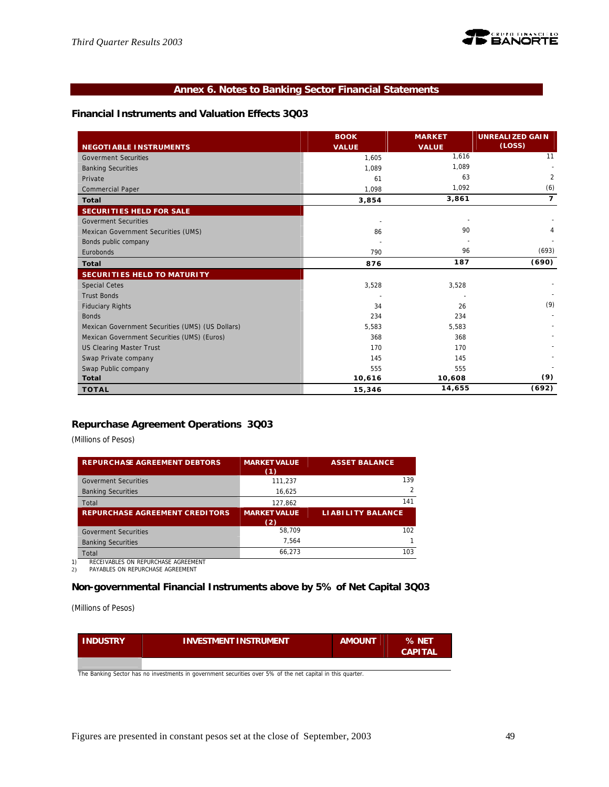# **Annex 6. Notes to Banking Sector Financial Statements**

# **Financial Instruments and Valuation Effects 3Q03**

|                                                  | <b>BOOK</b>  | <b>MARKET</b> | <b>UNREALIZED GAIN</b> |
|--------------------------------------------------|--------------|---------------|------------------------|
| <b>NEGOTIABLE INSTRUMENTS</b>                    | <b>VALUE</b> | <b>VALUE</b>  | (LOSS)                 |
| <b>Goverment Securities</b>                      | 1,605        | 1,616         | 11                     |
| <b>Banking Securities</b>                        | 1,089        | 1.089         |                        |
| Private                                          | 61           | 63            | $\overline{2}$         |
| <b>Commercial Paper</b>                          | 1,098        | 1,092         | (6)                    |
| <b>Total</b>                                     | 3,854        | 3,861         | $\overline{7}$         |
| <b>SECURITIES HELD FOR SALE</b>                  |              |               |                        |
| <b>Goverment Securities</b>                      |              |               |                        |
| Mexican Government Securities (UMS)              | 86           | 90            | 4                      |
| Bonds public company                             |              |               |                        |
| Eurobonds                                        | 790          | 96            | (693)                  |
| <b>Total</b>                                     | 876          | 187           | (690)                  |
| <b>SECURITIES HELD TO MATURITY</b>               |              |               |                        |
| <b>Special Cetes</b>                             | 3,528        | 3,528         |                        |
| <b>Trust Bonds</b>                               |              |               |                        |
| <b>Fiduciary Rights</b>                          | 34           | 26            | (9)                    |
| <b>Bonds</b>                                     | 234          | 234           |                        |
| Mexican Government Securities (UMS) (US Dollars) | 5,583        | 5,583         |                        |
| Mexican Government Securities (UMS) (Euros)      | 368          | 368           |                        |
| <b>US Clearing Master Trust</b>                  | 170          | 170           |                        |
| Swap Private company                             | 145          | 145           |                        |
| Swap Public company                              | 555          | 555           |                        |
| <b>Total</b>                                     | 10,616       | 10,608        | (9)                    |
| <b>TOTAL</b>                                     | 15,346       | 14,655        | (692)                  |

# **Repurchase Agreement Operations 3Q03**

*(Millions of Pesos)*

| <b>REPURCHASE AGREEMENT DEBTORS</b>   | <b>MARKET VALUE</b><br>(1) | <b>ASSET BALANCE</b>     |
|---------------------------------------|----------------------------|--------------------------|
| <b>Goverment Securities</b>           | 111.237                    | 139                      |
| <b>Banking Securities</b>             | 16,625                     | $\mathfrak{D}$           |
| Total                                 | 127.862                    | 141                      |
|                                       |                            |                          |
| <b>REPURCHASE AGREEMENT CREDITORS</b> | <b>MARKET VALUE</b><br>(2) | <b>LIABILITY BALANCE</b> |
| <b>Goverment Securities</b>           | 58.709                     | 102                      |
| <b>Banking Securities</b>             | 7,564                      |                          |

1) RECEIVABLES ON REPURCHASE AGREEMENT<br>2) PAYABLES ON REPURCHASE AGREEMENT

PAYABLES ON REPURCHASE AGREEMENT

# **Non-governmental Financial Instruments above by 5% of Net Capital 3Q03**

*(Millions of Pesos)*

| <b>INDUSTRY</b> | <b>INVESTMENT INSTRUMENT</b> | <b>AMOUNT</b> | % NET<br><b>CAPITAL</b> |
|-----------------|------------------------------|---------------|-------------------------|
|                 |                              |               |                         |

The Banking Sector has no investments in government securities over 5% of the net capital in this quarter.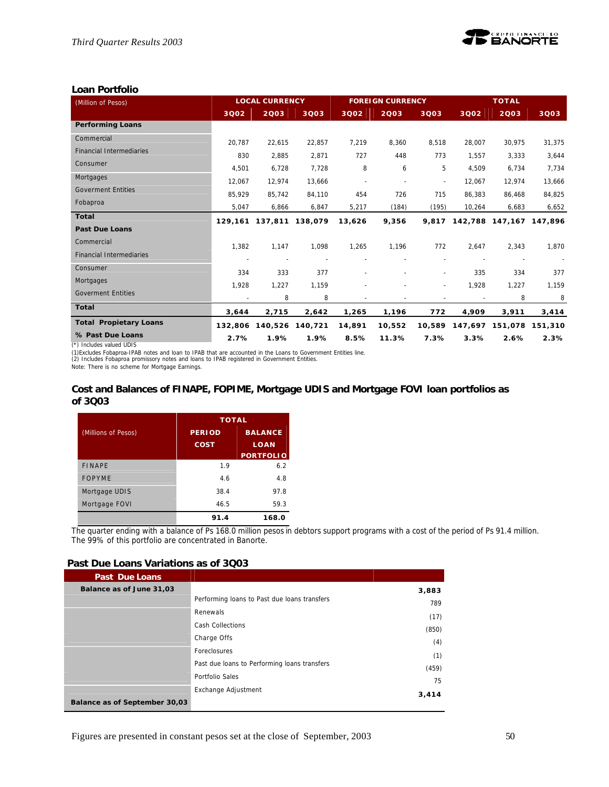

# **Loan Portfolio**

| (Million of Pesos)              | <b>LOCAL CURRENCY</b> |         | <b>FOREIGN CURRENCY</b> |                          |                          | <b>TOTAL</b>             |         |                 |         |
|---------------------------------|-----------------------|---------|-------------------------|--------------------------|--------------------------|--------------------------|---------|-----------------|---------|
|                                 | 3002                  | 2003    | 3Q03                    | 3002                     | 2003                     | 3Q03                     | 3002    | 2003            | 3003    |
| <b>Performing Loans</b>         |                       |         |                         |                          |                          |                          |         |                 |         |
| Commercial                      | 20.787                | 22,615  | 22,857                  | 7,219                    | 8,360                    | 8,518                    | 28,007  | 30,975          | 31,375  |
| <b>Financial Intermediaries</b> | 830                   | 2,885   | 2,871                   | 727                      | 448                      | 773                      | 1,557   | 3,333           | 3,644   |
| Consumer                        | 4,501                 | 6,728   | 7,728                   | 8                        | 6                        | 5                        | 4,509   | 6,734           | 7,734   |
| Mortgages                       | 12.067                | 12.974  | 13,666                  | $\overline{\phantom{a}}$ | $\overline{\phantom{a}}$ | $\overline{\phantom{a}}$ | 12.067  | 12.974          | 13,666  |
| <b>Goverment Entities</b>       | 85,929                | 85,742  | 84,110                  | 454                      | 726                      | 715                      | 86,383  | 86,468          | 84,825  |
| Fobaproa                        | 5,047                 | 6,866   | 6,847                   | 5,217                    | (184)                    | (195)                    | 10,264  | 6,683           | 6,652   |
| Total                           | 129,161               | 137,811 | 138.079                 | 13.626                   | 9,356                    | 9.817                    |         | 142,788 147,167 | 147.896 |
| <b>Past Due Loans</b>           |                       |         |                         |                          |                          |                          |         |                 |         |
| Commercial                      | 1,382                 | 1,147   | 1,098                   | 1,265                    | 1,196                    | 772                      | 2,647   | 2,343           | 1,870   |
| <b>Financial Intermediaries</b> |                       |         |                         |                          |                          |                          |         |                 |         |
| Consumer                        | 334                   | 333     | 377                     |                          |                          | ÷,                       | 335     | 334             | 377     |
| Mortgages                       | 1,928                 | 1,227   | 1,159                   |                          |                          | $\overline{\phantom{a}}$ | 1,928   | 1,227           | 1,159   |
| <b>Goverment Entities</b>       |                       | 8       | 8                       |                          |                          |                          |         | 8               | 8       |
| <b>Total</b>                    | 3,644                 | 2,715   | 2,642                   | 1,265                    | 1,196                    | 772                      | 4,909   | 3,911           | 3,414   |
| <b>Total Propietary Loans</b>   | 132,806               | 140,526 | 140,721                 | 14,891                   | 10,552                   | 10,589                   | 147,697 | 151,078         | 151,310 |
| % Past Due Loans                | 2.7%                  | 1.9%    | 1.9%                    | 8.5%                     | 11.3%                    | 7.3%                     | 3.3%    | 2.6%            | 2.3%    |

(\*) Includes valued UDIS

(1)Excludes Fobaproa-IPAB notes and loan to IPAB that are accounted in the Loans to Government Entities line. (2) Includes Fobaproa promissory notes and loans to IPAB registered in Government Entities.

Note: There is no scheme for Mortgage Earnings.

### **Cost and Balances of FINAPE, FOPIME, Mortgage UDIS and Mortgage FOVI loan portfolios as of 3Q03**

|                     | <b>TOTAL</b>  |                  |
|---------------------|---------------|------------------|
| (Millions of Pesos) | <b>PERIOD</b> | <b>BALANCE</b>   |
|                     | <b>COST</b>   | LOAN             |
|                     |               | <b>PORTFOLIO</b> |
| <b>FINAPF</b>       | 1.9           | 6.2              |
| <b>FOPYME</b>       | 4.6           | 4.8              |
| Mortgage UDIS       | 38.4          | 97.8             |
| Mortgage FOVI       | 46.5          | 59.3             |
|                     | 91.4          | 168.0            |

The quarter ending with a balance of Ps 168.0 million pesos in debtors support programs with a cost of the period of Ps 91.4 million. The 99% of this portfolio are concentrated in Banorte.

#### **Past Due Loans Variations as of 3Q03**

| <b>Past Due Loans</b>         |                                              |       |
|-------------------------------|----------------------------------------------|-------|
| Balance as of June 31,03      |                                              | 3,883 |
|                               | Performing loans to Past due loans transfers | 789   |
|                               | Renewals                                     | (17)  |
|                               | <b>Cash Collections</b>                      | (850) |
|                               | Charge Offs                                  |       |
|                               | Foreclosures                                 | (4)   |
|                               | Past due loans to Performing loans transfers | (1)   |
|                               | Portfolio Sales                              | (459) |
|                               |                                              | 75    |
|                               | Exchange Adjustment                          | 3,414 |
| Balance as of September 30,03 |                                              |       |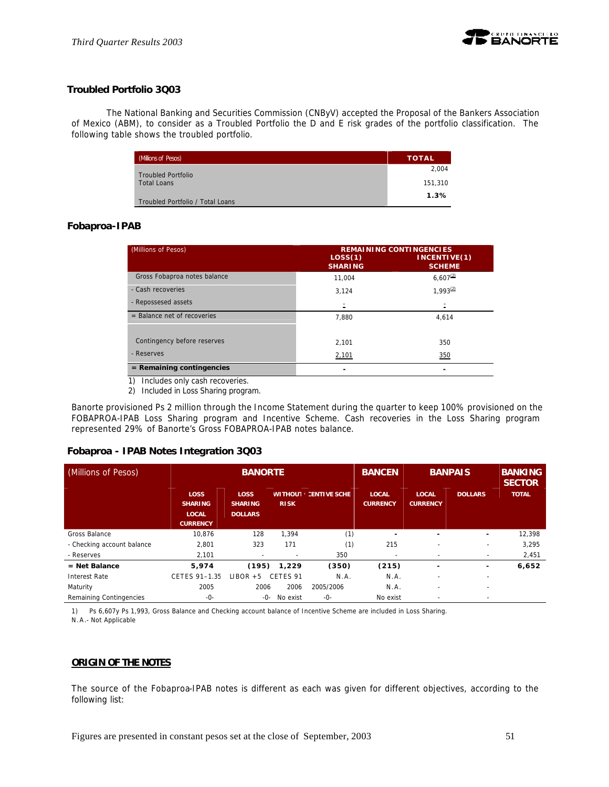

# **Troubled Portfolio 3Q03**

The National Banking and Securities Commission (CNByV) accepted the Proposal of the Bankers Association of Mexico (ABM), to consider as a Troubled Portfolio the D and E risk grades of the portfolio classification. The following table shows the troubled portfolio.

| (Millions of Pesos)              | <b>TOTAL</b> |
|----------------------------------|--------------|
| <b>Troubled Portfolio</b>        | 2.004        |
| <b>Total Loans</b>               | 151.310      |
| Troubled Portfolio / Total Loans | 1.3%         |

# **Fobaproa-IPAB**

| (Millions of Pesos)           | <b>REMAINING CONTINGENCIES</b> |                               |  |  |  |
|-------------------------------|--------------------------------|-------------------------------|--|--|--|
|                               | LOS(1)<br><b>SHARING</b>       | INCENTIVE(1)<br><b>SCHEME</b> |  |  |  |
| Gross Fobaproa notes balance  | 11.004                         | $6.607^{(2)}$                 |  |  |  |
| - Cash recoveries             | 3,124                          | $1.993^{(2)}$                 |  |  |  |
| - Repossesed assets           | $\blacksquare$                 |                               |  |  |  |
| $=$ Balance net of recoveries | 7.880                          | 4.614                         |  |  |  |
|                               |                                |                               |  |  |  |
| Contingency before reserves   | 2.101                          | 350                           |  |  |  |
| - Reserves                    | 2,101                          | 350                           |  |  |  |
| $=$ Remaining contingencies   |                                |                               |  |  |  |

1) Includes only cash recoveries.

2) Included in Loss Sharing program.

Banorte provisioned Ps 2 million through the Income Statement during the quarter to keep 100% provisioned on the FOBAPROA-IPAB Loss Sharing program and Incentive Scheme. Cash recoveries in the Loss Sharing program represented 29% of Banorte's Gross FOBAPROA-IPAB notes balance.

# **Fobaproa - IPAB Notes Integration 3Q03**

| (Millions of Pesos)        |                                                                  | <b>BANORTE</b>                                  |                               |                     | <b>BANCEN</b>                   | <b>BANPAIS</b>                  |                | <b>BANKING</b><br><b>SECTOR</b> |  |
|----------------------------|------------------------------------------------------------------|-------------------------------------------------|-------------------------------|---------------------|---------------------------------|---------------------------------|----------------|---------------------------------|--|
|                            | <b>LOSS</b><br><b>SHARING</b><br><b>LOCAL</b><br><b>CURRENCY</b> | <b>LOSS</b><br><b>SHARING</b><br><b>DOLLARS</b> | <b>WITHOUT</b><br><b>RISK</b> | <b>CENTIVE SCHE</b> | <b>LOCAL</b><br><b>CURRENCY</b> | <b>LOCAL</b><br><b>CURRENCY</b> | <b>DOLLARS</b> | <b>TOTAL</b>                    |  |
| Gross Balance              | 10,876                                                           | 128                                             | 1,394                         | (1)                 | -                               | ۰                               | -              | 12,398                          |  |
| - Checking account balance | 2,801                                                            | 323                                             | 171                           | (1)                 | 215                             |                                 |                | 3,295                           |  |
| - Reserves                 | 2,101                                                            |                                                 |                               | 350                 | $\overline{\phantom{a}}$        |                                 |                | 2,451                           |  |
| $=$ Net Balance            | 5,974                                                            | (195)                                           | 1,229                         | (350)               | (215)                           | ۰                               | ٠              | 6,652                           |  |
| <b>Interest Rate</b>       | CETES 91-1.35                                                    | $LIBOR + 5$                                     | CFTFS <sub>91</sub>           | N.A.                | N.A.                            | $\overline{\phantom{a}}$        | -              |                                 |  |
| Maturity                   | 2005                                                             | 2006                                            | 2006                          | 2005/2006           | N.A.                            | -                               | -              |                                 |  |
| Remaining Contingencies    | -0-                                                              | -0-                                             | No exist                      | -0-                 | No exist                        | $\overline{\phantom{a}}$        | -              |                                 |  |

1) Ps 6,607y Ps 1,993, Gross Balance and Checking account balance of Incentive Scheme are included in Loss Sharing. N.A.- Not Applicable

# **ORIGIN OF THE NOTES**

The source of the Fobaproa-IPAB notes is different as each was given for different objectives, according to the following list: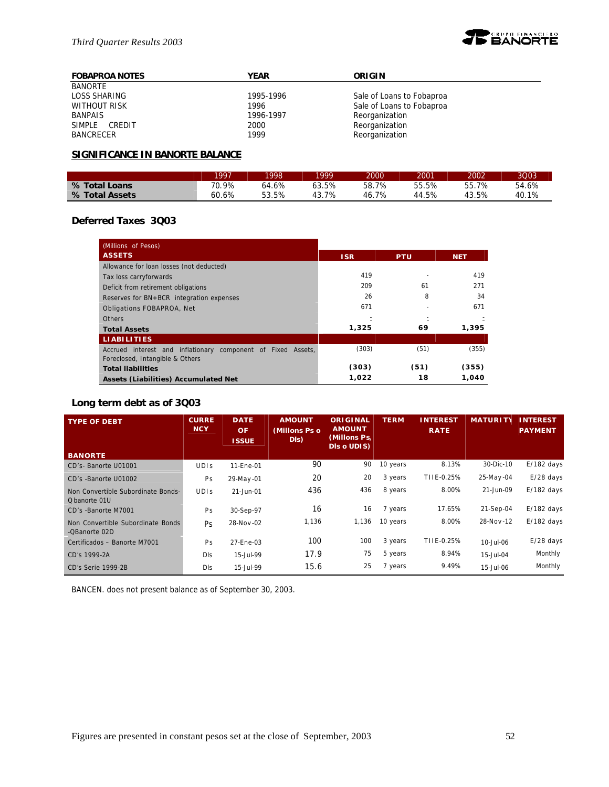

| <b>FOBAPROA NOTES</b> | <b>YEAR</b> | <b>ORIGIN</b>             |
|-----------------------|-------------|---------------------------|
| <b>BANORTE</b>        |             |                           |
| LOSS SHARING          | 1995-1996   | Sale of Loans to Fobaproa |
| WITHOUT RISK          | 1996        | Sale of Loans to Fobaproa |
| <b>BANPAIS</b>        | 1996-1997   | Reorganization            |
| SIMPLE CREDIT         | 2000        | Reorganization            |
| BANCRECER             | 1999        | Reorganization            |

# **SIGNIFICANCE IN BANORTE BALANCE**

|                | 1997  | 1998  | 1999  | 2000      | 2001  | 2002  | 3Q03  |
|----------------|-------|-------|-------|-----------|-------|-------|-------|
| % Total Loans  | 70.9% | 64.6% | 63.5% | 58.7%     | 55.5% | 55.7% | 54.6% |
| % Total Assets | 60.6% | 53.5% | 43.7% | 7%<br>46. | 44.5% | 43.5% | 40.1% |

# **Deferred Taxes 3Q03**

| (Millions of Pesos)                                          |            |            |            |
|--------------------------------------------------------------|------------|------------|------------|
| <b>ASSETS</b>                                                | <b>ISR</b> | <b>PTU</b> | <b>NET</b> |
| Allowance for loan losses (not deducted)                     |            |            |            |
| Tax loss carryforwards                                       | 419        |            | 419        |
| Deficit from retirement obligations                          | 209        | 61         | 271        |
| Reserves for BN+BCR integration expenses                     | 26         | 8          | 34         |
| Obligations FOBAPROA, Net                                    | 671        |            | 671        |
| <b>Others</b>                                                |            |            |            |
| <b>Total Assets</b>                                          | 1,325      | 69         | 1.395      |
| <b>LIABILITIES</b>                                           |            |            |            |
| Accrued interest and inflationary component of Fixed Assets, | (303)      | (51)       | (355)      |
| Foreclosed, Intangible & Others                              |            |            |            |
| <b>Total liabilities</b>                                     | (303)      | (51)       | (355)      |
| Assets (Liabilities) Accumulated Net                         | 1,022      | 18         | 1.040      |

# **Long term debt as of 3Q03**

| <b>TYPE OF DEBT</b>                                 | <b>CURRE</b><br><b>NCY</b> | <b>DATE</b><br><b>OF</b><br><b>ISSUE</b> | <b>AMOUNT</b><br>(Millons Ps o<br>DI <sub>s</sub> | <b>ORIGINAL</b><br><b>AMOUNT</b><br>(Millons Ps,<br>DIs o UDIS) | <b>TERM</b> | <b>INTEREST</b><br><b>RATE</b> | <b>MATURI</b> | <b>INTEREST</b><br><b>PAYMENT</b> |
|-----------------------------------------------------|----------------------------|------------------------------------------|---------------------------------------------------|-----------------------------------------------------------------|-------------|--------------------------------|---------------|-----------------------------------|
| <b>BANORTE</b>                                      |                            |                                          |                                                   |                                                                 |             |                                |               |                                   |
| CD's-Banorte U01001                                 | <b>UDIS</b>                | 11-Fne-01                                | 90                                                | 90                                                              | 10 years    | 8.13%                          | 30-Dic-10     | $E/182$ days                      |
| CD's -Banorte U01002                                | Ps                         | 29-May-01                                | 20                                                | 20                                                              | 3 years     | TIIE-0.25%                     | 25-May-04     | $E/28$ days                       |
| Non Convertible Subordinate Bonds-<br>O banorte 01U | <b>UDIS</b>                | 21-Jun-01                                | 436                                               | 436                                                             | 8 years     | 8.00%                          | 21-Jun-09     | $E/182$ days                      |
| CD's -Banorte M7001                                 | Ps                         | 30-Sep-97                                | 16                                                | 16                                                              | 7 years     | 17.65%                         | 21-Sep-04     | $E/182$ days                      |
| Non Convertible Subordinate Bonds<br>-QBanorte 02D  | <b>Ps</b>                  | 28-Nov-02                                | 1,136                                             | 1,136                                                           | 10 years    | 8.00%                          | 28-Nov-12     | $E/182$ days                      |
| Certificados - Banorte M7001                        | Ps                         | 27-Ene-03                                | 100                                               | 100                                                             | 3 years     | TIIE-0.25%                     | 10-Jul-06     | $E/28$ days                       |
| CD's 1999-2A                                        | Dis                        | 15-Jul-99                                | 17.9                                              | 75                                                              | 5 years     | 8.94%                          | 15-Jul-04     | Monthly                           |
| CD's Serie 1999-2B                                  | Dis                        | 15-Jul-99                                | 15.6                                              | 25                                                              | 7 years     | 9.49%                          | 15-Jul-06     | Monthly                           |

BANCEN. does not present balance as of September 30, 2003.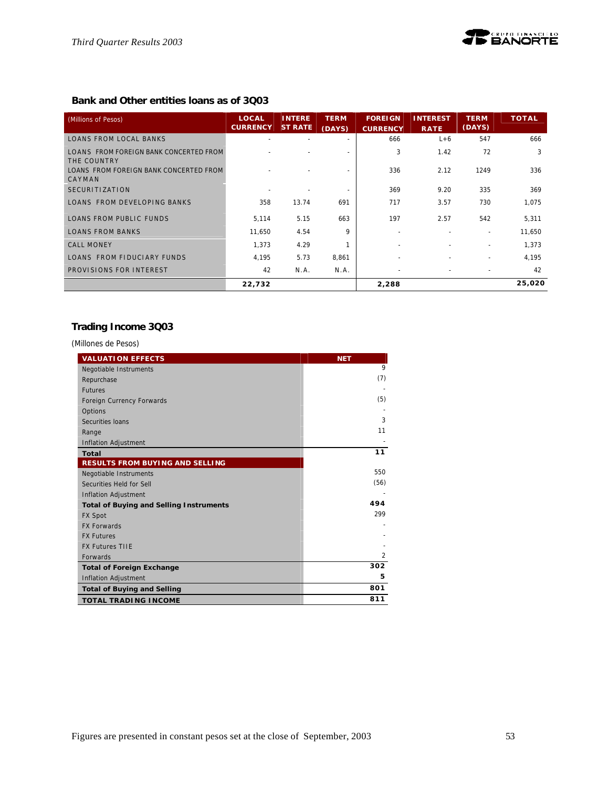# **Bank and Other entities loans as of 3Q03**

| (Millions of Pesos)                                   | LOCAL<br><b>CURRENCY</b> | <b>INTERE</b><br><b>ST RATE</b> | <b>TERM</b><br>(DAYS) | <b>FOREIGN</b><br><b>CURRENCY</b> | <b>INTEREST</b><br><b>RATE</b> | <b>TERM</b><br>(DAYS)    | <b>TOTAL</b> |
|-------------------------------------------------------|--------------------------|---------------------------------|-----------------------|-----------------------------------|--------------------------------|--------------------------|--------------|
| <b>LOANS FROM LOCAL BANKS</b>                         |                          |                                 |                       | 666                               | $L+6$                          | 547                      | 666          |
| LOANS FROM FOREIGN BANK CONCERTED FROM<br>THE COUNTRY |                          |                                 |                       | 3                                 | 1.42                           | 72                       | 3            |
| LOANS FROM FOREIGN BANK CONCERTED FROM<br>CAYMAN      |                          |                                 |                       | 336                               | 2.12                           | 1249                     | 336          |
| <b>SECURITIZATION</b>                                 |                          |                                 |                       | 369                               | 9.20                           | 335                      | 369          |
| LOANS FROM DEVELOPING BANKS                           | 358                      | 13.74                           | 691                   | 717                               | 3.57                           | 730                      | 1,075        |
| <b>LOANS FROM PUBLIC FUNDS</b>                        | 5,114                    | 5.15                            | 663                   | 197                               | 2.57                           | 542                      | 5,311        |
| <b>LOANS FROM BANKS</b>                               | 11,650                   | 4.54                            | 9                     |                                   |                                |                          | 11,650       |
| <b>CALL MONEY</b>                                     | 1.373                    | 4.29                            |                       |                                   |                                | $\overline{\phantom{0}}$ | 1.373        |
| LOANS FROM FIDUCIARY FUNDS                            | 4,195                    | 5.73                            | 8,861                 |                                   |                                |                          | 4,195        |
| PROVISIONS FOR INTEREST                               | 42                       | N.A.                            | N.A.                  |                                   |                                |                          | 42           |
|                                                       | 22,732                   |                                 |                       | 2,288                             |                                |                          | 25,020       |

# **Trading Income 3Q03**

*(Millones de Pesos)*

| <b>VALUATION EFFECTS</b>                       | <b>NET</b>     |
|------------------------------------------------|----------------|
| Negotiable Instruments                         | 9              |
| Repurchase                                     | (7)            |
| <b>Futures</b>                                 |                |
| Foreign Currency Forwards                      | (5)            |
| Options                                        |                |
| Securities Ioans                               | 3              |
| Range                                          | 11             |
| Inflation Adjustment                           |                |
| Total                                          | 11             |
| <b>RESULTS FROM BUYING AND SELLING</b>         |                |
| Negotiable Instruments                         | 550            |
| Securities Held for Sell                       | (56)           |
| <b>Inflation Adjustment</b>                    |                |
| <b>Total of Buying and Selling Instruments</b> | 494            |
| <b>FX Spot</b>                                 | 299            |
| <b>FX Forwards</b>                             |                |
| <b>FX Futures</b>                              |                |
| <b>FX Futures TIIE</b>                         |                |
| <b>Forwards</b>                                | $\mathfrak{p}$ |
| <b>Total of Foreign Exchange</b>               | 302            |
| Inflation Adjustment                           | 5              |
| <b>Total of Buying and Selling</b>             | 801            |
| <b>TOTAL TRADING INCOME</b>                    | 811            |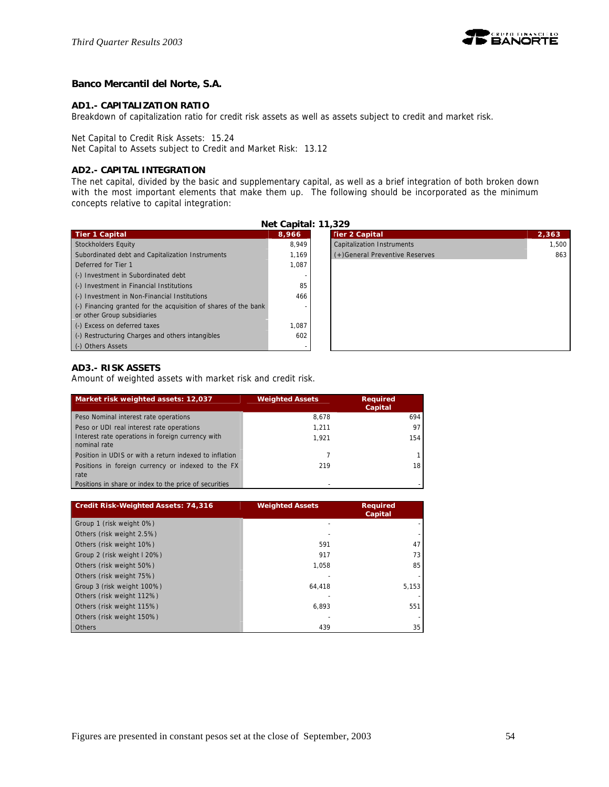

# **Banco Mercantil del Norte, S.A.**

### **AD1.- CAPITALIZATION RATIO**

Breakdown of capitalization ratio for credit risk assets as well as assets subject to credit and market risk.

Net Capital to Credit Risk Assets: 15.24

Net Capital to Assets subject to Credit and Market Risk: 13.12

### **AD2.- CAPITAL INTEGRATION**

The net capital, divided by the basic and supplementary capital, as well as a brief integration of both broken down with the most important elements that make them up. The following should be incorporated as the minimum concepts relative to capital integration:

**Net Capital: 11,329**

|                                                                 | <b>Net Capital</b> : 11,329 |                                 |       |
|-----------------------------------------------------------------|-----------------------------|---------------------------------|-------|
| <b>Tier 1 Capital</b>                                           | 8,966                       | <b>Tier 2 Capital</b>           | 2,363 |
| <b>Stockholders Equity</b>                                      | 8.949                       | Capitalization Instruments      | 1.500 |
| Subordinated debt and Capitalization Instruments                | 1.169                       | (+) General Preventive Reserves | 863   |
| Deferred for Tier 1                                             | 1,087                       |                                 |       |
| (-) Investment in Subordinated debt                             |                             |                                 |       |
| (-) Investment in Financial Institutions                        | 85                          |                                 |       |
| (-) Investment in Non-Financial Institutions                    | 466                         |                                 |       |
| (-) Financing granted for the acquisition of shares of the bank |                             |                                 |       |
| or other Group subsidiaries                                     |                             |                                 |       |
| (-) Excess on deferred taxes                                    | 1.087                       |                                 |       |
| (-) Restructuring Charges and others intangibles                | 602                         |                                 |       |
| (-) Others Assets                                               |                             |                                 |       |

| <b>Tier 2 Capital</b>          | 2,363 |
|--------------------------------|-------|
| Capitalization Instruments     | 1,500 |
| (+)General Preventive Reserves | 863   |
|                                |       |
|                                |       |
|                                |       |
|                                |       |
|                                |       |
|                                |       |
|                                |       |
|                                |       |
|                                |       |

#### **AD3.- RISK ASSETS**

Amount of weighted assets with market risk and credit risk.

| Market risk weighted assets: 12,037                               | <b>Weighted Assets</b> | <b>Required</b><br>Capital |
|-------------------------------------------------------------------|------------------------|----------------------------|
| Peso Nominal interest rate operations                             | 8.678                  | 694                        |
| Peso or UDI real interest rate operations                         | 1.211                  | 97                         |
| Interest rate operations in foreign currency with<br>nominal rate | 1.921                  | 154                        |
| Position in UDIS or with a return indexed to inflation            |                        |                            |
| Positions in foreign currency or indexed to the FX<br>rate        | 219                    | 18                         |
| Positions in share or index to the price of securities            |                        |                            |

| Credit Risk-Weighted Assets: 74,316 | <b>Weighted Assets</b> | <b>Required</b><br>Capital |
|-------------------------------------|------------------------|----------------------------|
| Group 1 (risk weight 0%)            |                        |                            |
| Others (risk weight 2.5%)           |                        |                            |
| Others (risk weight 10%)            | 591                    | 47                         |
| Group 2 (risk weight I 20%)         | 917                    | 73                         |
| Others (risk weight 50%)            | 1.058                  | 85                         |
| Others (risk weight 75%)            |                        |                            |
| Group 3 (risk weight 100%)          | 64.418                 | 5,153                      |
| Others (risk weight 112%)           |                        |                            |
| Others (risk weight 115%)           | 6.893                  | 551                        |
| Others (risk weight 150%)           |                        |                            |
| <b>Others</b>                       | 439                    | 35                         |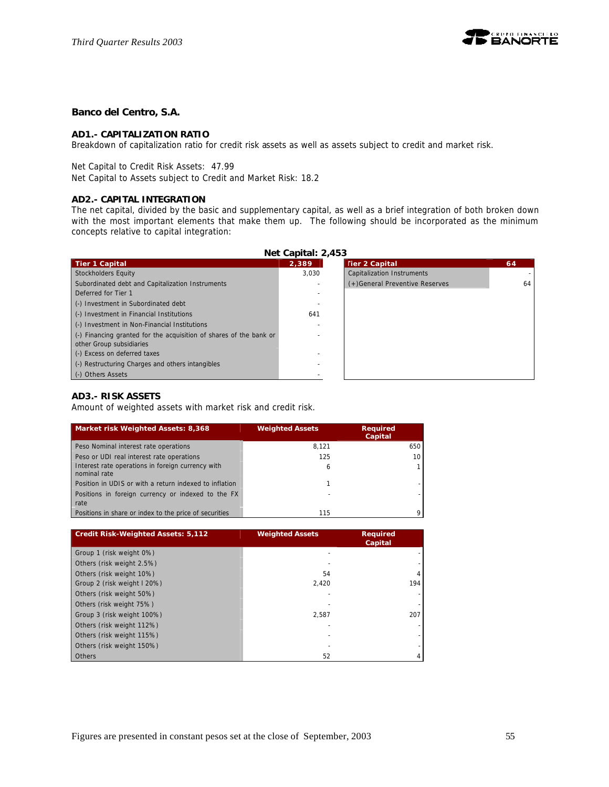

# **Banco del Centro, S.A.**

# **AD1.- CAPITALIZATION RATIO**

Breakdown of capitalization ratio for credit risk assets as well as assets subject to credit and market risk.

Net Capital to Credit Risk Assets: 47.99

Net Capital to Assets subject to Credit and Market Risk: 18.2

### **AD2.- CAPITAL INTEGRATION**

The net capital, divided by the basic and supplementary capital, as well as a brief integration of both broken down with the most important elements that make them up. The following should be incorporated as the minimum concepts relative to capital integration:

| Net Capital: 2,453                                                                    |       |                                   |    |  |  |  |  |
|---------------------------------------------------------------------------------------|-------|-----------------------------------|----|--|--|--|--|
| <b>Tier 1 Capital</b>                                                                 | 2,389 | <b>Tier 2 Capital</b>             | 64 |  |  |  |  |
| Stockholders Equity                                                                   | 3.030 | <b>Capitalization Instruments</b> |    |  |  |  |  |
| Subordinated debt and Capitalization Instruments                                      |       | (+)General Preventive Reserves    | 64 |  |  |  |  |
| Deferred for Tier 1                                                                   |       |                                   |    |  |  |  |  |
| (-) Investment in Subordinated debt                                                   |       |                                   |    |  |  |  |  |
| (-) Investment in Financial Institutions                                              | 641   |                                   |    |  |  |  |  |
| (-) Investment in Non-Financial Institutions                                          |       |                                   |    |  |  |  |  |
| $\left( \cdot \right)$ Financing granted for the acquisition of shares of the bank or |       |                                   |    |  |  |  |  |
| other Group subsidiaries                                                              |       |                                   |    |  |  |  |  |
| (-) Excess on deferred taxes                                                          |       |                                   |    |  |  |  |  |
| (-) Restructuring Charges and others intangibles                                      |       |                                   |    |  |  |  |  |
| (-) Others Assets                                                                     |       |                                   |    |  |  |  |  |

# **AD3.- RISK ASSETS**

Amount of weighted assets with market risk and credit risk.

| Market risk Weighted Assets: 8,368                                | <b>Weighted Assets</b> | <b>Required</b><br>Capital |
|-------------------------------------------------------------------|------------------------|----------------------------|
| Peso Nominal interest rate operations                             | 8.121                  | 650                        |
| Peso or UDI real interest rate operations                         | 125                    | 10                         |
| Interest rate operations in foreign currency with<br>nominal rate | 6                      |                            |
| Position in UDIS or with a return indexed to inflation            |                        |                            |
| Positions in foreign currency or indexed to the FX<br>rate        |                        |                            |
| Positions in share or index to the price of securities            | 115                    |                            |

| <b>Credit Risk-Weighted Assets: 5,112</b> | <b>Weighted Assets</b> |     |
|-------------------------------------------|------------------------|-----|
| Group 1 (risk weight 0%)                  |                        |     |
| Others (risk weight 2.5%)                 |                        |     |
| Others (risk weight 10%)                  | 54                     |     |
| Group 2 (risk weight I 20%)               | 2.420                  | 194 |
| Others (risk weight 50%)                  |                        |     |
| Others (risk weight 75%)                  |                        |     |
| Group 3 (risk weight 100%)                | 2.587                  | 207 |
| Others (risk weight 112%)                 |                        |     |
| Others (risk weight 115%)                 |                        |     |
| Others (risk weight 150%)                 |                        |     |
| <b>Others</b>                             | 52                     |     |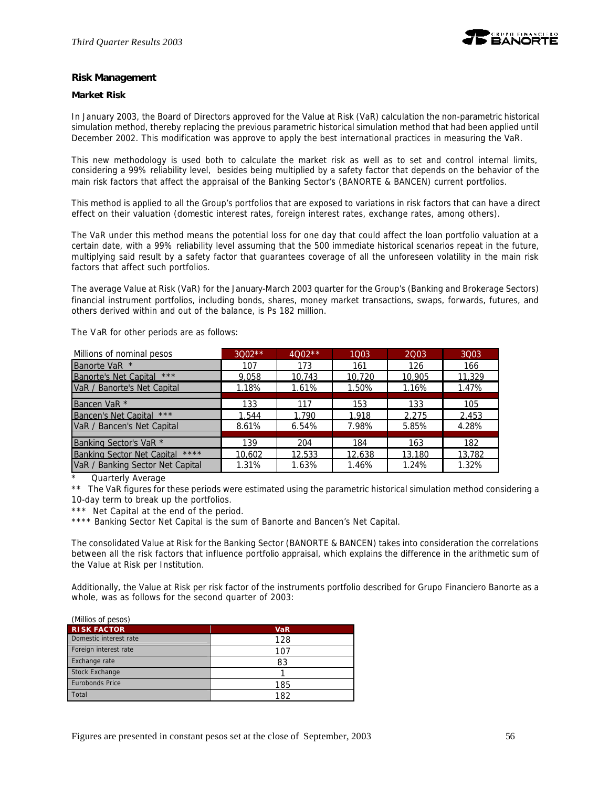

#### **Risk Management**

#### **Market Risk**

In January 2003, the Board of Directors approved for the Value at Risk (VaR) calculation the non-parametric historical simulation method, thereby replacing the previous parametric historical simulation method that had been applied until December 2002. This modification was approve to apply the best international practices in measuring the VaR.

This new methodology is used both to calculate the market risk as well as to set and control internal limits, considering a 99% reliability level, besides being multiplied by a safety factor that depends on the behavior of the main risk factors that affect the appraisal of the Banking Sector's (BANORTE & BANCEN) current portfolios.

This method is applied to all the Group's portfolios that are exposed to variations in risk factors that can have a direct effect on their valuation (domestic interest rates, foreign interest rates, exchange rates, among others).

The VaR under this method means the potential loss for one day that could affect the loan portfolio valuation at a certain date, with a 99% reliability level assuming that the 500 immediate historical scenarios repeat in the future, multiplying said result by a safety factor that guarantees coverage of all the unforeseen volatility in the main risk factors that affect such portfolios.

The average Value at Risk (VaR) for the January-March 2003 quarter for the Group's (Banking and Brokerage Sectors) financial instrument portfolios, including bonds, shares, money market transactions, swaps, forwards, futures, and others derived within and out of the balance, is Ps 182 million.

The VaR for other periods are as follows:

| Millions of nominal pesos                 | $3002**$ | $4002**$ | 1003   | 2003   | 3003   |
|-------------------------------------------|----------|----------|--------|--------|--------|
| Banorte VaR *                             | 107      | 173      | 161    | 126    | 166    |
| <b>Banorte's Net Capital</b><br>$***$     | 9,058    | 10,743   | 10,720 | 10,905 | 11,329 |
| VaR / Banorte's Net Capital               | 1.18%    | 1.61%    | 1.50%  | 1.16%  | 1.47%  |
|                                           |          |          |        |        |        |
| Bancen VaR <sup>*</sup>                   | 133      | 117      | 153    | 133    | 105    |
| Bancen's Net Capital ***                  | 1,544    | 1,790    | 1,918  | 2,275  | 2,453  |
| VaR / Bancen's Net Capital                | 8.61%    | 6.54%    | 7.98%  | 5.85%  | 4.28%  |
|                                           |          |          |        |        |        |
| Banking Sector's VaR <sup>*</sup>         | 139      | 204      | 184    | 163    | 182    |
| ****<br><b>Banking Sector Net Capital</b> | 10,602   | 12.533   | 12,638 | 13,180 | 13,782 |
| VaR / Banking Sector Net Capital          | 1.31%    | 1.63%    | 1.46%  | 1.24%  | 1.32%  |

Quarterly Average

\*\* The VaR figures for these periods were estimated using the parametric historical simulation method considering a 10-day term to break up the portfolios.

\*\*\* Net Capital at the end of the period.

\*\*\*\* Banking Sector Net Capital is the sum of Banorte and Bancen's Net Capital.

The consolidated Value at Risk for the Banking Sector (BANORTE & BANCEN) takes into consideration the correlations between all the risk factors that influence portfolio appraisal, which explains the difference in the arithmetic sum of the Value at Risk per Institution.

Additionally, the Value at Risk per risk factor of the instruments portfolio described for Grupo Financiero Banorte as a whole, was as follows for the second quarter of 2003:

| (Millios of pesos)     |            |
|------------------------|------------|
| <b>RISK FACTOR</b>     | <b>VaR</b> |
| Domestic interest rate | 128        |
| Foreign interest rate  | 107        |
| Exchange rate          | 83         |
| <b>Stock Exchange</b>  |            |
| Eurobonds Price        | 185        |
| Total                  | 182        |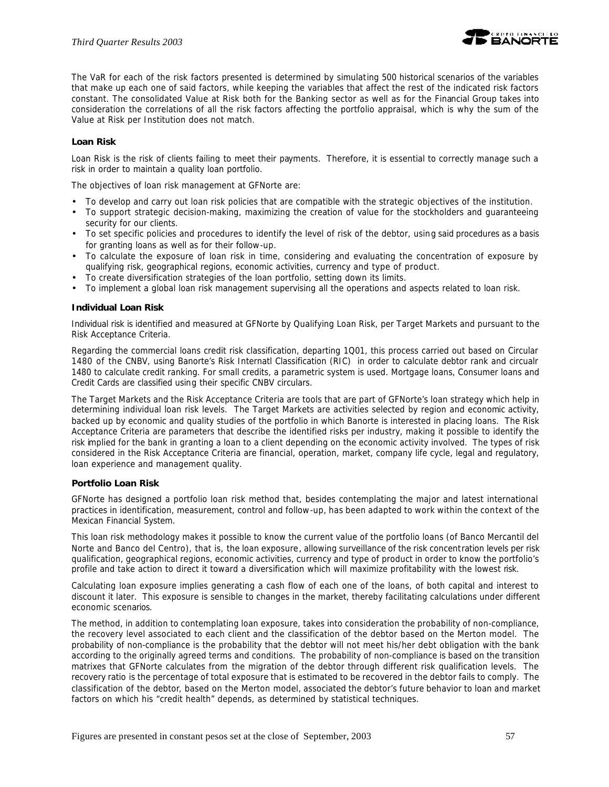

The VaR for each of the risk factors presented is determined by simulating 500 historical scenarios of the variables that make up each one of said factors, while keeping the variables that affect the rest of the indicated risk factors constant. The consolidated Value at Risk both for the Banking sector as well as for the Financial Group takes into consideration the correlations of all the risk factors affecting the portfolio appraisal, which is why the sum of the Value at Risk per Institution does not match.

### **Loan Risk**

Loan Risk is the risk of clients failing to meet their payments. Therefore, it is essential to correctly manage such a risk in order to maintain a quality loan portfolio.

The objectives of loan risk management at GFNorte are:

- To develop and carry out loan risk policies that are compatible with the strategic objectives of the institution.
- To support strategic decision-making, maximizing the creation of value for the stockholders and guaranteeing security for our clients.
- To set specific policies and procedures to identify the level of risk of the debtor, using said procedures as a basis for granting loans as well as for their follow-up.
- To calculate the exposure of loan risk in time, considering and evaluating the concentration of exposure by qualifying risk, geographical regions, economic activities, currency and type of product.
- To create diversification strategies of the loan portfolio, setting down its limits.
- To implement a global loan risk management supervising all the operations and aspects related to loan risk.

#### **Individual Loan Risk**

Individual risk is identified and measured at GFNorte by Qualifying Loan Risk, per Target Markets and pursuant to the Risk Acceptance Criteria.

Regarding the commercial loans credit risk classification, departing 1Q01, this process carried out based on Circular 1480 of the CNBV, using Banorte's Risk Internatl Classification (RIC) in order to calculate debtor rank and circualr 1480 to calculate credit ranking. For small credits, a parametric system is used. Mortgage loans, Consumer loans and Credit Cards are classified using their specific CNBV circulars.

The Target Markets and the Risk Acceptance Criteria are tools that are part of GFNorte's loan strategy which help in determining individual loan risk levels. The Target Markets are activities selected by region and economic activity, backed up by economic and quality studies of the portfolio in which Banorte is interested in placing loans. The Risk Acceptance Criteria are parameters that describe the identified risks per industry, making it possible to identify the risk implied for the bank in granting a loan to a client depending on the economic activity involved. The types of risk considered in the Risk Acceptance Criteria are financial, operation, market, company life cycle, legal and regulatory, loan experience and management quality.

#### **Portfolio Loan Risk**

GFNorte has designed a portfolio loan risk method that, besides contemplating the major and latest international practices in identification, measurement, control and follow-up, has been adapted to work within the context of the Mexican Financial System.

This loan risk methodology makes it possible to know the current value of the portfolio loans (of Banco Mercantil del Norte and Banco del Centro), that is, *the loan exposure*, allowing surveillance of the risk concentration levels per risk qualification, geographical regions, economic activities, currency and type of product in order to know the portfolio's profile and take action to direct it toward a diversification which will maximize profitability with the lowest risk.

Calculating loan exposure implies generating a cash flow of each one of the loans, of both capital and interest to discount it later. This exposure is sensible to changes in the market, thereby facilitating calculations under different economic scenarios.

The method, in addition to contemplating loan exposure, takes into consideration the probability of non-compliance, the recovery level associated to each client and the classification of the debtor based on the Merton model. The *probability of non-compliance* is the probability that the debtor will not meet his/her debt obligation with the bank according to the originally agreed terms and conditions. The probability of non-compliance is based on the transition matrixes that GFNorte calculates from the migration of the debtor through different risk qualification levels. The *recovery ratio* is the percentage of total exposure that is estimated to be recovered in the debtor fails to comply. The *classification of the debtor*, based on the Merton model, associated the debtor's future behavior to loan and market factors on which his "credit health" depends, as determined by statistical techniques.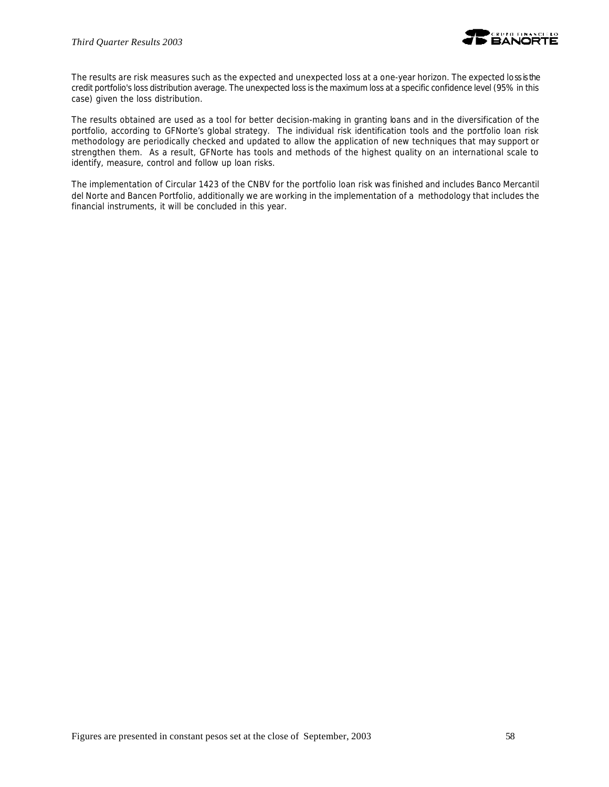

The results are risk measures such as the expected and unexpected loss at a one-year horizon. The expected loss is the credit portfolio's loss distribution average. The unexpected loss is the maximum loss at a specific confidence level (95% in this case) given the loss distribution.

The results obtained are used as a tool for better decision-making in granting loans and in the diversification of the portfolio, according to GFNorte's global strategy. The individual risk identification tools and the portfolio loan risk methodology are periodically checked and updated to allow the application of new techniques that may support or strengthen them. As a result, GFNorte has tools and methods of the highest quality on an international scale to identify, measure, control and follow up loan risks.

The implementation of Circular 1423 of the CNBV for the portfolio loan risk was finished and includes Banco Mercantil del Norte and Bancen Portfolio, additionally we are working in the implementation of a methodology that includes the financial instruments, it will be concluded in this year.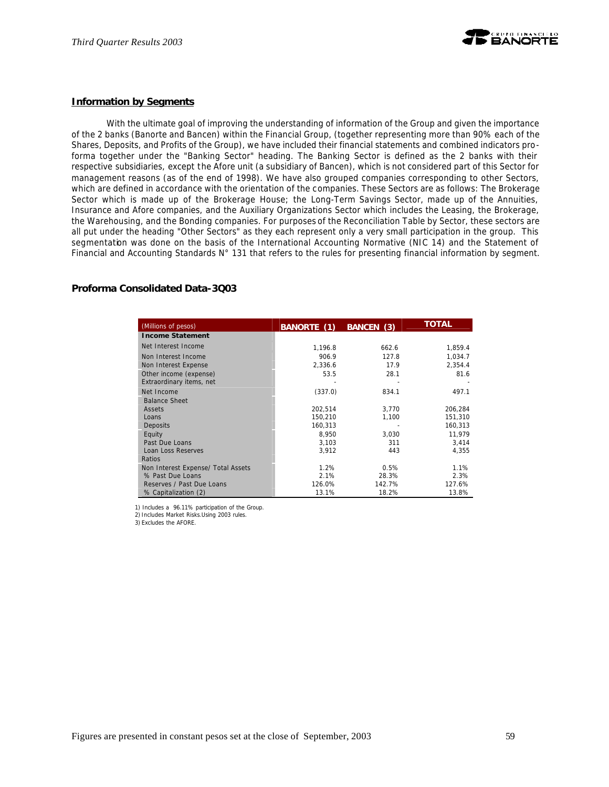

#### **Information by Segments**

With the ultimate goal of improving the understanding of information of the Group and given the importance of the 2 banks (Banorte and Bancen) within the Financial Group, (together representing more than 90% each of the Shares, Deposits, and Profits of the Group), we have included their financial statements and combined indicators proforma together under the "Banking Sector" heading. The Banking Sector is defined as the 2 banks with their respective subsidiaries, except the Afore unit (a subsidiary of Bancen), which is not considered part of this Sector for management reasons (as of the end of 1998). We have also grouped companies corresponding to other Sectors, which are defined in accordance with the orientation of the companies. These Sectors are as follows: The Brokerage Sector which is made up of the Brokerage House; the Long-Term Savings Sector, made up of the Annuities, Insurance and Afore companies, and the Auxiliary Organizations Sector which includes the Leasing, the Brokerage, the Warehousing, and the Bonding companies. For purposes of the Reconciliation Table by Sector, these sectors are all put under the heading "Other Sectors" as they each represent only a very small participation in the group. This segmentation was done on the basis of the International Accounting Normative (NIC 14) and the Statement of Financial and Accounting Standards N° 131 that refers to the rules for presenting financial information by segment.

#### **Proforma Consolidated Data-3Q03**

| (Millions of pesos)                | <b>BANORTE</b> (1) | <b>BANCEN (3)</b> | <b>TOTAL</b> |
|------------------------------------|--------------------|-------------------|--------------|
| <b>Income Statement</b>            |                    |                   |              |
| Net Interest Income                | 1,196.8            | 662.6             | 1,859.4      |
| Non Interest Income                | 906.9              | 127.8             | 1,034.7      |
| Non Interest Expense               | 2,336.6            | 17.9              | 2,354.4      |
| Other income (expense)             | 53.5               | 28.1              | 81.6         |
| Extraordinary items, net           |                    |                   |              |
| Net Income                         | (337.0)            | 834.1             | 497.1        |
| <b>Balance Sheet</b>               |                    |                   |              |
| Assets                             | 202,514            | 3.770             | 206,284      |
| Loans                              | 150,210            | 1,100             | 151,310      |
| Deposits                           | 160,313            |                   | 160,313      |
| Equity                             | 8.950              | 3,030             | 11.979       |
| Past Due Loans                     | 3,103              | 311               | 3,414        |
| Loan Loss Reserves                 | 3,912              | 443               | 4,355        |
| Ratios                             |                    |                   |              |
| Non Interest Expense/ Total Assets | 1.2%               | 0.5%              | 1.1%         |
| % Past Due Loans                   | 2.1%               | 28.3%             | 2.3%         |
| Reserves / Past Due Loans          | 126.0%             | 142.7%            | 127.6%       |
| % Capitalization (2)               | 13.1%              | 18.2%             | 13.8%        |

1) Includes a 96.11% participation of the Group.

2) Includes Market Risks.Using 2003 rules.

3) Excludes the AFORE.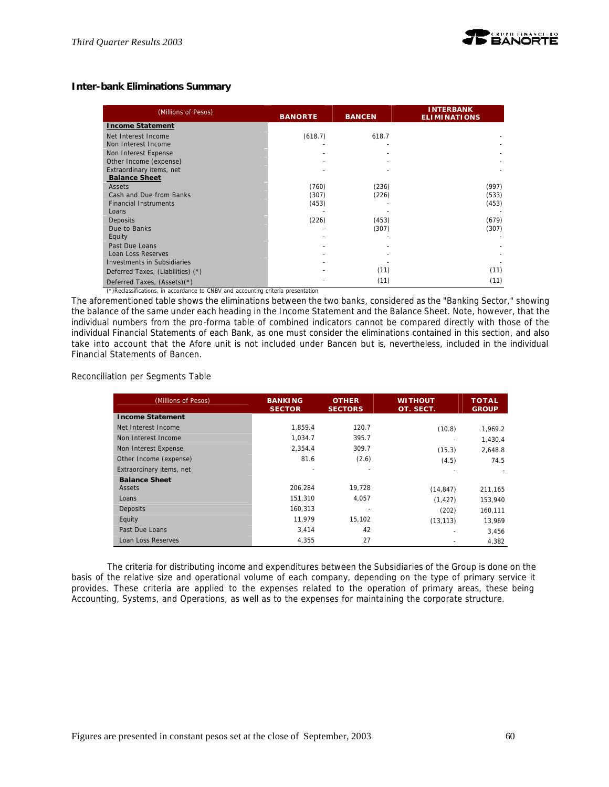# **Inter-bank Eliminations Summary**

| (Millions of Pesos)                | <b>BANORTE</b> | <b>BANCEN</b> | <b>INTERBANK</b><br><b>ELIMINATIONS</b> |  |
|------------------------------------|----------------|---------------|-----------------------------------------|--|
| <b>Income Statement</b>            |                |               |                                         |  |
| Net Interest Income                | (618.7)        | 618.7         |                                         |  |
| Non Interest Income                |                |               |                                         |  |
| Non Interest Expense               |                |               |                                         |  |
| Other Income (expense)             |                |               |                                         |  |
| Extraordinary items, net           |                |               |                                         |  |
| <b>Balance Sheet</b>               |                |               |                                         |  |
| Assets                             | (760)          | (236)         | (997)                                   |  |
| Cash and Due from Banks            | (307)          | (226)         | (533)                                   |  |
| <b>Financial Instruments</b>       | (453)          |               | (453)                                   |  |
| Loans                              |                |               |                                         |  |
| Deposits                           | (226)          | (453)         | (679)                                   |  |
| Due to Banks                       |                | (307)         | (307)                                   |  |
| Equity                             |                |               |                                         |  |
| Past Due Loans                     |                |               |                                         |  |
| Loan Loss Reserves                 |                |               |                                         |  |
| <b>Investments in Subsidiaries</b> |                |               |                                         |  |
| Deferred Taxes, (Liabilities) (*)  |                | (11)          | (11)                                    |  |
| Deferred Taxes, (Assets)(*)        |                | (11)          | (11)                                    |  |

(\*)Reclassifications, in accordance to CNBV and accounting criteria presentation

The aforementioned table shows the eliminations between the two banks, considered as the "Banking Sector," showing the balance of the same under each heading in the Income Statement and the Balance Sheet. Note, however, that the individual numbers from the pro-forma table of combined indicators cannot be compared directly with those of the individual Financial Statements of each Bank, as one must consider the eliminations contained in this section, and also take into account that the Afore unit is not included under Bancen but *is*, nevertheless, included in the individual Financial Statements of Bancen.

Reconciliation per Segments Table

| (Millions of Pesos)      | <b>BANKING</b><br><b>SECTOR</b> | <b>OTHER</b><br><b>SECTORS</b> | WITHOUT<br>OT. SECT. | <b>TOTAL</b><br><b>GROUP</b> |
|--------------------------|---------------------------------|--------------------------------|----------------------|------------------------------|
| <b>Income Statement</b>  |                                 |                                |                      |                              |
| Net Interest Income      | 1.859.4                         | 120.7                          | (10.8)               | 1,969.2                      |
| Non Interest Income      | 1.034.7                         | 395.7                          |                      | 1,430.4                      |
| Non Interest Expense     | 2.354.4                         | 309.7                          | (15.3)               | 2,648.8                      |
| Other Income (expense)   | 81.6                            | (2.6)                          | (4.5)                | 74.5                         |
| Extraordinary items, net |                                 |                                |                      |                              |
| <b>Balance Sheet</b>     |                                 |                                |                      |                              |
| Assets                   | 206,284                         | 19,728                         | (14, 847)            | 211,165                      |
| Loans                    | 151,310                         | 4,057                          | (1, 427)             | 153,940                      |
| Deposits                 | 160,313                         |                                | (202)                | 160,111                      |
| Equity                   | 11,979                          | 15,102                         | (13, 113)            | 13,969                       |
| Past Due Loans           | 3,414                           | 42                             |                      | 3,456                        |
| Loan Loss Reserves       | 4,355                           | 27                             |                      | 4,382                        |

The criteria for distributing income and expenditures between the Subsidiaries of the Group is done on the basis of the relative size and operational volume of each company, depending on the type of primary service it provides. These criteria are applied to the expenses related to the operation of primary areas, these being Accounting, Systems, and Operations, as well as to the expenses for maintaining the corporate structure.